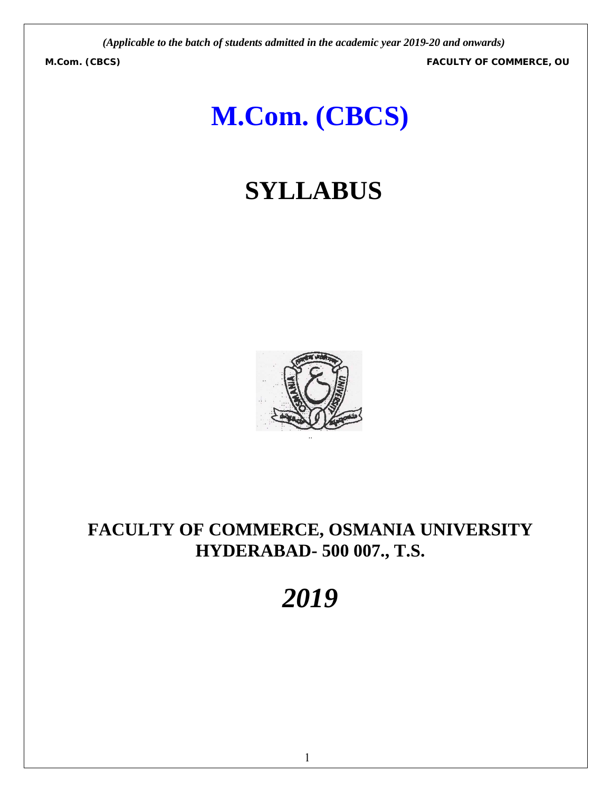**M.Com. (CBCS) FACULTY OF COMMERCE, OU**

# **M.Com. (CBCS)**

# **SYLLABUS**



# **FACULTY OF COMMERCE, OSMANIA UNIVERSITY HYDERABAD- 500 007., T.S.**

# *2019*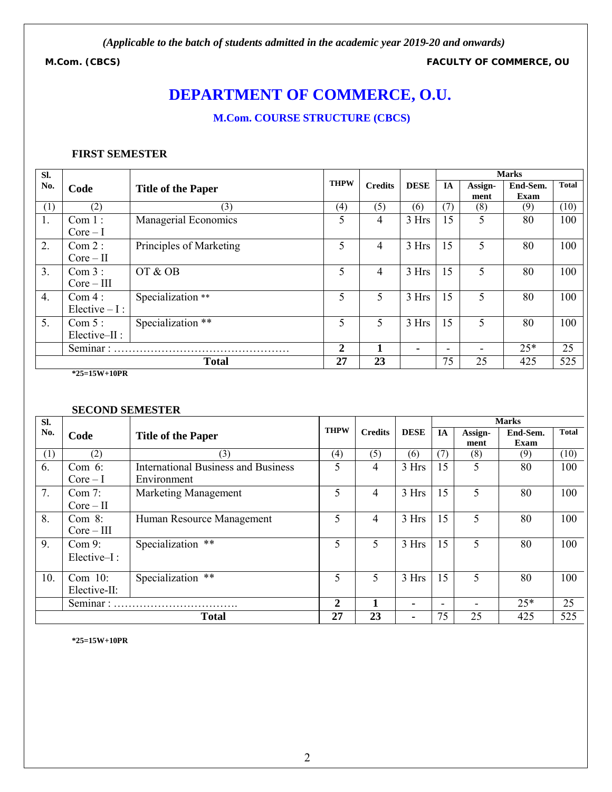**M.Com. (CBCS) FACULTY OF COMMERCE, OU**

# **DEPARTMENT OF COMMERCE, O.U.**

# **M.Com. COURSE STRUCTURE (CBCS)**

#### **FIRST SEMESTER**

| SI.              |                           |                           |             |                |                | <b>Marks</b>             |                 |                  |              |  |
|------------------|---------------------------|---------------------------|-------------|----------------|----------------|--------------------------|-----------------|------------------|--------------|--|
| No.              | Code                      | <b>Title of the Paper</b> | <b>THPW</b> | <b>Credits</b> | <b>DESE</b>    | <b>IA</b>                | Assign-<br>ment | End-Sem.<br>Exam | <b>Total</b> |  |
| (1)              | (2)                       | (3)                       | (4)         | (5)            | (6)            | (7)                      | (8)             | (9)              | (10)         |  |
| 1.               | Com 1:<br>$Core-I$        | Managerial Economics      | 5           | 4              | 3 Hrs          | 15                       | 5               | 80               | 100          |  |
| 2.               | Com 2:<br>$Core-II$       | Principles of Marketing   | 5           | 4              | 3 Hrs          | 15                       | 5               | 80               | 100          |  |
| $\overline{3}$ . | Com 3:<br>$Core-III$      | OT & OB                   | 5           | 4              | 3 Hrs          | 15                       | 5               | 80               | 100          |  |
| 4.               | Com 4:<br>Elective $-I$ : | Specialization **         | 5           | 5.             | 3 Hrs          | 15                       | 5               | 80               | 100          |  |
| 5.               | Com 5:<br>$Elective-II:$  | Specialization **         | 5           | 5.             | 3 Hrs          | 15                       | 5               | 80               | 100          |  |
|                  | Seminar:                  |                           |             |                | $\blacksquare$ | $\overline{\phantom{0}}$ |                 | $25*$            | 25           |  |
|                  |                           | <b>Total</b>              | 27          | 23             |                | 75                       | 25              | 425              | 525          |  |

**\*25=15W+10PR**

#### **SECOND SEMESTER**

| SI. |                            |                                                           |                |                |             |                          |                 | <b>Marks</b>     |              |
|-----|----------------------------|-----------------------------------------------------------|----------------|----------------|-------------|--------------------------|-----------------|------------------|--------------|
| No. | Code                       | <b>Title of the Paper</b>                                 | <b>THPW</b>    | <b>Credits</b> | <b>DESE</b> | <b>IA</b>                | Assign-<br>ment | End-Sem.<br>Exam | <b>Total</b> |
| (1) | (2)                        | (3)                                                       | (4)            | (5)            | (6)         | (7)                      | (8)             | (9)              | (10)         |
| 6.  | Com $6$ :<br>$Core-I$      | <b>International Business and Business</b><br>Environment | 5              | 4              | 3 Hrs       | 15                       | 5               | 80               | 100          |
| 7.  | Com 7:<br>$Core-II$        | Marketing Management                                      | 5              | 4              | 3 Hrs       | 15                       | 5               | 80               | 100          |
| 8.  | Com $8$ :<br>$Core-III$    | Human Resource Management                                 | 5              | 4              | 3 Hrs       | 15                       | 5               | 80               | 100          |
| 9.  | Com 9:<br>Elective-I:      | Specialization **                                         | 5              | 5              | 3 Hrs       | 15                       | 5               | 80               | 100          |
| 10. | Com $10$ :<br>Elective-II: | Specialization **                                         | 5              | 5              | 3 Hrs       | 15                       | 5               | 80               | 100          |
|     | Seminar:                   |                                                           | $\overline{2}$ |                | ۰           | $\overline{\phantom{a}}$ |                 | $25*$            | 25           |
|     |                            | <b>Total</b>                                              | 27             | 23             | ٠           | 75                       | 25              | 425              | 525          |

**\*25=15W+10PR**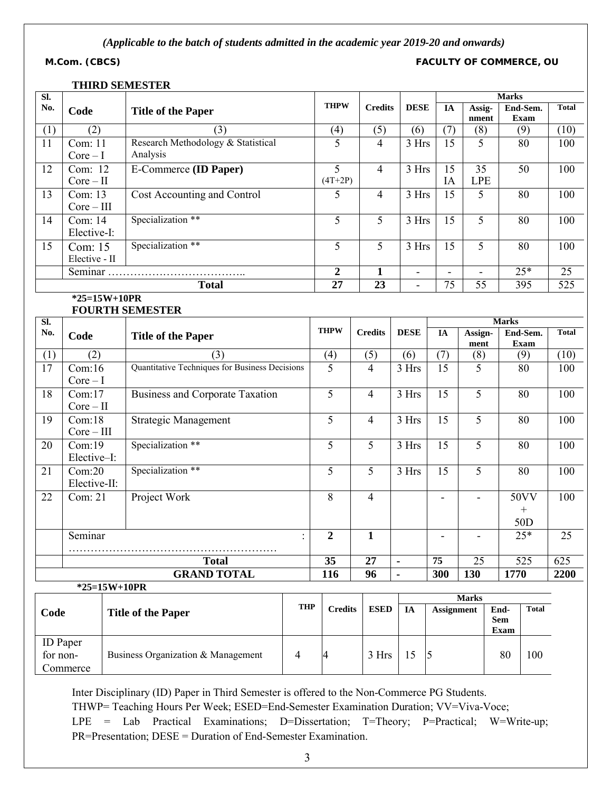**M.Com. (CBCS) FACULTY OF COMMERCE, OU**

#### **THIRD SEMESTER**

| $\overline{\text{SL}}$ |                                                        |  |                                                |                |                             |                 |                          |                               |                          | <b>Marks</b>                  |                                            |                                      |                  |  |
|------------------------|--------------------------------------------------------|--|------------------------------------------------|----------------|-----------------------------|-----------------|--------------------------|-------------------------------|--------------------------|-------------------------------|--------------------------------------------|--------------------------------------|------------------|--|
| No.                    | Code                                                   |  | <b>Title of the Paper</b>                      |                | <b>THPW</b>                 |                 | <b>Credits</b>           | <b>DESE</b>                   | IA                       |                               | Assig-<br>End-Sem.<br><b>Exam</b><br>nment |                                      | <b>Total</b>     |  |
| (1)                    | (2)                                                    |  | (3)                                            |                | (4)                         |                 | (5)                      | (6)                           | (7)                      | (8)                           |                                            | (9)                                  | (10)             |  |
| 11                     | Com: 11<br>$Core-I$                                    |  | Research Methodology & Statistical<br>Analysis |                | 5                           |                 | $\overline{4}$           | 3 Hrs                         | 15                       | 5                             |                                            | 80                                   | 100              |  |
| 12                     | Com: 12<br>$Core-II$                                   |  | E-Commerce (ID Paper)                          |                | $\overline{5}$<br>$(4T+2P)$ |                 | $\overline{4}$           | 3 Hrs                         | $\overline{15}$<br>IA    | $\overline{35}$<br><b>LPE</b> |                                            | 50                                   | 100              |  |
| 13                     | Com: $13$<br>Cost Accounting and Control<br>$Core-III$ |  |                                                | 5              |                             | 4               | 3 Hrs                    | 15                            | 5                        |                               | 80                                         | 100                                  |                  |  |
| 14                     | Com: 14<br>Elective-I:                                 |  | Specialization **                              |                | 5                           |                 | 5                        | 3 Hrs                         | 15                       | 5                             |                                            | 80                                   | 100              |  |
| 15                     | Com: 15<br>Elective - II                               |  | Specialization **                              |                | 5                           |                 | 5                        | 3 Hrs                         | 15                       | 5                             |                                            | 80                                   | 100              |  |
|                        |                                                        |  |                                                |                | $\overline{2}$              |                 | 1                        | -                             |                          |                               |                                            | $25*$                                | 25               |  |
|                        |                                                        |  | <b>Total</b>                                   |                | $\overline{27}$             |                 | $\overline{23}$          | $\frac{1}{2}$                 | 75                       | 55                            |                                            | 395                                  | $\overline{525}$ |  |
|                        | $*25=15W+10PR$                                         |  | <b>FOURTH SEMESTER</b>                         |                |                             |                 |                          |                               |                          |                               |                                            |                                      |                  |  |
| $\overline{\text{SL}}$ |                                                        |  |                                                |                |                             |                 |                          |                               |                          |                               | <b>Marks</b>                               |                                      |                  |  |
| No.                    | Code                                                   |  | <b>Title of the Paper</b>                      |                | <b>THPW</b>                 | <b>Credits</b>  |                          | <b>DESE</b>                   | IA                       | Assign-<br>ment               |                                            | End-Sem.<br><b>Exam</b>              | <b>Total</b>     |  |
| (1)                    | (2)                                                    |  | (3)                                            |                | (4)                         | (5)             |                          | (6)                           | (7)                      | (8)                           |                                            | (9)                                  | (10)             |  |
| 17                     | Com:16<br>$Core-I$                                     |  | Quantitative Techniques for Business Decisions |                | 5                           | $\overline{4}$  |                          | 3 Hrs                         | $\overline{15}$          | 5                             |                                            | 80                                   | 100              |  |
| 18                     | Com:17<br>$Core-II$                                    |  | <b>Business and Corporate Taxation</b>         |                | 5                           | $\overline{4}$  |                          | 3 Hrs                         | 15                       | 5                             |                                            | 80                                   | 100              |  |
| 19                     | Com:18<br>$Core-III$                                   |  | <b>Strategic Management</b>                    |                | 5                           | $\overline{4}$  |                          | 3 Hrs                         | 15                       | 5                             |                                            | 80                                   | 100              |  |
| 20                     | Com:19<br>Elective-I:                                  |  | Specialization **                              |                | $\overline{5}$              | 5               |                          | 3 Hrs                         | 15                       | $\overline{5}$                |                                            | 80                                   | 100              |  |
| 21                     | Com:20<br>Elective-II:                                 |  | Specialization **                              |                | 5                           | 5               |                          | 3 Hrs                         | 15                       | 5                             |                                            | 80                                   | 100              |  |
| 22                     | Com: 21                                                |  | Project Work                                   |                | 8                           | $\overline{4}$  |                          |                               | $\overline{\phantom{a}}$ | $\overline{\phantom{0}}$      |                                            | 50VV<br>$\! + \!$<br>50 <sub>D</sub> | 100              |  |
|                        | Seminar                                                |  |                                                |                | $\overline{2}$              | $\mathbf{1}$    |                          |                               | $\blacksquare$           |                               |                                            | $25*$                                | 25               |  |
|                        |                                                        |  |                                                |                | $\overline{35}$             | $\overline{27}$ |                          |                               | 75                       | 25                            |                                            | $\overline{525}$                     | 625              |  |
|                        |                                                        |  | <b>Total</b><br><b>GRAND TOTAL</b>             |                | 116                         | $\overline{96}$ |                          | $\blacksquare$                | 300                      | 130                           | 1770                                       |                                      | 2200             |  |
|                        | *25=15W+10PR                                           |  |                                                |                |                             |                 |                          | $\blacksquare$                |                          |                               |                                            |                                      |                  |  |
|                        |                                                        |  |                                                |                |                             |                 |                          |                               |                          | <b>Marks</b>                  |                                            |                                      |                  |  |
|                        | Code                                                   |  | <b>Title of the Paper</b>                      | <b>THP</b>     | <b>Credits</b>              |                 | <b>ESED</b><br><b>IA</b> |                               | <b>Assignment</b>        |                               | End-<br><b>Sem</b><br>Exam                 | Total                                |                  |  |
|                        | <b>ID</b> Paper<br>for non-<br>Commerce                |  | Business Organization & Management             | $\overline{4}$ | 4                           |                 | 3 Hrs                    | $\overline{\mathbf{5}}$<br>15 |                          |                               | 80                                         | 100                                  |                  |  |

Inter Disciplinary (ID) Paper in Third Semester is offered to the Non-Commerce PG Students.

THWP= Teaching Hours Per Week; ESED=End-Semester Examination Duration; VV=Viva-Voce;

LPE = Lab Practical Examinations; D=Dissertation; T=Theory; P=Practical; W=Write-up; PR=Presentation; DESE = Duration of End-Semester Examination.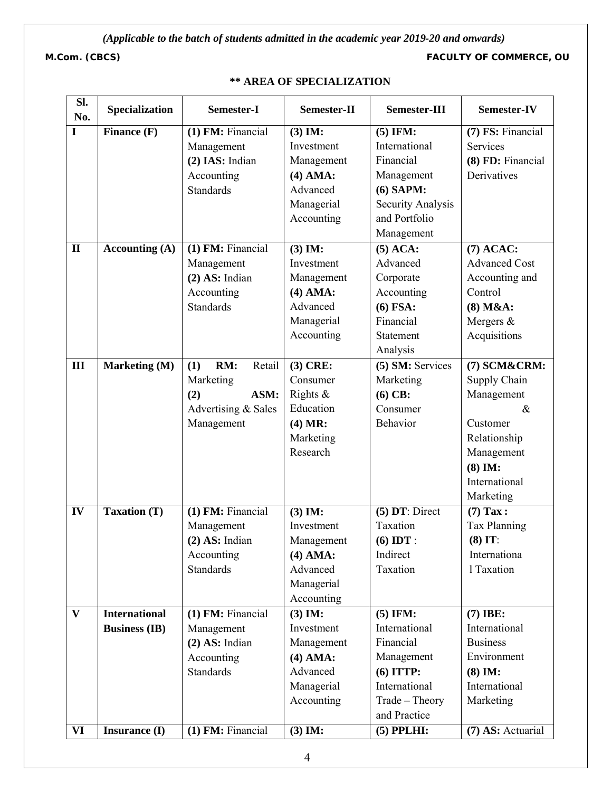**M.Com. (CBCS) FACULTY OF COMMERCE, OU**

| Sl.<br>No.   | Specialization       | Semester-I           | Semester-II | Semester-III      | Semester-IV          |  |
|--------------|----------------------|----------------------|-------------|-------------------|----------------------|--|
| $\mathbf I$  | Finance (F)          | $(1)$ FM: Financial  | $(3)$ IM:   | $(5)$ IFM:        | (7) FS: Financial    |  |
|              |                      | Management           | Investment  | International     | <b>Services</b>      |  |
|              |                      | (2) IAS: Indian      | Management  | Financial         | (8) FD: Financial    |  |
|              |                      | Accounting           | $(4)$ AMA:  | Management        | Derivatives          |  |
|              |                      | <b>Standards</b>     | Advanced    | $(6)$ SAPM:       |                      |  |
|              |                      |                      | Managerial  | Security Analysis |                      |  |
|              |                      |                      | Accounting  | and Portfolio     |                      |  |
|              |                      |                      |             | Management        |                      |  |
| $\mathbf{I}$ | Accounting $(A)$     | (1) FM: Financial    | $(3)$ IM:   | $(5)$ ACA:        | $(7)$ ACAC:          |  |
|              |                      | Management           | Investment  | Advanced          | <b>Advanced Cost</b> |  |
|              |                      | $(2)$ AS: Indian     | Management  | Corporate         | Accounting and       |  |
|              |                      | Accounting           | $(4)$ AMA:  | Accounting        | Control              |  |
|              |                      | <b>Standards</b>     | Advanced    | $(6)$ FSA:        | $(8)$ M&A:           |  |
|              |                      |                      | Managerial  | Financial         | Mergers $&$          |  |
|              |                      |                      | Accounting  | Statement         | Acquisitions         |  |
|              |                      |                      |             | Analysis          |                      |  |
| III          | Marketing (M)        | RM:<br>(1)<br>Retail | $(3)$ CRE:  | (5) SM: Services  | (7) SCM&CRM:         |  |
|              |                      | Marketing            | Consumer    | Marketing         | Supply Chain         |  |
|              |                      | ASM:<br>(2)          | Rights $\&$ | $(6)$ CB:         | Management           |  |
|              |                      | Advertising & Sales  | Education   | Consumer          | $\&$                 |  |
|              |                      | Management           | (4) MR:     | Behavior          | Customer             |  |
|              |                      |                      | Marketing   |                   | Relationship         |  |
|              |                      |                      | Research    |                   | Management           |  |
|              |                      |                      |             |                   | $(8)$ IM:            |  |
|              |                      |                      |             |                   | International        |  |
|              |                      |                      |             |                   | Marketing            |  |
| IV           | <b>Taxation (T)</b>  | (1) FM: Financial    | $(3)$ IM:   | $(5)$ DT: Direct  | $(7)$ Tax:           |  |
|              |                      | Management           | Investment  | Taxation          | Tax Planning         |  |
|              |                      | $(2)$ AS: Indian     | Management  | $(6)$ IDT:        | $(8)$ IT:            |  |
|              |                      | Accounting           | $(4)$ AMA:  | Indirect          | Internationa         |  |
|              |                      | <b>Standards</b>     | Advanced    | Taxation          | 1 Taxation           |  |
|              |                      |                      | Managerial  |                   |                      |  |
|              |                      |                      | Accounting  |                   |                      |  |
| $\mathbf{V}$ | <b>International</b> | (1) FM: Financial    | $(3)$ IM:   | $(5)$ IFM:        | $(7)$ IBE:           |  |
|              | <b>Business (IB)</b> | Management           | Investment  | International     | International        |  |
|              |                      | $(2)$ AS: Indian     | Management  | Financial         | <b>Business</b>      |  |
|              |                      | Accounting           | $(4)$ AMA:  | Management        | Environment          |  |
|              |                      | <b>Standards</b>     | Advanced    | $(6)$ ITTP:       | $(8)$ IM:            |  |
|              |                      |                      | Managerial  | International     | International        |  |
|              |                      |                      | Accounting  | Trade - Theory    | Marketing            |  |
|              |                      |                      |             | and Practice      |                      |  |
| VI           | <b>Insurance</b> (I) | (1) FM: Financial    | $(3)$ IM:   | $(5)$ PPLHI:      | (7) AS: Actuarial    |  |

# **\*\* AREA OF SPECIALIZATION**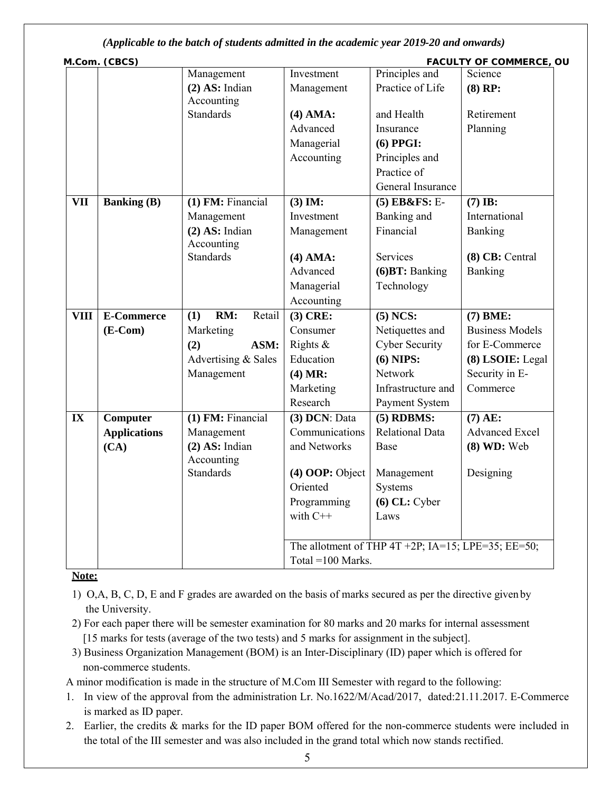|             | M.Com. (CBCS)       |                                |                      |                                                    | FACULTY OF COMMERCE, OU |
|-------------|---------------------|--------------------------------|----------------------|----------------------------------------------------|-------------------------|
|             |                     | Management                     | Investment           | Principles and                                     | Science                 |
|             |                     | $(2)$ AS: Indian               | Management           | Practice of Life                                   | $(8)$ RP:               |
|             |                     | Accounting                     |                      |                                                    |                         |
|             |                     | <b>Standards</b>               | $(4)$ AMA:           | and Health                                         | Retirement              |
|             |                     |                                | Advanced             | Insurance                                          | Planning                |
|             |                     |                                | Managerial           | $(6)$ PPGI:                                        |                         |
|             |                     |                                | Accounting           | Principles and                                     |                         |
|             |                     |                                |                      | Practice of                                        |                         |
|             |                     |                                |                      | General Insurance                                  |                         |
| <b>VII</b>  | <b>Banking (B)</b>  | $(1)$ FM: Financial            | $(3)$ IM:            | $(5)$ EB&FS: E-                                    | $(7)$ IB:               |
|             |                     | Management                     | Investment           | Banking and                                        | International           |
|             |                     | $(2)$ AS: Indian<br>Accounting | Management           | Financial                                          | Banking                 |
|             |                     | <b>Standards</b>               | $(4)$ AMA:           | <b>Services</b>                                    | (8) CB: Central         |
|             |                     |                                | Advanced             | (6) BT: Banking                                    | Banking                 |
|             |                     |                                | Managerial           | Technology                                         |                         |
|             |                     |                                | Accounting           |                                                    |                         |
| <b>VIII</b> | <b>E-Commerce</b>   | RM:<br>(1)<br>Retail           | $(3)$ CRE:           | $(5)$ NCS:                                         | $(7)$ BME:              |
|             | $(E-Com)$           | Marketing                      | Consumer             | Netiquettes and                                    | <b>Business Models</b>  |
|             |                     | ASM:<br>(2)                    | Rights $\&$          | <b>Cyber Security</b>                              | for E-Commerce          |
|             |                     | Advertising & Sales            | Education            | $(6)$ NIPS:                                        | (8) LSOIE: Legal        |
|             |                     | Management                     | (4) MR:              | Network                                            | Security in E-          |
|             |                     |                                | Marketing            | Infrastructure and                                 | Commerce                |
|             |                     |                                | Research             | Payment System                                     |                         |
| IX          | Computer            | $(1)$ FM: Financial            | $(3)$ DCN: Data      | $(5)$ RDBMS:                                       | $(7)$ AE:               |
|             | <b>Applications</b> | Management                     | Communications       | <b>Relational Data</b>                             | <b>Advanced Excel</b>   |
|             | (CA)                | $(2)$ AS: Indian<br>Accounting | and Networks         | Base                                               | $(8)$ WD: Web           |
|             |                     | <b>Standards</b>               | $(4)$ OOP: Object    | Management                                         | Designing               |
|             |                     |                                | Oriented             | Systems                                            |                         |
|             |                     |                                | Programming          | $(6)$ CL: Cyber                                    |                         |
|             |                     |                                | with $C++$           | Laws                                               |                         |
|             |                     |                                |                      |                                                    |                         |
|             |                     |                                |                      | The allotment of THP 4T +2P; IA=15; LPE=35; EE=50; |                         |
|             |                     |                                | Total = $100$ Marks. |                                                    |                         |

**Note:**

- 1) O,A, B, C, D, E and F grades are awarded on the basis of marks secured as per the directive given by the University.
- 2) For each paper there will be semester examination for 80 marks and 20 marks for internal assessment [15 marks for tests (average of the two tests) and 5 marks for assignment in the subject].
- 3) Business Organization Management (BOM) is an Inter-Disciplinary (ID) paper which is offered for non-commerce students.

A minor modification is made in the structure of M.Com III Semester with regard to the following:

- 1. In view of the approval from the administration Lr. No.1622/M/Acad/2017, dated:21.11.2017. E-Commerce is marked as ID paper.
- 2. Earlier, the credits & marks for the ID paper BOM offered for the non-commerce students were included in the total of the III semester and was also included in the grand total which now stands rectified.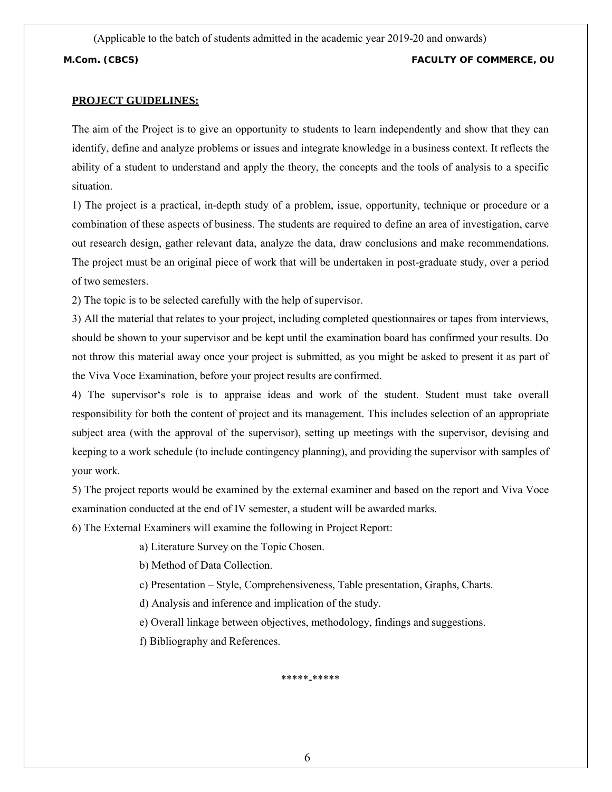(Applicable to the batch of students admitted in the academic year 2019-20 and onwards) **M.Com. (CBCS) FACULTY OF COMMERCE, OU**

#### **PROJECT GUIDELINES:**

The aim of the Project is to give an opportunity to students to learn independently and show that they can identify, define and analyze problems or issues and integrate knowledge in a business context. It reflects the ability of a student to understand and apply the theory, the concepts and the tools of analysis to a specific situation.

1) The project is a practical, in-depth study of a problem, issue, opportunity, technique or procedure or a combination of these aspects of business. The students are required to define an area of investigation, carve out research design, gather relevant data, analyze the data, draw conclusions and make recommendations. The project must be an original piece of work that will be undertaken in post-graduate study, over a period of two semesters.

2) The topic is to be selected carefully with the help of supervisor.

3) All the material that relates to your project, including completed questionnaires or tapes from interviews, should be shown to your supervisor and be kept until the examination board has confirmed your results. Do not throw this material away once your project is submitted, as you might be asked to present it as part of the Viva Voce Examination, before your project results are confirmed.

4) The supervisor's role is to appraise ideas and work of the student. Student must take overall responsibility for both the content of project and its management. This includes selection of an appropriate subject area (with the approval of the supervisor), setting up meetings with the supervisor, devising and keeping to a work schedule (to include contingency planning), and providing the supervisor with samples of your work.

5) The project reports would be examined by the external examiner and based on the report and Viva Voce examination conducted at the end of IV semester, a student will be awarded marks.

6) The External Examiners will examine the following in Project Report:

a) Literature Survey on the Topic Chosen.

b) Method of Data Collection.

c) Presentation – Style, Comprehensiveness, Table presentation, Graphs, Charts.

d) Analysis and inference and implication of the study.

e) Overall linkage between objectives, methodology, findings and suggestions.

f) Bibliography and References.

\*\*\*\*\*-\*\*\*\*\*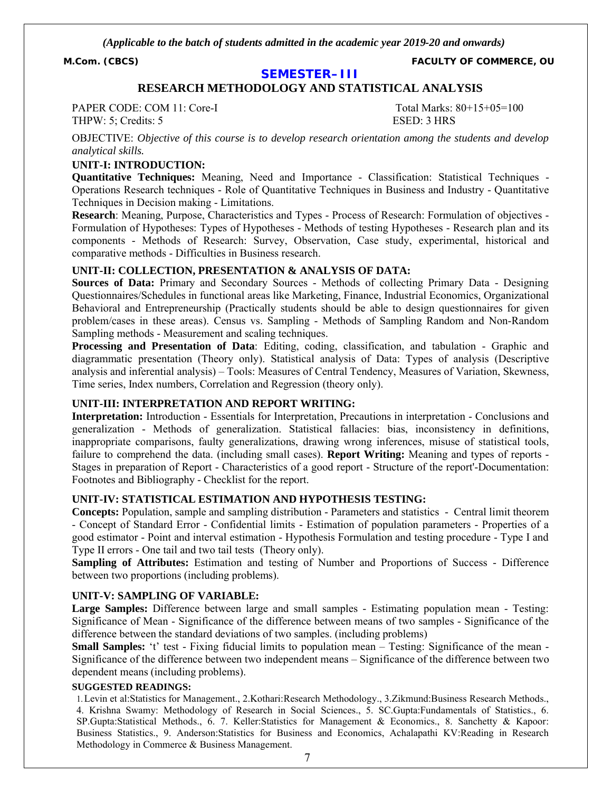**M.Com. (CBCS) FACULTY OF COMMERCE, OU**

#### **SEMESTER–III**

### **RESEARCH METHODOLOGY AND STATISTICAL ANALYSIS**

PAPER CODE: COM 11: Core-I Total Marks: 80+15+05=100 THPW: 5; Credits: 5 ESED: 3 HRS

OBJECTIVE: *Objective of this course is to develop research orientation among the students and develop analytical skills.*

#### **UNIT-I: INTRODUCTION:**

**Quantitative Techniques:** Meaning, Need and Importance - Classification: Statistical Techniques - Operations Research techniques - Role of Quantitative Techniques in Business and Industry - Quantitative Techniques in Decision making - Limitations.

**Research**: Meaning, Purpose, Characteristics and Types - Process of Research: Formulation of objectives - Formulation of Hypotheses: Types of Hypotheses - Methods of testing Hypotheses - Research plan and its components - Methods of Research: Survey, Observation, Case study, experimental, historical and comparative methods - Difficulties in Business research.

#### **UNIT-II: COLLECTION, PRESENTATION & ANALYSIS OF DATA:**

**Sources of Data:** Primary and Secondary Sources - Methods of collecting Primary Data - Designing Questionnaires/Schedules in functional areas like Marketing, Finance, Industrial Economics, Organizational Behavioral and Entrepreneurship (Practically students should be able to design questionnaires for given problem/cases in these areas). Census vs. Sampling - Methods of Sampling Random and Non-Random Sampling methods - Measurement and scaling techniques.

**Processing and Presentation of Data**: Editing, coding, classification, and tabulation - Graphic and diagrammatic presentation (Theory only). Statistical analysis of Data: Types of analysis (Descriptive analysis and inferential analysis) – Tools: Measures of Central Tendency, Measures of Variation, Skewness, Time series, Index numbers, Correlation and Regression (theory only).

#### **UNIT-III: INTERPRETATION AND REPORT WRITING:**

**Interpretation:** Introduction - Essentials for Interpretation, Precautions in interpretation - Conclusions and generalization - Methods of generalization. Statistical fallacies: bias, inconsistency in definitions, inappropriate comparisons, faulty generalizations, drawing wrong inferences, misuse of statistical tools, failure to comprehend the data. (including small cases). **Report Writing:** Meaning and types of reports - Stages in preparation of Report - Characteristics of a good report - Structure of the report'-Documentation: Footnotes and Bibliography - Checklist for the report.

#### **UNIT-IV: STATISTICAL ESTIMATION AND HYPOTHESIS TESTING:**

**Concepts:** Population, sample and sampling distribution - Parameters and statistics - Central limit theorem - Concept of Standard Error - Confidential limits - Estimation of population parameters - Properties of a good estimator - Point and interval estimation - Hypothesis Formulation and testing procedure - Type I and Type II errors - One tail and two tail tests (Theory only).

**Sampling of Attributes:** Estimation and testing of Number and Proportions of Success - Difference between two proportions (including problems).

#### **UNIT-V: SAMPLING OF VARIABLE:**

**Large Samples:** Difference between large and small samples - Estimating population mean - Testing: Significance of Mean - Significance of the difference between means of two samples - Significance of the difference between the standard deviations of two samples. (including problems)

**Small Samples:** 't' test - Fixing fiducial limits to population mean – Testing: Significance of the mean -Significance of the difference between two independent means – Significance of the difference between two dependent means (including problems).

#### **SUGGESTED READINGS:**

1.Levin et al:Statistics for Management., 2.Kothari:Research Methodology., 3.Zikmund:Business Research Methods., 4. Krishna Swamy: Methodology of Research in Social Sciences., 5. SC.Gupta:Fundamentals of Statistics., 6. SP.Gupta:Statistical Methods., 6. 7. Keller:Statistics for Management & Economics., 8. Sanchetty & Kapoor: Business Statistics., 9. Anderson:Statistics for Business and Economics, Achalapathi KV:Reading in Research Methodology in Commerce & Business Management.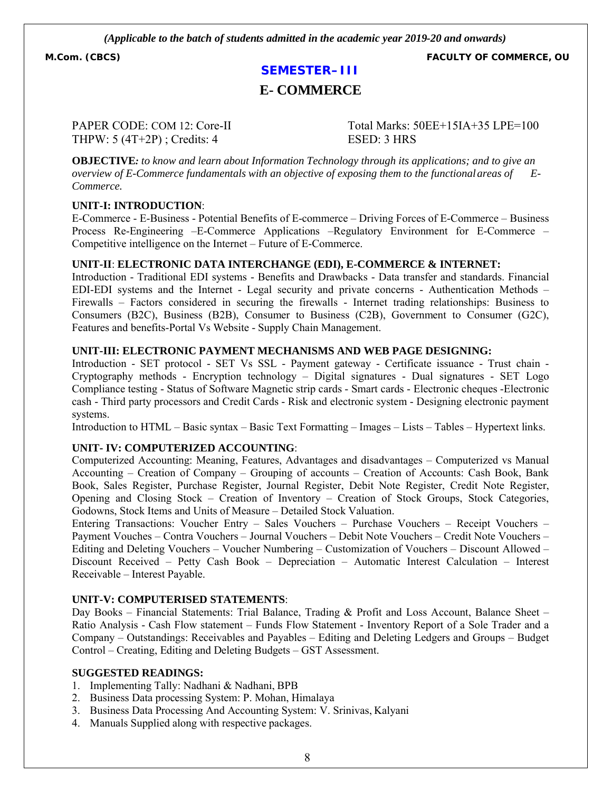**M.Com. (CBCS) FACULTY OF COMMERCE, OU**

# **SEMESTER–III**

# **E- COMMERCE**

THPW: 5 (4T+2P); Credits: 4 ESED: 3 HRS

PAPER CODE: COM 12: Core-II Total Marks: 50EE+15IA+35 LPE=100

**OBJECTIVE***: to know and learn about Information Technology through its applications; and to give an overview of E-Commerce fundamentals with an objective of exposing them to the functionalareas of E-Commerce.*

#### **UNIT-I: INTRODUCTION**:

E-Commerce - E-Business - Potential Benefits of E-commerce – Driving Forces of E-Commerce – Business Process Re-Engineering –E-Commerce Applications –Regulatory Environment for E-Commerce – Competitive intelligence on the Internet – Future of E-Commerce.

#### **UNIT-II**: **ELECTRONIC DATA INTERCHANGE (EDI), E-COMMERCE & INTERNET:**

Introduction - Traditional EDI systems - Benefits and Drawbacks - Data transfer and standards. Financial EDI-EDI systems and the Internet - Legal security and private concerns - Authentication Methods – Firewalls – Factors considered in securing the firewalls - Internet trading relationships: Business to Consumers (B2C), Business (B2B), Consumer to Business (C2B), Government to Consumer (G2C), Features and benefits-Portal Vs Website - Supply Chain Management.

#### **UNIT-III: ELECTRONIC PAYMENT MECHANISMS AND WEB PAGE DESIGNING:**

Introduction - SET protocol - SET Vs SSL - Payment gateway - Certificate issuance - Trust chain - Cryptography methods - Encryption technology – Digital signatures - Dual signatures - SET Logo Compliance testing - Status of Software Magnetic strip cards - Smart cards - Electronic cheques -Electronic cash - Third party processors and Credit Cards - Risk and electronic system - Designing electronic payment systems.

Introduction to HTML – Basic syntax – Basic Text Formatting – Images – Lists – Tables – Hypertext links.

#### **UNIT- IV: COMPUTERIZED ACCOUNTING**:

Computerized Accounting: Meaning, Features, Advantages and disadvantages – Computerized vs Manual Accounting – Creation of Company – Grouping of accounts – Creation of Accounts: Cash Book, Bank Book, Sales Register, Purchase Register, Journal Register, Debit Note Register, Credit Note Register, Opening and Closing Stock – Creation of Inventory – Creation of Stock Groups, Stock Categories, Godowns, Stock Items and Units of Measure – Detailed Stock Valuation.

Entering Transactions: Voucher Entry – Sales Vouchers – Purchase Vouchers – Receipt Vouchers – Payment Vouches – Contra Vouchers – Journal Vouchers – Debit Note Vouchers – Credit Note Vouchers – Editing and Deleting Vouchers – Voucher Numbering – Customization of Vouchers – Discount Allowed – Discount Received – Petty Cash Book – Depreciation – Automatic Interest Calculation – Interest Receivable – Interest Payable.

#### **UNIT-V: COMPUTERISED STATEMENTS**:

Day Books – Financial Statements: Trial Balance, Trading & Profit and Loss Account, Balance Sheet – Ratio Analysis - Cash Flow statement – Funds Flow Statement - Inventory Report of a Sole Trader and a Company – Outstandings: Receivables and Payables – Editing and Deleting Ledgers and Groups – Budget Control – Creating, Editing and Deleting Budgets – GST Assessment.

- 1. Implementing Tally: Nadhani & Nadhani, BPB
- 2. Business Data processing System: P. Mohan, Himalaya
- 3. Business Data Processing And Accounting System: V. Srinivas, Kalyani
- 4. Manuals Supplied along with respective packages.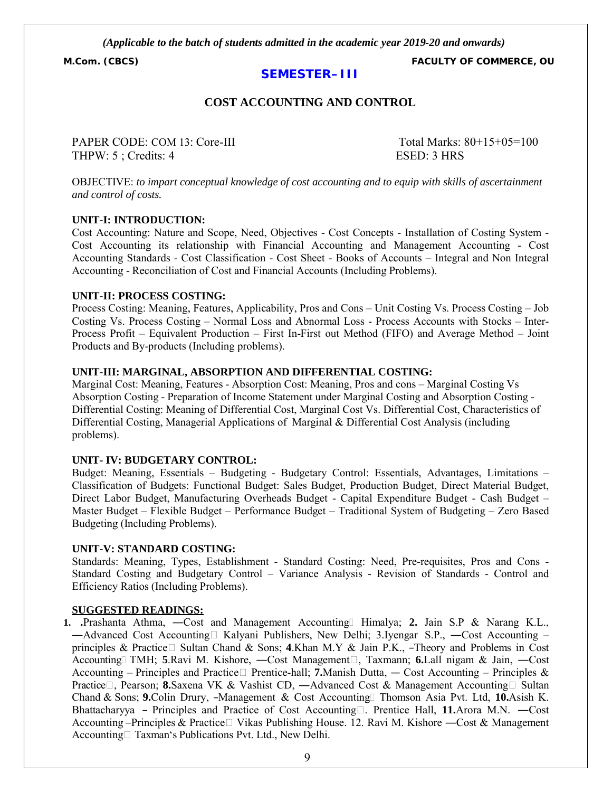**M.Com. (CBCS) FACULTY OF COMMERCE, OU**

### **SEMESTER–III**

# **COST ACCOUNTING AND CONTROL**

PAPER CODE: COM 13: Core-III Total Marks: 80+15+05=100 THPW: 5 : Credits: 4 ESED: 3 HRS

OBJECTIVE: *to impart conceptual knowledge of cost accounting and to equip with skills of ascertainment and control of costs.*

#### **UNIT-I: INTRODUCTION:**

Cost Accounting: Nature and Scope, Need, Objectives - Cost Concepts - Installation of Costing System - Cost Accounting its relationship with Financial Accounting and Management Accounting - Cost Accounting Standards - Cost Classification - Cost Sheet - Books of Accounts – Integral and Non Integral Accounting - Reconciliation of Cost and Financial Accounts (Including Problems).

#### **UNIT-II: PROCESS COSTING:**

Process Costing: Meaning, Features, Applicability, Pros and Cons – Unit Costing Vs. Process Costing – Job Costing Vs. Process Costing – Normal Loss and Abnormal Loss - Process Accounts with Stocks – Inter-Process Profit – Equivalent Production – First In-First out Method (FIFO) and Average Method – Joint Products and By-products (Including problems).

#### **UNIT-III: MARGINAL, ABSORPTION AND DIFFERENTIAL COSTING:**

Marginal Cost: Meaning, Features - Absorption Cost: Meaning, Pros and cons – Marginal Costing Vs Absorption Costing - Preparation of Income Statement under Marginal Costing and Absorption Costing - Differential Costing: Meaning of Differential Cost, Marginal Cost Vs. Differential Cost, Characteristics of Differential Costing, Managerial Applications of Marginal & Differential Cost Analysis (including problems).

#### **UNIT- IV: BUDGETARY CONTROL:**

Budget: Meaning, Essentials – Budgeting - Budgetary Control: Essentials, Advantages, Limitations – Classification of Budgets: Functional Budget: Sales Budget, Production Budget, Direct Material Budget, Direct Labor Budget, Manufacturing Overheads Budget - Capital Expenditure Budget - Cash Budget – Master Budget – Flexible Budget – Performance Budget – Traditional System of Budgeting – Zero Based Budgeting (Including Problems).

#### **UNIT-V: STANDARD COSTING:**

Standards: Meaning, Types, Establishment - Standard Costing: Need, Pre-requisites, Pros and Cons - Standard Costing and Budgetary Control – Variance Analysis - Revision of Standards - Control and Efficiency Ratios (Including Problems).

#### **SUGGESTED READINGS:**

**1. .**Prashanta Athma, ―Cost and Management Accounting Himalya; **2.** Jain S.P & Narang K.L., —Advanced Cost Accounting Kalyani Publishers, New Delhi; 3.Iyengar S.P., —Cost Accounting – principles & Practice Sultan Chand & Sons; **4**.Khan M.Y & Jain P.K., –Theory and Problems in Cost Accounting TMH; **5**.Ravi M. Kishore, —Cost Management□, Taxmann; **6.Lall nigam & Jain, —Cost** Accounting – Principles and Practice  $\Box$  Prentice-hall; **7.**Manish Dutta, — Cost Accounting – Principles & Practice□, Pearson; 8.Saxena VK & Vashist CD, —Advanced Cost & Management Accounting□ Sultan Chand & Sons; **9.**Colin Drury, ―Management & Cost Accounting Thomson Asia Pvt. Ltd, **10.**Asish K. Bhattacharyya – Principles and Practice of Cost Accounting□. Prentice Hall, 11.Arora M.N. —Cost Accounting –Principles & Practice Vikas Publishing House. 12. Ravi M. Kishore —Cost & Management Accounting  $\Box$  Taxman's Publications Pvt. Ltd., New Delhi.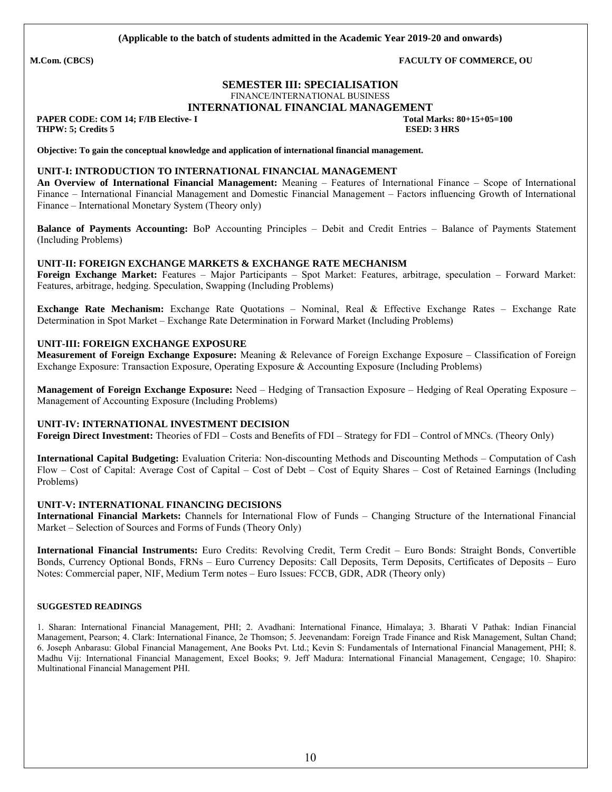# **SEMESTER III: SPECIALISATION**

FINANCE/INTERNATIONAL BUSINESS **INTERNATIONAL FINANCIAL MANAGEMENT**

 **PAPER CODE: COM 14; F/IB Elective- I Total Marks: 80+15+05=100**

**THPW:** 5; Credits 5 ESED: 3 HRS

**Objective: To gain the conceptual knowledge and application of international financial management.**

#### **UNIT-I: INTRODUCTION TO INTERNATIONAL FINANCIAL MANAGEMENT**

**An Overview of International Financial Management:** Meaning – Features of International Finance – Scope of International Finance – International Financial Management and Domestic Financial Management – Factors influencing Growth of International Finance – International Monetary System (Theory only)

**Balance of Payments Accounting:** BoP Accounting Principles – Debit and Credit Entries – Balance of Payments Statement (Including Problems)

#### **UNIT-II: FOREIGN EXCHANGE MARKETS & EXCHANGE RATE MECHANISM**

**Foreign Exchange Market:** Features – Major Participants – Spot Market: Features, arbitrage, speculation – Forward Market: Features, arbitrage, hedging. Speculation, Swapping (Including Problems)

**Exchange Rate Mechanism:** Exchange Rate Quotations – Nominal, Real & Effective Exchange Rates – Exchange Rate Determination in Spot Market – Exchange Rate Determination in Forward Market (Including Problems)

#### **UNIT-III: FOREIGN EXCHANGE EXPOSURE**

**Measurement of Foreign Exchange Exposure:** Meaning & Relevance of Foreign Exchange Exposure – Classification of Foreign Exchange Exposure: Transaction Exposure, Operating Exposure & Accounting Exposure (Including Problems)

**Management of Foreign Exchange Exposure:** Need – Hedging of Transaction Exposure – Hedging of Real Operating Exposure – Management of Accounting Exposure (Including Problems)

#### **UNIT-IV: INTERNATIONAL INVESTMENT DECISION**

**Foreign Direct Investment:** Theories of FDI – Costs and Benefits of FDI – Strategy for FDI – Control of MNCs. (Theory Only)

**International Capital Budgeting:** Evaluation Criteria: Non-discounting Methods and Discounting Methods – Computation of Cash Flow – Cost of Capital: Average Cost of Capital – Cost of Debt – Cost of Equity Shares – Cost of Retained Earnings (Including Problems)

#### **UNIT-V: INTERNATIONAL FINANCING DECISIONS**

**International Financial Markets:** Channels for International Flow of Funds – Changing Structure of the International Financial Market – Selection of Sources and Forms of Funds (Theory Only)

**International Financial Instruments:** Euro Credits: Revolving Credit, Term Credit – Euro Bonds: Straight Bonds, Convertible Bonds, Currency Optional Bonds, FRNs – Euro Currency Deposits: Call Deposits, Term Deposits, Certificates of Deposits – Euro Notes: Commercial paper, NIF, Medium Term notes – Euro Issues: FCCB, GDR, ADR (Theory only)

#### **SUGGESTED READINGS**

1. Sharan: International Financial Management, PHI; 2. Avadhani: International Finance, Himalaya; 3. Bharati V Pathak: Indian Financial Management, Pearson; 4. Clark: International Finance, 2e Thomson; 5. Jeevenandam: Foreign Trade Finance and Risk Management, Sultan Chand; 6. Joseph Anbarasu: Global Financial Management, Ane Books Pvt. Ltd.; Kevin S: Fundamentals of International Financial Management, PHI; 8. Madhu Vij: International Financial Management, Excel Books; 9. Jeff Madura: International Financial Management, Cengage; 10. Shapiro: Multinational Financial Management PHI.

**M.Com. (CBCS) FACULTY OF COMMERCE, OU**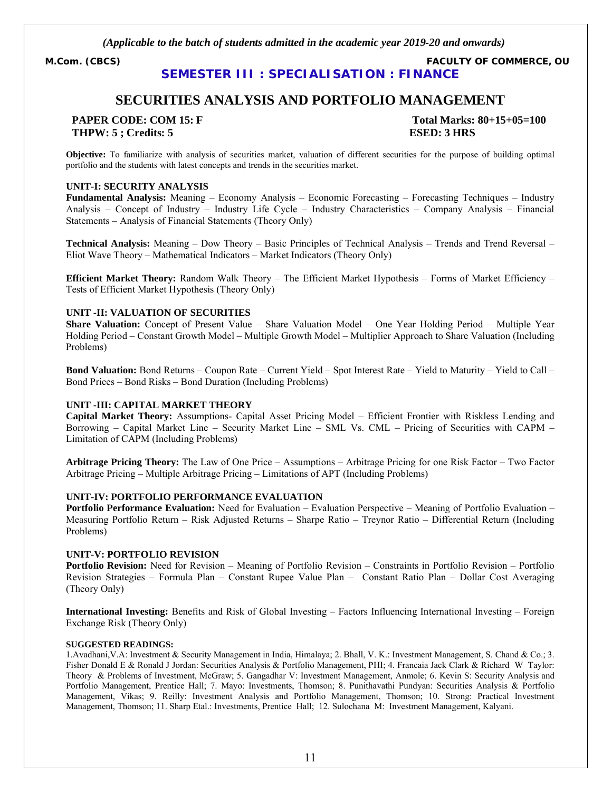**M.Com. (CBCS) FACULTY OF COMMERCE, OU SEMESTER III : SPECIALISATION : FINANCE**

# **SECURITIES ANALYSIS AND PORTFOLIO MANAGEMENT**

**THPW: 5 ; Credits: 5 ESED: 3 HRS**

**PAPER CODE: COM 15: F Total Marks: 80+15+05=100**

**Objective:** To familiarize with analysis of securities market, valuation of different securities for the purpose of building optimal portfolio and the students with latest concepts and trends in the securities market.

#### **UNIT-I: SECURITY ANALYSIS**

**Fundamental Analysis:** Meaning – Economy Analysis – Economic Forecasting – Forecasting Techniques – Industry Analysis – Concept of Industry – Industry Life Cycle – Industry Characteristics – Company Analysis – Financial Statements – Analysis of Financial Statements (Theory Only)

**Technical Analysis:** Meaning – Dow Theory – Basic Principles of Technical Analysis – Trends and Trend Reversal – Eliot Wave Theory – Mathematical Indicators – Market Indicators (Theory Only)

**Efficient Market Theory:** Random Walk Theory – The Efficient Market Hypothesis – Forms of Market Efficiency – Tests of Efficient Market Hypothesis (Theory Only)

#### **UNIT -II: VALUATION OF SECURITIES**

**Share Valuation:** Concept of Present Value – Share Valuation Model – One Year Holding Period – Multiple Year Holding Period – Constant Growth Model – Multiple Growth Model – Multiplier Approach to Share Valuation (Including Problems)

**Bond Valuation:** Bond Returns – Coupon Rate – Current Yield – Spot Interest Rate – Yield to Maturity – Yield to Call – Bond Prices – Bond Risks – Bond Duration (Including Problems)

#### **UNIT -III: CAPITAL MARKET THEORY**

**Capital Market Theory:** Assumptions- Capital Asset Pricing Model – Efficient Frontier with Riskless Lending and Borrowing – Capital Market Line – Security Market Line – SML Vs. CML – Pricing of Securities with CAPM – Limitation of CAPM (Including Problems)

**Arbitrage Pricing Theory:** The Law of One Price – Assumptions – Arbitrage Pricing for one Risk Factor – Two Factor Arbitrage Pricing – Multiple Arbitrage Pricing – Limitations of APT (Including Problems)

#### **UNIT-IV: PORTFOLIO PERFORMANCE EVALUATION**

**Portfolio Performance Evaluation:** Need for Evaluation – Evaluation Perspective – Meaning of Portfolio Evaluation – Measuring Portfolio Return – Risk Adjusted Returns – Sharpe Ratio – Treynor Ratio – Differential Return (Including Problems)

#### **UNIT-V: PORTFOLIO REVISION**

**Portfolio Revision:** Need for Revision – Meaning of Portfolio Revision – Constraints in Portfolio Revision – Portfolio Revision Strategies – Formula Plan – Constant Rupee Value Plan – Constant Ratio Plan – Dollar Cost Averaging (Theory Only)

**International Investing:** Benefits and Risk of Global Investing – Factors Influencing International Investing – Foreign Exchange Risk (Theory Only)

#### **SUGGESTED READINGS:**

1.Avadhani,V.A: Investment & Security Management in India, Himalaya; 2. Bhall, V. K.: Investment Management, S. Chand & Co.; 3. Fisher Donald E & Ronald J Jordan: Securities Analysis & Portfolio Management, PHI; 4. Francaia Jack Clark & Richard W Taylor: Theory & Problems of Investment, McGraw; 5. Gangadhar V: Investment Management, Anmole; 6. Kevin S: Security Analysis and Portfolio Management, Prentice Hall; 7. Mayo: Investments, Thomson; 8. Punithavathi Pundyan: Securities Analysis & Portfolio Management, Vikas; 9. Reilly: Investment Analysis and Portfolio Management, Thomson; 10. Strong: Practical Investment Management, Thomson; 11. Sharp Etal.: Investments, Prentice Hall; 12. Sulochana M: Investment Management, Kalyani.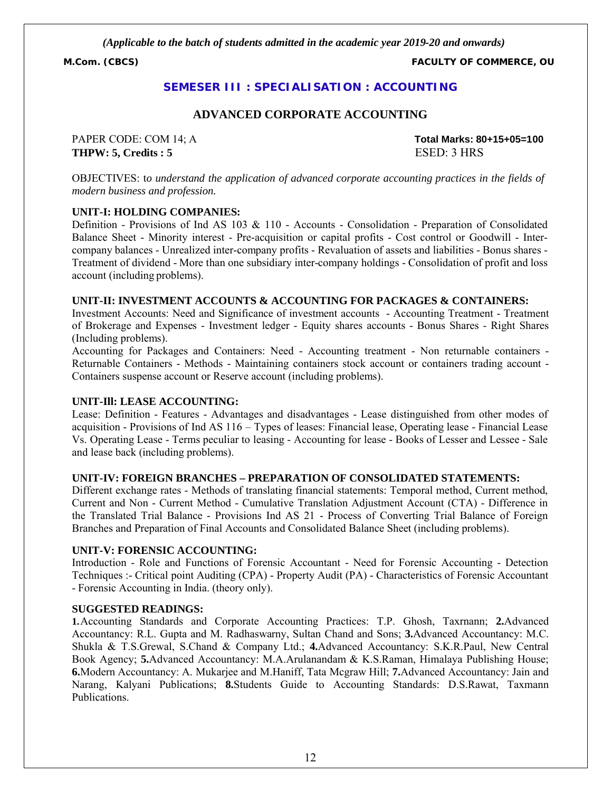**M.Com. (CBCS) FACULTY OF COMMERCE, OU**

#### **SEMESER III : SPECIALISATION : ACCOUNTING**

#### **ADVANCED CORPORATE ACCOUNTING**

**THPW: 5, Credits : 5** ESED: 3 HRS

PAPER CODE: COM 14; A **Total Marks: 80+15+05=100**

OBJECTIVES: t*o understand the application of advanced corporate accounting practices in the fields of modern business and profession.*

#### **UNIT-I: HOLDING COMPANIES:**

Definition - Provisions of Ind AS 103 & 110 - Accounts - Consolidation - Preparation of Consolidated Balance Sheet - Minority interest - Pre-acquisition or capital profits - Cost control or Goodwill - Intercompany balances - Unrealized inter-company profits - Revaluation of assets and liabilities - Bonus shares - Treatment of dividend - More than one subsidiary inter-company holdings - Consolidation of profit and loss account (including problems).

#### **UNIT-II: INVESTMENT ACCOUNTS & ACCOUNTING FOR PACKAGES & CONTAINERS:**

Investment Accounts: Need and Significance of investment accounts - Accounting Treatment - Treatment of Brokerage and Expenses - Investment ledger - Equity shares accounts - Bonus Shares - Right Shares (Including problems).

Accounting for Packages and Containers: Need - Accounting treatment - Non returnable containers - Returnable Containers - Methods - Maintaining containers stock account or containers trading account - Containers suspense account or Reserve account (including problems).

#### **UNIT-Ill: LEASE ACCOUNTING:**

Lease: Definition - Features - Advantages and disadvantages - Lease distinguished from other modes of acquisition - Provisions of Ind AS 116 – Types of leases: Financial lease, Operating lease - Financial Lease Vs. Operating Lease - Terms peculiar to leasing - Accounting for lease - Books of Lesser and Lessee - Sale and lease back (including problems).

#### **UNIT-IV: FOREIGN BRANCHES – PREPARATION OF CONSOLIDATED STATEMENTS:**

Different exchange rates - Methods of translating financial statements: Temporal method, Current method, Current and Non - Current Method - Cumulative Translation Adjustment Account (CTA) - Difference in the Translated Trial Balance - Provisions Ind AS 21 - Process of Converting Trial Balance of Foreign Branches and Preparation of Final Accounts and Consolidated Balance Sheet (including problems).

#### **UNIT-V: FORENSIC ACCOUNTING:**

Introduction - Role and Functions of Forensic Accountant - Need for Forensic Accounting - Detection Techniques :- Critical point Auditing (CPA) - Property Audit (PA) - Characteristics of Forensic Accountant - Forensic Accounting in India. (theory only).

#### **SUGGESTED READINGS:**

**1.**Accounting Standards and Corporate Accounting Practices: T.P. Ghosh, Taxrnann; **2.**Advanced Accountancy: R.L. Gupta and M. Radhaswarny, Sultan Chand and Sons; **3.**Advanced Accountancy: M.C. Shukla & T.S.Grewal, S.Chand & Company Ltd.; **4.**Advanced Accountancy: S.K.R.Paul, New Central Book Agency; **5.**Advanced Accountancy: M.A.Arulanandam & K.S.Raman, Himalaya Publishing House; **6.**Modern Accountancy: A. Mukarjee and M.Haniff, Tata Mcgraw Hill; **7.**Advanced Accountancy: Jain and Narang, Kalyani Publications; **8.**Students Guide to Accounting Standards: D.S.Rawat, Taxmann Publications.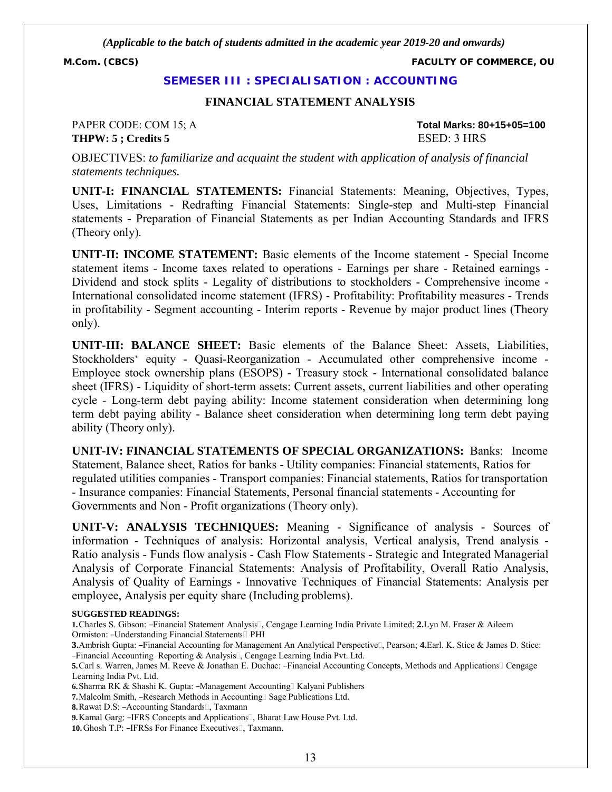**M.Com. (CBCS) FACULTY OF COMMERCE, OU**

#### **SEMESER III : SPECIALISATION : ACCOUNTING**

#### **FINANCIAL STATEMENT ANALYSIS**

PAPER CODE: COM 15; A **Total Marks: 80+15+05=100 THPW: 5 ; Credits 5** ESED: 3 HRS

OBJECTIVES: *to familiarize and acquaint the student with application of analysis of financial statements techniques.*

**UNIT-I: FINANCIAL STATEMENTS:** Financial Statements: Meaning, Objectives, Types, Uses, Limitations - Redrafting Financial Statements: Single-step and Multi-step Financial statements - Preparation of Financial Statements as per Indian Accounting Standards and IFRS (Theory only).

**UNIT-II: INCOME STATEMENT:** Basic elements of the Income statement - Special Income statement items - Income taxes related to operations - Earnings per share - Retained earnings - Dividend and stock splits - Legality of distributions to stockholders - Comprehensive income - International consolidated income statement (IFRS) - Profitability: Profitability measures - Trends in profitability - Segment accounting - Interim reports - Revenue by major product lines (Theory only).

**UNIT-III: BALANCE SHEET:** Basic elements of the Balance Sheet: Assets, Liabilities, Stockholders' equity - Quasi-Reorganization - Accumulated other comprehensive income - Employee stock ownership plans (ESOPS) - Treasury stock - International consolidated balance sheet (IFRS) - Liquidity of short-term assets: Current assets, current liabilities and other operating cycle - Long-term debt paying ability: Income statement consideration when determining long term debt paying ability - Balance sheet consideration when determining long term debt paying ability (Theory only).

**UNIT-IV: FINANCIAL STATEMENTS OF SPECIAL ORGANIZATIONS:** Banks: Income Statement, Balance sheet, Ratios for banks - Utility companies: Financial statements, Ratios for regulated utilities companies - Transport companies: Financial statements, Ratios for transportation - Insurance companies: Financial Statements, Personal financial statements - Accounting for Governments and Non - Profit organizations (Theory only).

**UNIT-V: ANALYSIS TECHNIQUES:** Meaning - Significance of analysis - Sources of information - Techniques of analysis: Horizontal analysis, Vertical analysis, Trend analysis - Ratio analysis - Funds flow analysis - Cash Flow Statements - Strategic and Integrated Managerial Analysis of Corporate Financial Statements: Analysis of Profitability, Overall Ratio Analysis, Analysis of Quality of Earnings - Innovative Techniques of Financial Statements: Analysis per employee, Analysis per equity share (Including problems).

#### **SUGGESTED READINGS:**

**1.**Charles S. Gibson: ―Financial Statement Analysis, Cengage Learning India Private Limited; **2.**Lyn M. Fraser & Aileem Ormiston: ―Understanding Financial Statements PHI

**3.**Ambrish Gupta: ―Financial Accounting for Management An Analytical Perspective, Pearson; **4.**Earl. K. Stice & James D. Stice: ―Financial Accounting Reporting & Analysis, Cengage Learning India Pvt. Ltd.

**10.** Ghosh T.P: –IFRSs For Finance Executives<sup>[1]</sup>, Taxmann.

**<sup>5.</sup>Carl s. Warren, James M. Reeve & Jonathan E. Duchac: -Financial Accounting Concepts, Methods and Applications□ Cengage** Learning India Pvt. Ltd.

<sup>6.</sup> Sharma RK & Shashi K. Gupta: -Management Accounting<sup>[]</sup> Kalyani Publishers

**<sup>7.</sup>**Malcolm Smith, -Research Methods in Accounting Sage Publications Ltd.

**<sup>8.</sup>**Rawat D.S: -Accounting Standards<sup>[1]</sup>, Taxmann

<sup>9.</sup> Kamal Garg: -IFRS Concepts and Applications<sup>[]</sup>, Bharat Law House Pvt. Ltd.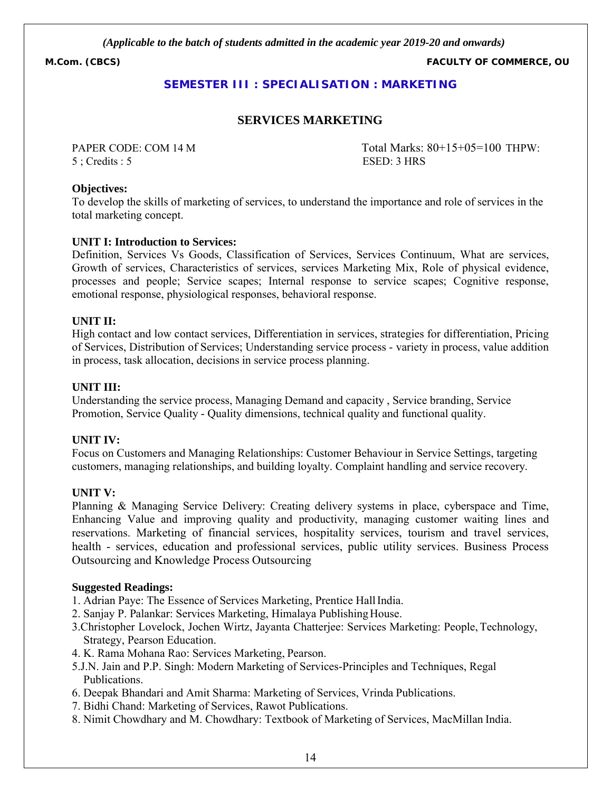**M.Com. (CBCS) FACULTY OF COMMERCE, OU**

# **SEMESTER III : SPECIALISATION : MARKETING**

#### **SERVICES MARKETING**

5 ; Credits : 5 ESED: 3 HRS

PAPER CODE: COM 14 M Total Marks: 80+15+05=100 THPW:

#### **Objectives:**

To develop the skills of marketing of services, to understand the importance and role of services in the total marketing concept.

#### **UNIT I: Introduction to Services:**

Definition, Services Vs Goods, Classification of Services, Services Continuum, What are services, Growth of services, Characteristics of services, services Marketing Mix, Role of physical evidence, processes and people; Service scapes; Internal response to service scapes; Cognitive response, emotional response, physiological responses, behavioral response.

#### **UNIT II:**

High contact and low contact services, Differentiation in services, strategies for differentiation, Pricing of Services, Distribution of Services; Understanding service process - variety in process, value addition in process, task allocation, decisions in service process planning.

#### **UNIT III:**

Understanding the service process, Managing Demand and capacity , Service branding, Service Promotion, Service Quality - Quality dimensions, technical quality and functional quality.

#### **UNIT IV:**

Focus on Customers and Managing Relationships: Customer Behaviour in Service Settings, targeting customers, managing relationships, and building loyalty. Complaint handling and service recovery.

#### **UNIT V:**

Planning & Managing Service Delivery: Creating delivery systems in place, cyberspace and Time, Enhancing Value and improving quality and productivity, managing customer waiting lines and reservations. Marketing of financial services, hospitality services, tourism and travel services, health - services, education and professional services, public utility services. Business Process Outsourcing and Knowledge Process Outsourcing

#### **Suggested Readings:**

- 1. Adrian Paye: The Essence of Services Marketing, Prentice HallIndia.
- 2. Sanjay P. Palankar: Services Marketing, Himalaya Publishing House.
- 3.Christopher Lovelock, Jochen Wirtz, Jayanta Chatterjee: Services Marketing: People, Technology, Strategy, Pearson Education.
- 4. K. Rama Mohana Rao: Services Marketing, Pearson.
- 5.J.N. Jain and P.P. Singh: Modern Marketing of Services-Principles and Techniques, Regal Publications.
- 6. Deepak Bhandari and Amit Sharma: Marketing of Services, Vrinda Publications.
- 7. Bidhi Chand: Marketing of Services, Rawot Publications.
- 8. Nimit Chowdhary and M. Chowdhary: Textbook of Marketing of Services, MacMillan India.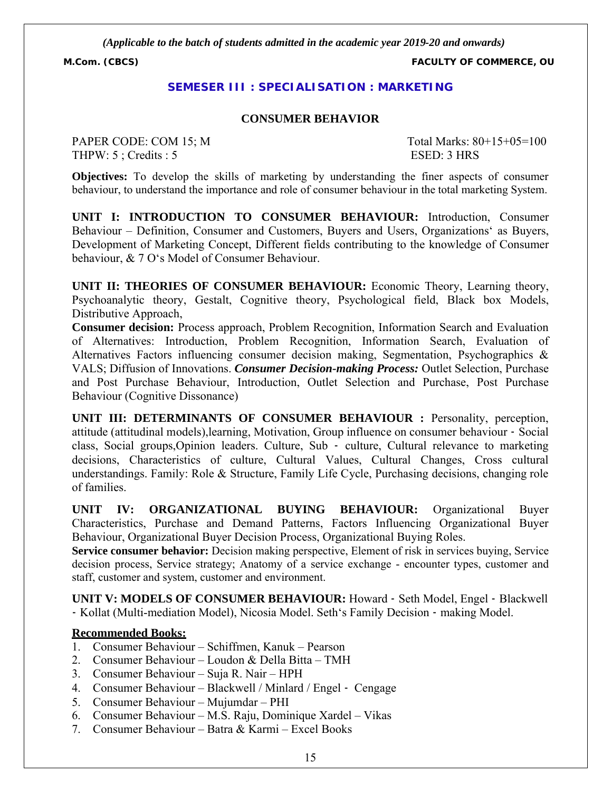**M.Com. (CBCS) FACULTY OF COMMERCE, OU**

#### **SEMESER III : SPECIALISATION : MARKETING**

#### **CONSUMER BEHAVIOR**

PAPER CODE: COM 15; M Total Marks: 80+15+05=100 THPW: 5 ; Credits : 5 ESED: 3 HRS

**Objectives:** To develop the skills of marketing by understanding the finer aspects of consumer behaviour, to understand the importance and role of consumer behaviour in the total marketing System.

**UNIT I: INTRODUCTION TO CONSUMER BEHAVIOUR:** Introduction, Consumer Behaviour – Definition, Consumer and Customers, Buyers and Users, Organizations' as Buyers, Development of Marketing Concept, Different fields contributing to the knowledge of Consumer behaviour, & 7 O's Model of Consumer Behaviour.

**UNIT II: THEORIES OF CONSUMER BEHAVIOUR:** Economic Theory, Learning theory, Psychoanalytic theory, Gestalt, Cognitive theory, Psychological field, Black box Models, Distributive Approach,

**Consumer decision:** Process approach, Problem Recognition, Information Search and Evaluation of Alternatives: Introduction, Problem Recognition, Information Search, Evaluation of Alternatives Factors influencing consumer decision making, Segmentation, Psychographics & VALS; Diffusion of Innovations. *Consumer Decision-making Process:* Outlet Selection, Purchase and Post Purchase Behaviour, Introduction, Outlet Selection and Purchase, Post Purchase Behaviour (Cognitive Dissonance)

**UNIT III: DETERMINANTS OF CONSUMER BEHAVIOUR : Personality, perception,** attitude (attitudinal models),learning, Motivation, Group influence on consumer behaviour ‐ Social class, Social groups,Opinion leaders. Culture, Sub ‐ culture, Cultural relevance to marketing decisions, Characteristics of culture, Cultural Values, Cultural Changes, Cross cultural understandings. Family: Role & Structure, Family Life Cycle, Purchasing decisions, changing role of families.

**UNIT IV: ORGANIZATIONAL BUYING BEHAVIOUR:** Organizational Buyer Characteristics, Purchase and Demand Patterns, Factors Influencing Organizational Buyer Behaviour, Organizational Buyer Decision Process, Organizational Buying Roles.

**Service consumer behavior:** Decision making perspective, Element of risk in services buying, Service decision process, Service strategy; Anatomy of a service exchange - encounter types, customer and staff, customer and system, customer and environment.

**UNIT V: MODELS OF CONSUMER BEHAVIOUR:** Howard ‐ Seth Model, Engel ‐ Blackwell ‐ Kollat (Multi-mediation Model), Nicosia Model. Seth's Family Decision ‐ making Model.

#### **Recommended Books:**

- 1. Consumer Behaviour Schiffmen, Kanuk Pearson
- 2. Consumer Behaviour Loudon & Della Bitta TMH
- 3. Consumer Behaviour Suja R. Nair HPH
- 4. Consumer Behaviour Blackwell / Minlard / Engel ‐ Cengage
- 5. Consumer Behaviour Mujumdar PHI
- 6. Consumer Behaviour M.S. Raju, Dominique Xardel Vikas
- 7. Consumer Behaviour Batra & Karmi Excel Books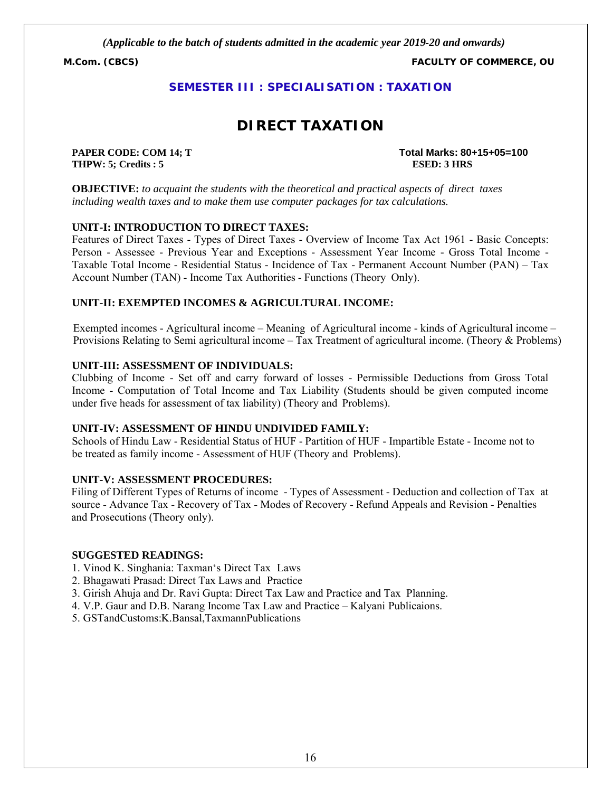**M.Com. (CBCS) FACULTY OF COMMERCE, OU**

### **SEMESTER III : SPECIALISATION : TAXATION**

# **DIRECT TAXATION**

**THPW: 5; Credits : 5 ESED: 3 HRS**

**PAPER CODE: COM 14; T Total Marks: 80+15+05=100**

**OBJECTIVE:** *to acquaint the students with the theoretical and practical aspects of direct taxes including wealth taxes and to make them use computer packages for tax calculations.*

#### **UNIT-I: INTRODUCTION TO DIRECT TAXES:**

Features of Direct Taxes - Types of Direct Taxes - Overview of Income Tax Act 1961 - Basic Concepts: Person - Assessee - Previous Year and Exceptions - Assessment Year Income - Gross Total Income - Taxable Total Income - Residential Status - Incidence of Tax - Permanent Account Number (PAN) – Tax Account Number (TAN) - Income Tax Authorities - Functions (Theory Only).

#### **UNIT-II: EXEMPTED INCOMES & AGRICULTURAL INCOME:**

Exempted incomes - Agricultural income – Meaning of Agricultural income - kinds of Agricultural income – Provisions Relating to Semi agricultural income – Tax Treatment of agricultural income. (Theory & Problems)

#### **UNIT-III: ASSESSMENT OF INDIVIDUALS:**

Clubbing of Income - Set off and carry forward of losses - Permissible Deductions from Gross Total Income - Computation of Total Income and Tax Liability (Students should be given computed income under five heads for assessment of tax liability) (Theory and Problems).

#### **UNIT-IV: ASSESSMENT OF HINDU UNDIVIDED FAMILY:**

Schools of Hindu Law - Residential Status of HUF - Partition of HUF - Impartible Estate - Income not to be treated as family income - Assessment of HUF (Theory and Problems).

#### **UNIT-V: ASSESSMENT PROCEDURES:**

 Filing of Different Types of Returns of income - Types of Assessment - Deduction and collection of Tax at source - Advance Tax - Recovery of Tax - Modes of Recovery - Refund Appeals and Revision - Penalties and Prosecutions (Theory only).

- 1. Vinod K. Singhania: Taxman's Direct Tax Laws
- 2. Bhagawati Prasad: Direct Tax Laws and Practice
- 3. Girish Ahuja and Dr. Ravi Gupta: Direct Tax Law and Practice and Tax Planning.
- 4. V.P. Gaur and D.B. Narang Income Tax Law and Practice Kalyani Publicaions.
- 5. GSTandCustoms:K.Bansal,TaxmannPublications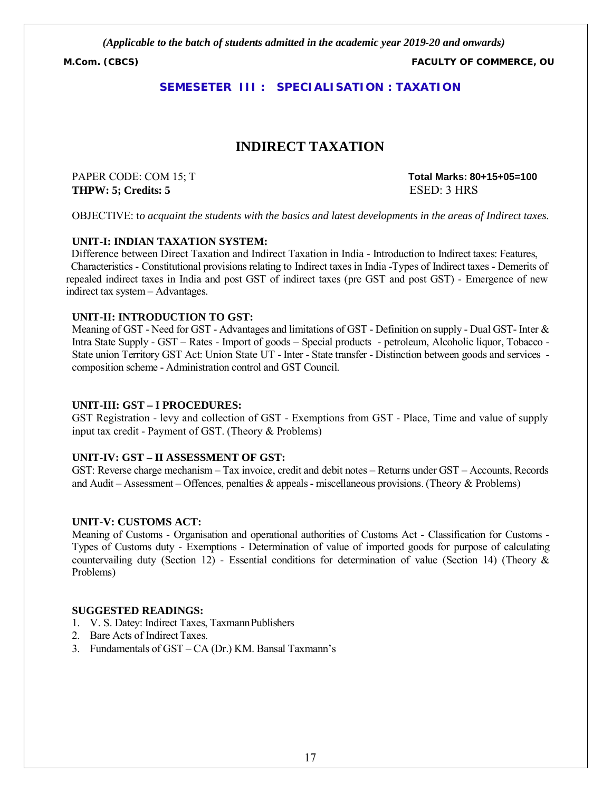**M.Com. (CBCS) FACULTY OF COMMERCE, OU**

#### **SEMESETER III : SPECIALISATION : TAXATION**

# **INDIRECT TAXATION**

**THPW: 5; Credits: 5** ESED: 3 HRS

PAPER CODE: COM 15; T **Total Marks: 80+15+05=100**

OBJECTIVE: t*o acquaint the students with the basics and latest developments in the areas of Indirect taxes.*

#### **UNIT-I: INDIAN TAXATION SYSTEM:**

 Difference between Direct Taxation and Indirect Taxation in India - Introduction to Indirect taxes: Features, Characteristics - Constitutional provisions relating to Indirect taxes in India -Types of Indirect taxes - Demerits of repealed indirect taxes in India and post GST of indirect taxes (pre GST and post GST) - Emergence of new indirect tax system – Advantages.

#### **UNIT-II: INTRODUCTION TO GST:**

Meaning of GST - Need for GST - Advantages and limitations of GST - Definition on supply - Dual GST- Inter & Intra State Supply - GST – Rates - Import of goods – Special products - petroleum, Alcoholic liquor, Tobacco - State union Territory GST Act: Union State UT - Inter - State transfer - Distinction between goods and services composition scheme - Administration control and GST Council.

#### **UNIT-III: GST – I PROCEDURES:**

GST Registration - levy and collection of GST - Exemptions from GST - Place, Time and value of supply input tax credit - Payment of GST. (Theory & Problems)

#### **UNIT-IV: GST – II ASSESSMENT OF GST:**

GST: Reverse charge mechanism – Tax invoice, credit and debit notes – Returns under GST – Accounts, Records and Audit – Assessment – Offences, penalties & appeals - miscellaneous provisions. (Theory & Problems)

#### **UNIT-V: CUSTOMS ACT:**

Meaning of Customs - Organisation and operational authorities of Customs Act - Classification for Customs - Types of Customs duty - Exemptions - Determination of value of imported goods for purpose of calculating countervailing duty (Section 12) - Essential conditions for determination of value (Section 14) (Theory  $\&$ Problems)

- 1. V. S. Datey: Indirect Taxes, TaxmannPublishers
- 2. Bare Acts of Indirect Taxes.
- 3. Fundamentals of GST CA (Dr.) KM. Bansal Taxmann's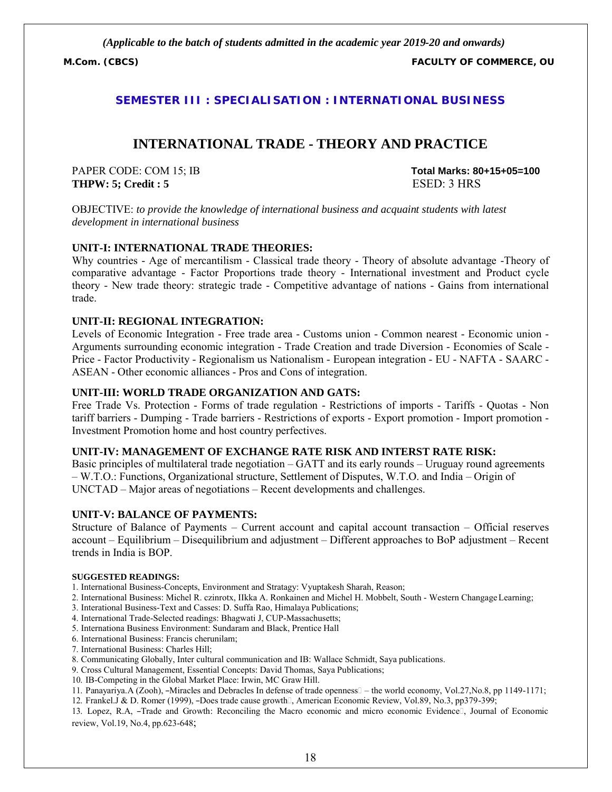**M.Com. (CBCS) FACULTY OF COMMERCE, OU**

#### **SEMESTER III : SPECIALISATION : INTERNATIONAL BUSINESS**

# **INTERNATIONAL TRADE - THEORY AND PRACTICE**

PAPER CODE: COM 15; IB **Total Marks: 80+15+05=100 THPW: 5; Credit : 5** ESED: 3 HRS

OBJECTIVE: *to provide the knowledge of international business and acquaint students with latest development in international business*

#### **UNIT-I: INTERNATIONAL TRADE THEORIES:**

Why countries - Age of mercantilism - Classical trade theory - Theory of absolute advantage -Theory of comparative advantage - Factor Proportions trade theory - International investment and Product cycle theory - New trade theory: strategic trade - Competitive advantage of nations - Gains from international trade.

#### **UNIT-II: REGIONAL INTEGRATION:**

Levels of Economic Integration - Free trade area - Customs union - Common nearest - Economic union - Arguments surrounding economic integration - Trade Creation and trade Diversion - Economies of Scale - Price - Factor Productivity - Regionalism us Nationalism - European integration - EU - NAFTA - SAARC - ASEAN - Other economic alliances - Pros and Cons of integration.

#### **UNIT-III: WORLD TRADE ORGANIZATION AND GATS:**

Free Trade Vs. Protection - Forms of trade regulation - Restrictions of imports - Tariffs - Quotas - Non tariff barriers - Dumping - Trade barriers - Restrictions of exports - Export promotion - Import promotion - Investment Promotion home and host country perfectives.

#### **UNIT-IV: MANAGEMENT OF EXCHANGE RATE RISK AND INTERST RATE RISK:**

Basic principles of multilateral trade negotiation – GATT and its early rounds – Uruguay round agreements – W.T.O.: Functions, Organizational structure, Settlement of Disputes, W.T.O. and India – Origin of UNCTAD – Major areas of negotiations – Recent developments and challenges.

#### **UNIT-V: BALANCE OF PAYMENTS:**

Structure of Balance of Payments – Current account and capital account transaction – Official reserves account – Equilibrium – Disequilibrium and adjustment – Different approaches to BoP adjustment – Recent trends in India is BOP.

#### **SUGGESTED READINGS:**

- 1. International Business-Concepts, Environment and Stratagy: Vyuptakesh Sharah, Reason;
- 2. International Business: Michel R. czinrotx, IIkka A. Ronkainen and Michel H. Mobbelt, South Western Changage Learning;
- 3. Interational Business-Text and Casses: D. Suffa Rao, Himalaya Publications;
- 4. International Trade-Selected readings: Bhagwati J, CUP-Massachusetts;
- 5. Internationa Business Environment: Sundaram and Black, Prentice Hall
- 6. International Business: Francis cherunilam;
- 7. International Business: Charles Hill;
- 8. Communicating Globally, Inter cultural communication and IB: Wallace Schmidt, Saya publications.
- 9. Cross Cultural Management, Essential Concepts: David Thomas, Saya Publications;
- 10. IB-Competing in the Global Market Place: Irwin, MC Graw Hill.
- 11. Panayariya.A (Zooh), ―Miracles and Debracles In defense of trade openness the world economy, Vol.27,No.8, pp 1149-1171;
- 12. Frankel.J & D. Romer (1999), –Does trade cause growth□, American Economic Review, Vol.89, No.3, pp379-399;

13. Lopez, R.A, -Trade and Growth: Reconciling the Macro economic and micro economic Evidence<sup>[]</sup>, Journal of Economic review, Vol.19, No.4, pp.623-648;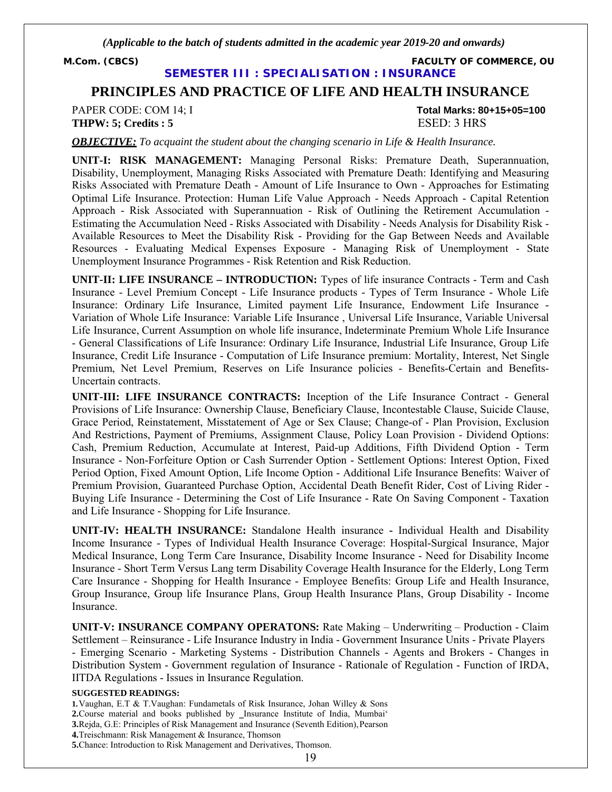**M.Com. (CBCS) FACULTY OF COMMERCE, OU**

**SEMESTER III : SPECIALISATION : INSURANCE**

# **PRINCIPLES AND PRACTICE OF LIFE AND HEALTH INSURANCE**

PAPER CODE: COM 14; I **Total Marks: 80+15+05=100 THPW: 5; Credits : 5** ESED: 3 HRS

*OBJECTIVE: To acquaint the student about the changing scenario in Life & Health Insurance.*

**UNIT-I: RISK MANAGEMENT:** Managing Personal Risks: Premature Death, Superannuation, Disability, Unemployment, Managing Risks Associated with Premature Death: Identifying and Measuring Risks Associated with Premature Death - Amount of Life Insurance to Own - Approaches for Estimating Optimal Life Insurance. Protection: Human Life Value Approach - Needs Approach - Capital Retention Approach - Risk Associated with Superannuation - Risk of Outlining the Retirement Accumulation - Estimating the Accumulation Need - Risks Associated with Disability - Needs Analysis for Disability Risk - Available Resources to Meet the Disability Risk - Providing for the Gap Between Needs and Available Resources - Evaluating Medical Expenses Exposure - Managing Risk of Unemployment - State Unemployment Insurance Programmes - Risk Retention and Risk Reduction.

**UNIT-II: LIFE INSURANCE – INTRODUCTION:** Types of life insurance Contracts - Term and Cash Insurance - Level Premium Concept - Life Insurance products - Types of Term Insurance - Whole Life Insurance: Ordinary Life Insurance, Limited payment Life Insurance, Endowment Life Insurance - Variation of Whole Life Insurance: Variable Life Insurance , Universal Life Insurance, Variable Universal Life Insurance, Current Assumption on whole life insurance, Indeterminate Premium Whole Life Insurance - General Classifications of Life Insurance: Ordinary Life Insurance, Industrial Life Insurance, Group Life Insurance, Credit Life Insurance - Computation of Life Insurance premium: Mortality, Interest, Net Single Premium, Net Level Premium, Reserves on Life Insurance policies - Benefits-Certain and Benefits-Uncertain contracts.

**UNIT-III: LIFE INSURANCE CONTRACTS:** Inception of the Life Insurance Contract - General Provisions of Life Insurance: Ownership Clause, Beneficiary Clause, Incontestable Clause, Suicide Clause, Grace Period, Reinstatement, Misstatement of Age or Sex Clause; Change-of - Plan Provision, Exclusion And Restrictions, Payment of Premiums, Assignment Clause, Policy Loan Provision - Dividend Options: Cash, Premium Reduction, Accumulate at Interest, Paid-up Additions, Fifth Dividend Option - Term Insurance - Non-Forfeiture Option or Cash Surrender Option - Settlement Options: Interest Option, Fixed Period Option, Fixed Amount Option, Life Income Option - Additional Life Insurance Benefits: Waiver of Premium Provision, Guaranteed Purchase Option, Accidental Death Benefit Rider, Cost of Living Rider - Buying Life Insurance - Determining the Cost of Life Insurance - Rate On Saving Component - Taxation and Life Insurance - Shopping for Life Insurance.

**UNIT-IV: HEALTH INSURANCE:** Standalone Health insurance **-** Individual Health and Disability Income Insurance - Types of Individual Health Insurance Coverage: Hospital-Surgical Insurance, Major Medical Insurance, Long Term Care Insurance, Disability Income Insurance - Need for Disability Income Insurance - Short Term Versus Lang term Disability Coverage Health Insurance for the Elderly, Long Term Care Insurance - Shopping for Health Insurance - Employee Benefits: Group Life and Health Insurance, Group Insurance, Group life Insurance Plans, Group Health Insurance Plans, Group Disability - Income Insurance.

**UNIT-V: INSURANCE COMPANY OPERATONS:** Rate Making – Underwriting – Production - Claim Settlement – Reinsurance - Life Insurance Industry in India - Government Insurance Units - Private Players - Emerging Scenario - Marketing Systems - Distribution Channels - Agents and Brokers - Changes in Distribution System - Government regulation of Insurance - Rationale of Regulation - Function of IRDA, IITDA Regulations - Issues in Insurance Regulation.

#### **SUGGESTED READINGS:**

**1.**Vaughan, E.T & T.Vaughan: Fundametals of Risk Insurance, Johan Willey & Sons **2.**Course material and books published by \_Insurance Institute of India, Mumbai' **3.**Rejda, G.E: Principles of Risk Management and Insurance (Seventh Edition),Pearson **4.**Treischmann: Risk Management & Insurance, Thomson **5.**Chance: Introduction to Risk Management and Derivatives, Thomson.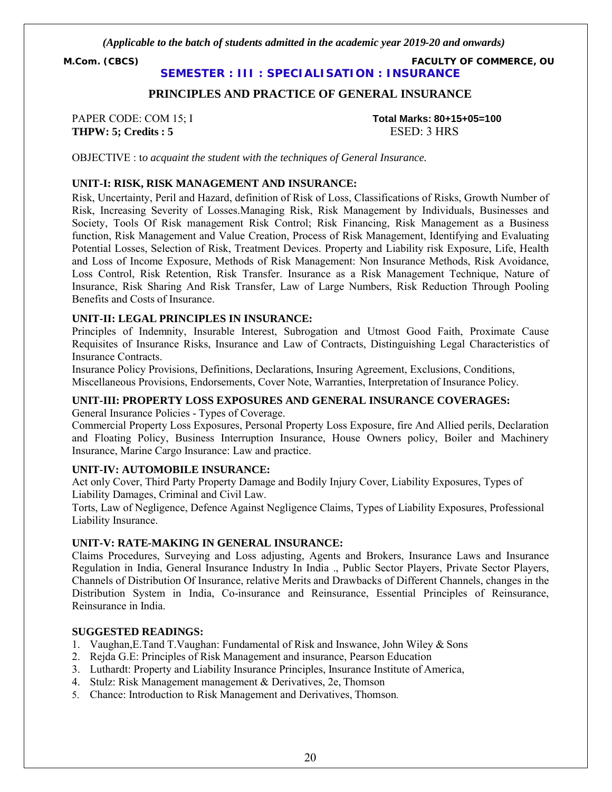**M.Com. (CBCS) FACULTY OF COMMERCE, OU**

**SEMESTER : III : SPECIALISATION : INSURANCE**

#### **PRINCIPLES AND PRACTICE OF GENERAL INSURANCE**

**THPW: 5; Credits : 5** ESED: 3 HRS

PAPER CODE: COM 15; I **Total Marks: 80+15+05=100**

OBJECTIVE : t*o acquaint the student with the techniques of General Insurance.*

#### **UNIT-I: RISK, RISK MANAGEMENT AND INSURANCE:**

Risk, Uncertainty, Peril and Hazard, definition of Risk of Loss, Classifications of Risks, Growth Number of Risk, Increasing Severity of Losses.Managing Risk, Risk Management by Individuals, Businesses and Society, Tools Of Risk management Risk Control; Risk Financing, Risk Management as a Business function, Risk Management and Value Creation, Process of Risk Management, Identifying and Evaluating Potential Losses, Selection of Risk, Treatment Devices. Property and Liability risk Exposure, Life, Health and Loss of Income Exposure, Methods of Risk Management: Non Insurance Methods, Risk Avoidance, Loss Control, Risk Retention, Risk Transfer. Insurance as a Risk Management Technique, Nature of Insurance, Risk Sharing And Risk Transfer, Law of Large Numbers, Risk Reduction Through Pooling Benefits and Costs of Insurance.

#### **UNIT-II: LEGAL PRINCIPLES IN INSURANCE:**

Principles of Indemnity, Insurable Interest, Subrogation and Utmost Good Faith, Proximate Cause Requisites of Insurance Risks, Insurance and Law of Contracts, Distinguishing Legal Characteristics of Insurance Contracts.

Insurance Policy Provisions, Definitions, Declarations, Insuring Agreement, Exclusions, Conditions, Miscellaneous Provisions, Endorsements, Cover Note, Warranties, Interpretation of Insurance Policy.

#### **UNIT-III: PROPERTY LOSS EXPOSURES AND GENERAL INSURANCE COVERAGES:**

General Insurance Policies - Types of Coverage.

Commercial Property Loss Exposures, Personal Property Loss Exposure, fire And Allied perils, Declaration and Floating Policy, Business Interruption Insurance, House Owners policy, Boiler and Machinery Insurance, Marine Cargo Insurance: Law and practice.

#### **UNIT-IV: AUTOMOBILE INSURANCE:**

Act only Cover, Third Party Property Damage and Bodily Injury Cover, Liability Exposures, Types of Liability Damages, Criminal and Civil Law.

Torts, Law of Negligence, Defence Against Negligence Claims, Types of Liability Exposures, Professional Liability Insurance.

#### **UNIT-V: RATE-MAKING IN GENERAL INSURANCE:**

Claims Procedures, Surveying and Loss adjusting, Agents and Brokers, Insurance Laws and Insurance Regulation in India, General Insurance Industry In India ., Public Sector Players, Private Sector Players, Channels of Distribution Of Insurance, relative Merits and Drawbacks of Different Channels, changes in the Distribution System in India, Co-insurance and Reinsurance, Essential Principles of Reinsurance, Reinsurance in India.

- 1. Vaughan,E.Tand T.Vaughan: Fundamental of Risk and Inswance, John Wiley & Sons
- 2. Rejda G.E: Principles of Risk Management and insurance, Pearson Education
- 3. Luthardt: Property and Liability Insurance Principles, Insurance Institute of America,
- 4. Stulz: Risk Management management & Derivatives, 2e, Thomson
- 5. Chance: Introduction to Risk Management and Derivatives, Thomson.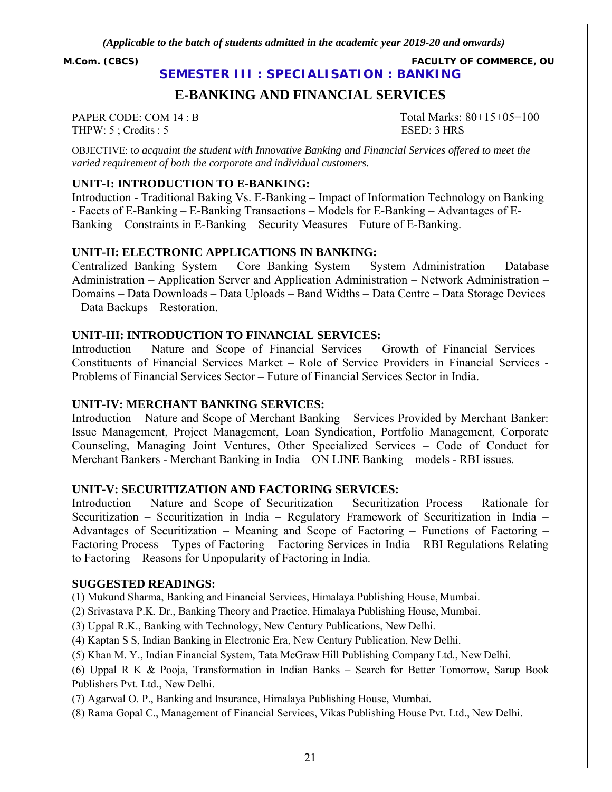**M.Com. (CBCS) FACULTY OF COMMERCE, OU**

**SEMESTER III : SPECIALISATION : BANKING**

# **E-BANKING AND FINANCIAL SERVICES**

THPW: 5; Credits : 5 ESED: 3 HRS

PAPER CODE: COM 14 : B Total Marks:  $80+15+05=100$ 

OBJECTIVE: t*o acquaint the student with Innovative Banking and Financial Services offered to meet the varied requirement of both the corporate and individual customers.*

### **UNIT-I: INTRODUCTION TO E-BANKING:**

Introduction - Traditional Baking Vs. E-Banking – Impact of Information Technology on Banking - Facets of E-Banking – E-Banking Transactions – Models for E-Banking – Advantages of E-Banking – Constraints in E-Banking – Security Measures – Future of E-Banking.

#### **UNIT-II: ELECTRONIC APPLICATIONS IN BANKING:**

Centralized Banking System – Core Banking System – System Administration – Database Administration – Application Server and Application Administration – Network Administration – Domains – Data Downloads – Data Uploads – Band Widths – Data Centre – Data Storage Devices – Data Backups – Restoration.

#### **UNIT-III: INTRODUCTION TO FINANCIAL SERVICES:**

Introduction – Nature and Scope of Financial Services – Growth of Financial Services – Constituents of Financial Services Market – Role of Service Providers in Financial Services - Problems of Financial Services Sector – Future of Financial Services Sector in India.

#### **UNIT-IV: MERCHANT BANKING SERVICES:**

Introduction – Nature and Scope of Merchant Banking – Services Provided by Merchant Banker: Issue Management, Project Management, Loan Syndication, Portfolio Management, Corporate Counseling, Managing Joint Ventures, Other Specialized Services – Code of Conduct for Merchant Bankers - Merchant Banking in India – ON LINE Banking – models - RBI issues.

#### **UNIT-V: SECURITIZATION AND FACTORING SERVICES:**

Introduction – Nature and Scope of Securitization – Securitization Process – Rationale for Securitization – Securitization in India – Regulatory Framework of Securitization in India – Advantages of Securitization – Meaning and Scope of Factoring – Functions of Factoring – Factoring Process – Types of Factoring – Factoring Services in India – RBI Regulations Relating to Factoring – Reasons for Unpopularity of Factoring in India.

#### **SUGGESTED READINGS:**

(1) Mukund Sharma, Banking and Financial Services, Himalaya Publishing House, Mumbai.

(2) Srivastava P.K. Dr., Banking Theory and Practice, Himalaya Publishing House, Mumbai.

(3) Uppal R.K., Banking with Technology, New Century Publications, New Delhi.

(4) Kaptan S S, Indian Banking in Electronic Era, New Century Publication, New Delhi.

(5) Khan M. Y., Indian Financial System, Tata McGraw Hill Publishing Company Ltd., New Delhi.

(6) Uppal R K & Pooja, Transformation in Indian Banks – Search for Better Tomorrow, Sarup Book Publishers Pvt. Ltd., New Delhi.

(7) Agarwal O. P., Banking and Insurance, Himalaya Publishing House, Mumbai.

(8) Rama Gopal C., Management of Financial Services, Vikas Publishing House Pvt. Ltd., New Delhi.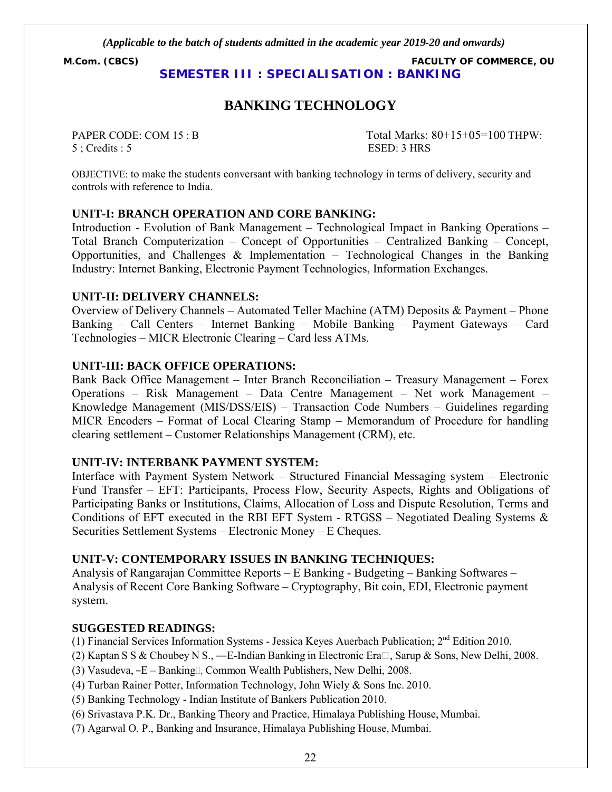**M.Com. (CBCS) FACULTY OF COMMERCE, OU SEMESTER III : SPECIALISATION : BANKING**

# **BANKING TECHNOLOGY**

5 ; Credits : 5 ESED: 3 HRS

PAPER CODE: COM 15 : B Total Marks: 80+15+05=100 THPW:

OBJECTIVE: to make the students conversant with banking technology in terms of delivery, security and controls with reference to India.

#### **UNIT-I: BRANCH OPERATION AND CORE BANKING:**

Introduction - Evolution of Bank Management – Technological Impact in Banking Operations – Total Branch Computerization – Concept of Opportunities – Centralized Banking – Concept, Opportunities, and Challenges  $\&$  Implementation – Technological Changes in the Banking Industry: Internet Banking, Electronic Payment Technologies, Information Exchanges.

#### **UNIT-II: DELIVERY CHANNELS:**

Overview of Delivery Channels – Automated Teller Machine (ATM) Deposits & Payment – Phone Banking – Call Centers – Internet Banking – Mobile Banking – Payment Gateways – Card Technologies – MICR Electronic Clearing – Card less ATMs.

#### **UNIT-III: BACK OFFICE OPERATIONS:**

Bank Back Office Management – Inter Branch Reconciliation – Treasury Management – Forex Operations – Risk Management – Data Centre Management – Net work Management – Knowledge Management (MIS/DSS/EIS) – Transaction Code Numbers – Guidelines regarding MICR Encoders – Format of Local Clearing Stamp – Memorandum of Procedure for handling clearing settlement – Customer Relationships Management (CRM), etc.

#### **UNIT-IV: INTERBANK PAYMENT SYSTEM:**

Interface with Payment System Network – Structured Financial Messaging system – Electronic Fund Transfer – EFT: Participants, Process Flow, Security Aspects, Rights and Obligations of Participating Banks or Institutions, Claims, Allocation of Loss and Dispute Resolution, Terms and Conditions of EFT executed in the RBI EFT System - RTGSS – Negotiated Dealing Systems  $\&$ Securities Settlement Systems – Electronic Money – E Cheques.

#### **UNIT-V: CONTEMPORARY ISSUES IN BANKING TECHNIQUES:**

Analysis of Rangarajan Committee Reports – E Banking - Budgeting – Banking Softwares – Analysis of Recent Core Banking Software – Cryptography, Bit coin, EDI, Electronic payment system.

#### **SUGGESTED READINGS:**

(1) Financial Services Information Systems - Jessica Keyes Auerbach Publication; 2nd Edition 2010.

- (2) Kaptan S S & Choubey N S., —E-Indian Banking in Electronic Era $\Box$ , Sarup & Sons, New Delhi, 2008.
- (3) Vasudeva,  $-E$  Banking $\square$ , Common Wealth Publishers, New Delhi, 2008.
- (4) Turban Rainer Potter, Information Technology, John Wiely & Sons Inc. 2010.
- (5) Banking Technology Indian Institute of Bankers Publication 2010.
- (6) Srivastava P.K. Dr., Banking Theory and Practice, Himalaya Publishing House, Mumbai.
- (7) Agarwal O. P., Banking and Insurance, Himalaya Publishing House, Mumbai.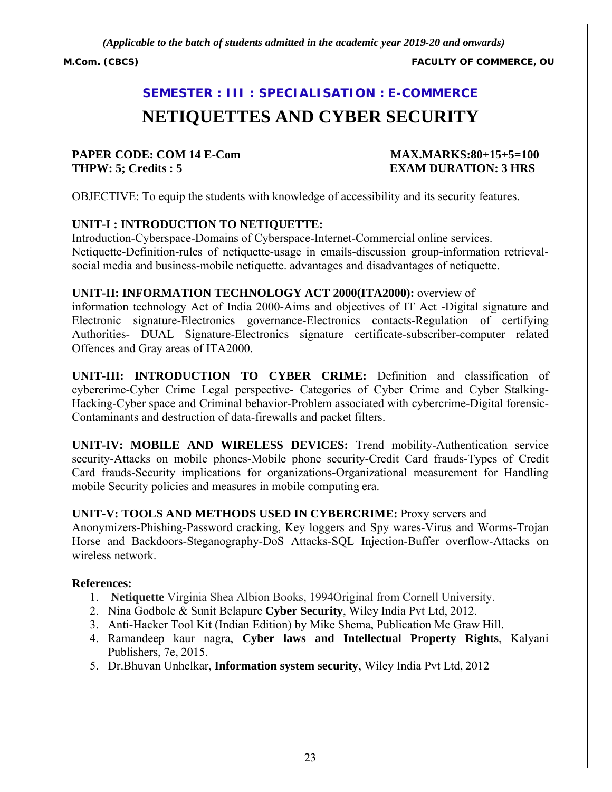**M.Com. (CBCS) FACULTY OF COMMERCE, OU**

# **SEMESTER : III : SPECIALISATION : E-COMMERCE**

# **NETIQUETTES AND CYBER SECURITY**

# **PAPER CODE: COM 14 E-Com MAX.MARKS:80+15+5=100 THPW: 5; Credits : 5 EXAM DURATION: 3 HRS**

OBJECTIVE: To equip the students with knowledge of accessibility and its security features.

# **UNIT-I : INTRODUCTION TO NETIQUETTE:**

Introduction-Cyberspace-Domains of Cyberspace-Internet-Commercial online services. Netiquette-Definition-rules of netiquette-usage in emails-discussion group-information retrievalsocial media and business-mobile netiquette. advantages and disadvantages of netiquette.

# **UNIT-II: INFORMATION TECHNOLOGY ACT 2000(ITA2000):** overview of

information technology Act of India 2000-Aims and objectives of IT Act -Digital signature and Electronic signature-Electronics governance-Electronics contacts-Regulation of certifying Authorities- DUAL Signature-Electronics signature certificate-subscriber-computer related Offences and Gray areas of ITA2000.

**UNIT-III: INTRODUCTION TO CYBER CRIME:** Definition and classification of cybercrime-Cyber Crime Legal perspective- Categories of Cyber Crime and Cyber Stalking-Hacking-Cyber space and Criminal behavior-Problem associated with cybercrime-Digital forensic-Contaminants and destruction of data-firewalls and packet filters.

**UNIT-IV: MOBILE AND WIRELESS DEVICES:** Trend mobility-Authentication service security-Attacks on mobile phones-Mobile phone security-Credit Card frauds-Types of Credit Card frauds-Security implications for organizations-Organizational measurement for Handling mobile Security policies and measures in mobile computing era.

# **UNIT-V: TOOLS AND METHODS USED IN CYBERCRIME:** Proxy servers and

Anonymizers-Phishing-Password cracking, Key loggers and Spy wares-Virus and Worms-Trojan Horse and Backdoors-Steganography-DoS Attacks-SQL Injection-Buffer overflow-Attacks on wireless network.

# **References:**

- 1. **Netiquette** Virginia Shea Albion Books, 1994Original from Cornell University.
- 2. Nina Godbole & Sunit Belapure **Cyber Security**, Wiley India Pvt Ltd, 2012.
- 3. Anti-Hacker Tool Kit (Indian Edition) by Mike Shema, Publication Mc Graw Hill.
- 4. Ramandeep kaur nagra, **Cyber laws and Intellectual Property Rights**, Kalyani Publishers, 7e, 2015.
- 5. Dr.Bhuvan Unhelkar, **Information system security**, Wiley India Pvt Ltd, 2012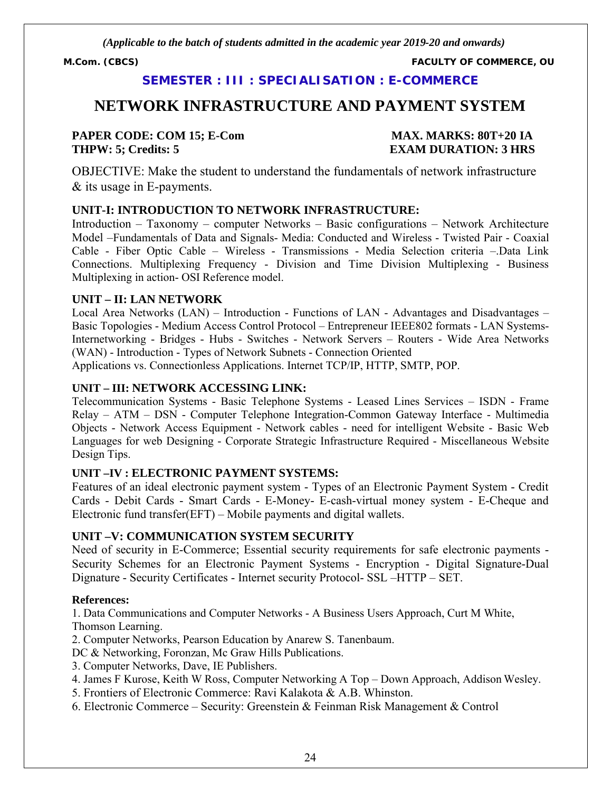**M.Com. (CBCS) FACULTY OF COMMERCE, OU**

# **SEMESTER : III : SPECIALISATION : E-COMMERCE**

# **NETWORK INFRASTRUCTURE AND PAYMENT SYSTEM**

### **PAPER CODE: COM 15; E-Com MAX. MARKS: 80T+20 IA THPW: 5; Credits: 5 EXAM DURATION: 3 HRS**

OBJECTIVE: Make the student to understand the fundamentals of network infrastructure & its usage in E-payments.

### **UNIT-I: INTRODUCTION TO NETWORK INFRASTRUCTURE:**

Introduction – Taxonomy – computer Networks – Basic configurations – Network Architecture Model –Fundamentals of Data and Signals- Media: Conducted and Wireless - Twisted Pair - Coaxial Cable - Fiber Optic Cable – Wireless - Transmissions - Media Selection criteria –.Data Link Connections. Multiplexing Frequency - Division and Time Division Multiplexing - Business Multiplexing in action- OSI Reference model.

#### **UNIT – II: LAN NETWORK**

Local Area Networks (LAN) – Introduction - Functions of LAN - Advantages and Disadvantages – Basic Topologies - Medium Access Control Protocol – Entrepreneur IEEE802 formats - LAN Systems-Internetworking - Bridges - Hubs - Switches - Network Servers – Routers - Wide Area Networks (WAN) - Introduction - Types of Network Subnets - Connection Oriented Applications vs. Connectionless Applications. Internet TCP/IP, HTTP, SMTP, POP.

### **UNIT – III: NETWORK ACCESSING LINK:**

Telecommunication Systems - Basic Telephone Systems - Leased Lines Services – ISDN - Frame Relay – ATM – DSN - Computer Telephone Integration-Common Gateway Interface - Multimedia Objects - Network Access Equipment - Network cables - need for intelligent Website - Basic Web Languages for web Designing - Corporate Strategic Infrastructure Required - Miscellaneous Website Design Tips.

# **UNIT –IV : ELECTRONIC PAYMENT SYSTEMS:**

Features of an ideal electronic payment system - Types of an Electronic Payment System - Credit Cards - Debit Cards - Smart Cards - E-Money- E-cash-virtual money system - E-Cheque and Electronic fund transfer(EFT) – Mobile payments and digital wallets.

#### **UNIT –V: COMMUNICATION SYSTEM SECURITY**

Need of security in E-Commerce; Essential security requirements for safe electronic payments - Security Schemes for an Electronic Payment Systems - Encryption - Digital Signature-Dual Dignature - Security Certificates - Internet security Protocol- SSL –HTTP – SET.

#### **References:**

1. Data Communications and Computer Networks - A Business Users Approach, Curt M White, Thomson Learning.

2. Computer Networks, Pearson Education by Anarew S. Tanenbaum.

DC & Networking, Foronzan, Mc Graw Hills Publications.

- 3. Computer Networks, Dave, IE Publishers.
- 4. James F Kurose, Keith W Ross, Computer Networking A Top Down Approach, Addison Wesley.
- 5. Frontiers of Electronic Commerce: Ravi Kalakota & A.B. Whinston.
- 6. Electronic Commerce Security: Greenstein & Feinman Risk Management & Control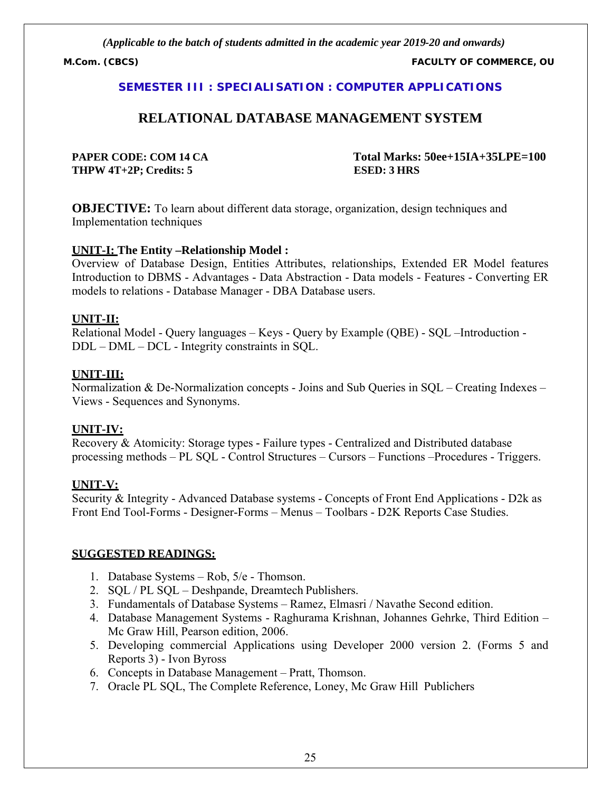**M.Com. (CBCS) FACULTY OF COMMERCE, OU**

#### **SEMESTER III : SPECIALISATION : COMPUTER APPLICATIONS**

# **RELATIONAL DATABASE MANAGEMENT SYSTEM**

**THPW 4T+2P; Credits: 5 ESED: 3 HRS**

**PAPER CODE: COM 14 CA Total Marks: 50ee+15IA+35LPE=100**

**OBJECTIVE:** To learn about different data storage, organization, design techniques and Implementation techniques

#### **UNIT-I: The Entity –Relationship Model :**

Overview of Database Design, Entities Attributes, relationships, Extended ER Model features Introduction to DBMS - Advantages - Data Abstraction - Data models - Features - Converting ER models to relations - Database Manager - DBA Database users.

#### **UNIT-II:**

Relational Model - Query languages – Keys - Query by Example (QBE) - SQL –Introduction - DDL – DML – DCL - Integrity constraints in SQL.

#### **UNIT-III:**

Normalization & De-Normalization concepts - Joins and Sub Queries in SQL – Creating Indexes – Views - Sequences and Synonyms.

#### **UNIT-IV:**

Recovery & Atomicity: Storage types **-** Failure types - Centralized and Distributed database processing methods – PL SQL - Control Structures – Cursors – Functions –Procedures - Triggers.

#### **UNIT-V:**

Security & Integrity - Advanced Database systems - Concepts of Front End Applications - D2k as Front End Tool-Forms - Designer-Forms – Menus – Toolbars - D2K Reports Case Studies.

- 1. Database Systems Rob, 5/e Thomson.
- 2. SQL / PL SQL Deshpande, Dreamtech Publishers.
- 3. Fundamentals of Database Systems Ramez, Elmasri / Navathe Second edition.
- 4. Database Management Systems Raghurama Krishnan, Johannes Gehrke, Third Edition Mc Graw Hill, Pearson edition, 2006.
- 5. Developing commercial Applications using Developer 2000 version 2. (Forms 5 and Reports 3) - Ivon Byross
- 6. Concepts in Database Management Pratt, Thomson.
- 7. Oracle PL SQL, The Complete Reference, Loney, Mc Graw Hill Publichers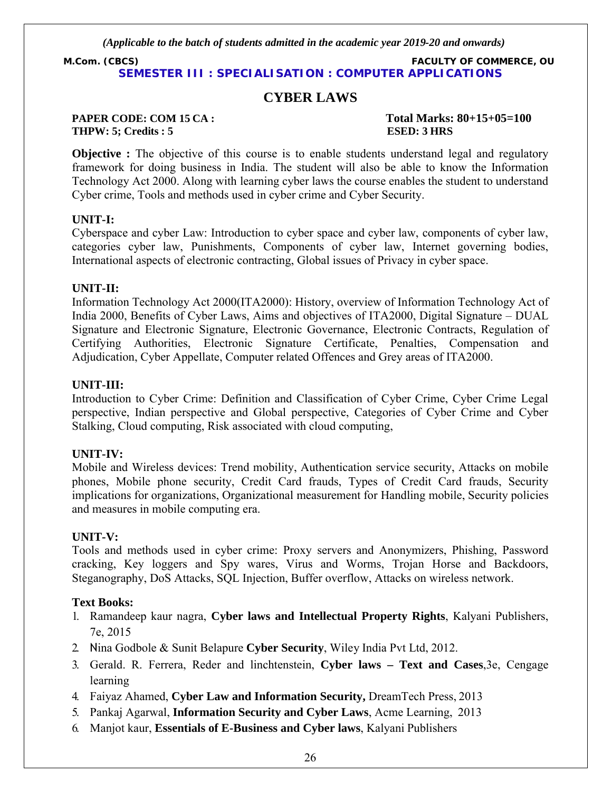**M.Com. (CBCS) FACULTY OF COMMERCE, OU SEMESTER III : SPECIALISATION : COMPUTER APPLICATIONS**

# **CYBER LAWS**

#### **PAPER CODE: COM 15 CA : Total Marks: 80+15+05=100 THPW: 5; Credits : 5 ESED: 3 HRS**

**Objective :** The objective of this course is to enable students understand legal and regulatory framework for doing business in India. The student will also be able to know the Information Technology Act 2000. Along with learning cyber laws the course enables the student to understand Cyber crime, Tools and methods used in cyber crime and Cyber Security.

# **UNIT-I:**

Cyberspace and cyber Law: Introduction to cyber space and cyber law, components of cyber law, categories cyber law, Punishments, Components of cyber law, Internet governing bodies, International aspects of electronic contracting, Global issues of Privacy in cyber space.

# **UNIT-II:**

Information Technology Act 2000(ITA2000): History, overview of Information Technology Act of India 2000, Benefits of Cyber Laws, Aims and objectives of ITA2000, Digital Signature – DUAL Signature and Electronic Signature, Electronic Governance, Electronic Contracts, Regulation of Certifying Authorities, Electronic Signature Certificate, Penalties, Compensation and Adjudication, Cyber Appellate, Computer related Offences and Grey areas of ITA2000.

# **UNIT-III:**

Introduction to Cyber Crime: Definition and Classification of Cyber Crime, Cyber Crime Legal perspective, Indian perspective and Global perspective, Categories of Cyber Crime and Cyber Stalking, Cloud computing, Risk associated with cloud computing,

# **UNIT-IV:**

Mobile and Wireless devices: Trend mobility, Authentication service security, Attacks on mobile phones, Mobile phone security, Credit Card frauds, Types of Credit Card frauds, Security implications for organizations, Organizational measurement for Handling mobile, Security policies and measures in mobile computing era.

# **UNIT-V:**

Tools and methods used in cyber crime: Proxy servers and Anonymizers, Phishing, Password cracking, Key loggers and Spy wares, Virus and Worms, Trojan Horse and Backdoors, Steganography, DoS Attacks, SQL Injection, Buffer overflow, Attacks on wireless network.

# **Text Books:**

- 1. Ramandeep kaur nagra, **Cyber laws and Intellectual Property Rights**, Kalyani Publishers, 7e, 2015
- 2. Nina Godbole & Sunit Belapure **Cyber Security**, Wiley India Pvt Ltd, 2012.
- 3. Gerald. R. Ferrera, Reder and linchtenstein, **Cyber laws Text and Cases**,3e, Cengage learning
- 4. Faiyaz Ahamed, **Cyber Law and Information Security,** DreamTech Press, 2013
- 5. Pankaj Agarwal, **Information Security and Cyber Laws**, Acme Learning, 2013
- 6. Manjot kaur, **Essentials of E-Business and Cyber laws**, Kalyani Publishers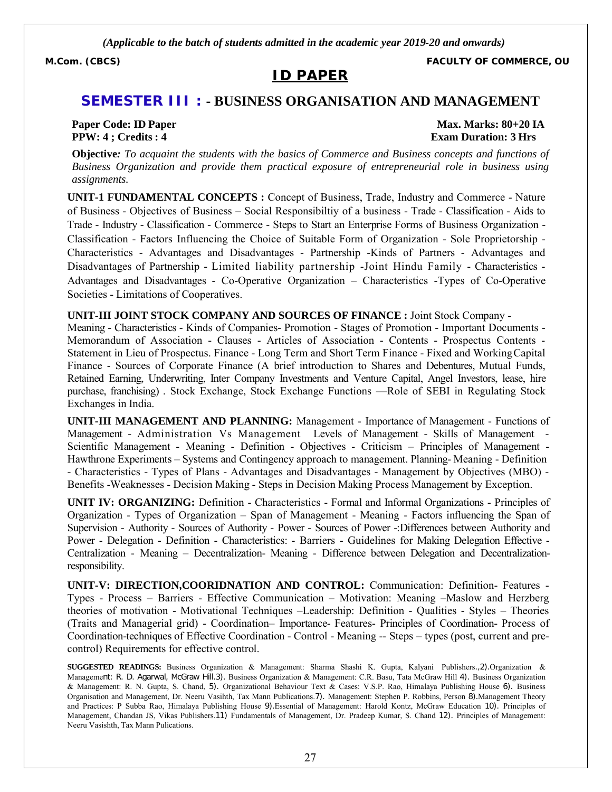# **ID PAPER**

**M.Com. (CBCS) FACULTY OF COMMERCE, OU**

# **SEMESTER III : - BUSINESS ORGANISATION AND MANAGEMENT**

**Paper Code: ID Paper Max. Marks: 80+20 IA PPW: 4 ; Credits : 4 Exam Duration: 3 Hrs** 

**Objective***: To acquaint the students with the basics of Commerce and Business concepts and functions of Business Organization and provide them practical exposure of entrepreneurial role in business using assignments.*

**UNIT-1 FUNDAMENTAL CONCEPTS :** Concept of Business, Trade, Industry and Commerce - Nature of Business - Objectives of Business – Social Responsibiltiy of a business - Trade - Classification - Aids to Trade - Industry - Classification - Commerce - Steps to Start an Enterprise Forms of Business Organization - Classification - Factors Influencing the Choice of Suitable Form of Organization - Sole Proprietorship - Characteristics - Advantages and Disadvantages - Partnership -Kinds of Partners - Advantages and Disadvantages of Partnership - Limited liability partnership -Joint Hindu Family - Characteristics - Advantages and Disadvantages - Co-Operative Organization – Characteristics -Types of Co-Operative Societies - Limitations of Cooperatives.

**UNIT-III JOINT STOCK COMPANY AND SOURCES OF FINANCE :** Joint Stock Company -

Meaning - Characteristics - Kinds of Companies- Promotion - Stages of Promotion - Important Documents - Memorandum of Association - Clauses - Articles of Association - Contents - Prospectus Contents - Statement in Lieu of Prospectus. Finance - Long Term and Short Term Finance - Fixed and WorkingCapital Finance - Sources of Corporate Finance (A brief introduction to Shares and Debentures, Mutual Funds, Retained Earning, Underwriting, Inter Company Investments and Venture Capital, Angel Investors, lease, hire purchase, franchising) . Stock Exchange, Stock Exchange Functions —Role of SEBI in Regulating Stock Exchanges in India.

**UNIT-III MANAGEMENT AND PLANNING:** Management - Importance of Management - Functions of Management - Administration Vs Management Levels of Management - Skills of Management - Scientific Management - Meaning - Definition - Objectives - Criticism – Principles of Management - Hawthrone Experiments – Systems and Contingency approach to management. Planning- Meaning - Definition - Characteristics - Types of Plans - Advantages and Disadvantages - Management by Objectives (MBO) - Benefits -Weaknesses - Decision Making - Steps in Decision Making Process Management by Exception.

**UNIT IV: ORGANIZING:** Definition - Characteristics - Formal and Informal Organizations - Principles of Organization - Types of Organization – Span of Management - Meaning - Factors influencing the Span of Supervision - Authority - Sources of Authority - Power - Sources of Power -:Differences between Authority and Power - Delegation - Definition - Characteristics: - Barriers - Guidelines for Making Delegation Effective - Centralization - Meaning – Decentralization- Meaning - Difference between Delegation and Decentralizationresponsibility.

**UNIT-V: DIRECTION,COORIDNATION AND CONTROL:** Communication: Definition- Features - Types - Process – Barriers - Effective Communication – Motivation: Meaning –Maslow and Herzberg theories of motivation - Motivational Techniques –Leadership: Definition - Qualities - Styles – Theories (Traits and Managerial grid) - Coordination– Importance- Features- Principles of Coordination- Process of Coordination-techniques of Effective Coordination - Control - Meaning -- Steps – types (post, current and precontrol) Requirements for effective control.

**SUGGESTED READINGS:** Business Organization & Management: Sharma Shashi K. Gupta, Kalyani Publishers.,2).Organization & Management: R. D. Agarwal, McGraw Hill.3). Business Organization & Management: C.R. Basu, Tata McGraw Hill 4). Business Organization & Management: R. N. Gupta, S. Chand, 5). Organizational Behaviour Text & Cases: V.S.P. Rao, Himalaya Publishing House 6). Business Organisation and Management, Dr. Neeru Vasihth, Tax Mann Publications.7). Management: Stephen P. Robbins, Person 8).Management Theory and Practices: P Subba Rao, Himalaya Publishing House 9).Essential of Management: Harold Kontz, McGraw Education 10). Principles of Management, Chandan JS, Vikas Publishers.11) Fundamentals of Management, Dr. Pradeep Kumar, S. Chand 12). Principles of Management: Neeru Vasishth, Tax Mann Pulications.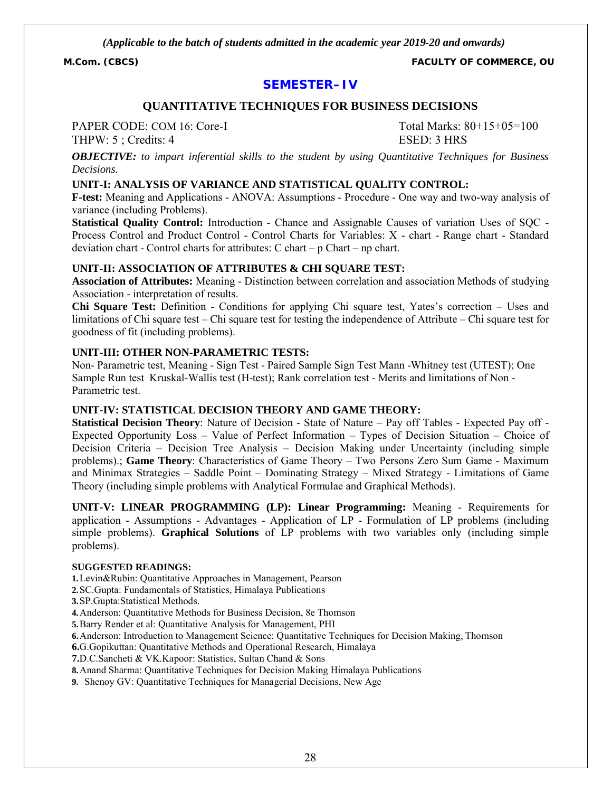**M.Com. (CBCS) FACULTY OF COMMERCE, OU**

# **SEMESTER–IV**

#### **QUANTITATIVE TECHNIQUES FOR BUSINESS DECISIONS**

PAPER CODE: COM 16: Core-I Total Marks: 80+15+05=100

THPW: 5 : Credits: 4 ESED: 3 HRS

*OBJECTIVE: to impart inferential skills to the student by using Quantitative Techniques for Business Decisions.*

#### **UNIT-I: ANALYSIS OF VARIANCE AND STATISTICAL QUALITY CONTROL:**

**F-test:** Meaning and Applications - ANOVA: Assumptions - Procedure - One way and two-way analysis of variance (including Problems).

**Statistical Quality Control:** Introduction - Chance and Assignable Causes of variation Uses of SQC - Process Control and Product Control - Control Charts for Variables: X - chart - Range chart - Standard deviation chart - Control charts for attributes: C chart – p Chart – np chart.

#### **UNIT-II: ASSOCIATION OF ATTRIBUTES & CHI SQUARE TEST:**

**Association of Attributes:** Meaning - Distinction between correlation and association Methods of studying Association - interpretation of results.

**Chi Square Test:** Definition - Conditions for applying Chi square test, Yates's correction – Uses and limitations of Chi square test – Chi square test for testing the independence of Attribute – Chi square test for goodness of fit (including problems).

#### **UNIT-III: OTHER NON-PARAMETRIC TESTS:**

Non- Parametric test, Meaning - Sign Test - Paired Sample Sign Test Mann -Whitney test (UTEST); One Sample Run test Kruskal-Wallis test (H-test); Rank correlation test - Merits and limitations of Non - Parametric test.

#### **UNIT-IV: STATISTICAL DECISION THEORY AND GAME THEORY:**

**Statistical Decision Theory**: Nature of Decision - State of Nature – Pay off Tables - Expected Pay off - Expected Opportunity Loss – Value of Perfect Information – Types of Decision Situation – Choice of Decision Criteria – Decision Tree Analysis – Decision Making under Uncertainty (including simple problems).; **Game Theory**: Characteristics of Game Theory – Two Persons Zero Sum Game - Maximum and Minimax Strategies – Saddle Point – Dominating Strategy – Mixed Strategy - Limitations of Game Theory (including simple problems with Analytical Formulae and Graphical Methods).

**UNIT-V: LINEAR PROGRAMMING (LP): Linear Programming:** Meaning - Requirements for application - Assumptions - Advantages - Application of LP - Formulation of LP problems (including simple problems). **Graphical Solutions** of LP problems with two variables only (including simple problems).

#### **SUGGESTED READINGS:**

**1.**Levin&Rubin: Quantitative Approaches in Management, Pearson

**2.**SC.Gupta: Fundamentals of Statistics, Himalaya Publications

**3.**SP.Gupta:Statistical Methods.

**4.**Anderson: Quantitative Methods for Business Decision, 8e Thomson

**5.**Barry Render et al: Quantitative Analysis for Management, PHI

**6.**Anderson: Introduction to Management Science: Quantitative Techniques for Decision Making, Thomson

**6.**G.Gopikuttan: Quantitative Methods and Operational Research, Himalaya

**7.**D.C.Sancheti & VK.Kapoor: Statistics, Sultan Chand & Sons

**8.**Anand Sharma: Quantitative Techniques for Decision Making Himalaya Publications

**9.** Shenoy GV: Quantitative Techniques for Managerial Decisions, New Age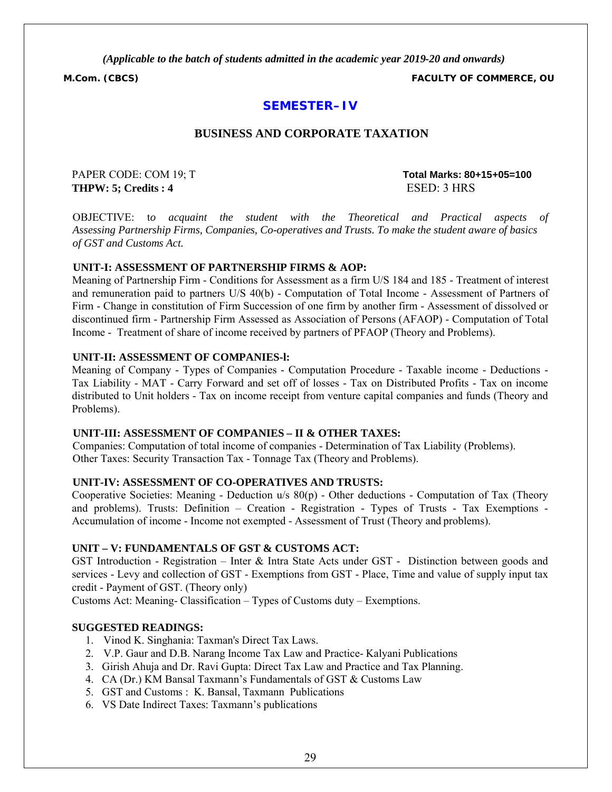**M.Com. (CBCS) FACULTY OF COMMERCE, OU**

# **SEMESTER–IV**

#### **BUSINESS AND CORPORATE TAXATION**

**THPW: 5; Credits : 4 ESED: 3 HRS** 

PAPER CODE: COM 19; T **Total Marks: 80+15+05=100**

OBJECTIVE: t*o acquaint the student with the Theoretical and Practical aspects of Assessing Partnership Firms, Companies, Co-operatives and Trusts. To make the student aware of basics of GST and Customs Act.*

#### **UNIT-I: ASSESSMENT OF PARTNERSHIP FIRMS & AOP:**

Meaning of Partnership Firm - Conditions for Assessment as a firm U/S 184 and 185 - Treatment of interest and remuneration paid to partners U/S 40(b) - Computation of Total Income - Assessment of Partners of Firm - Change in constitution of Firm Succession of one firm by another firm - Assessment of dissolved or discontinued firm - Partnership Firm Assessed as Association of Persons (AFAOP) - Computation of Total Income - Treatment of share of income received by partners of PFAOP (Theory and Problems).

#### **UNIT-II: ASSESSMENT OF COMPANIES-l:**

Meaning of Company - Types of Companies - Computation Procedure - Taxable income - Deductions - Tax Liability - MAT - Carry Forward and set off of losses - Tax on Distributed Profits - Tax on income distributed to Unit holders - Tax on income receipt from venture capital companies and funds (Theory and Problems).

#### **UNIT-III: ASSESSMENT OF COMPANIES – II & OTHER TAXES:**

Companies: Computation of total income of companies - Determination of Tax Liability (Problems). Other Taxes: Security Transaction Tax - Tonnage Tax (Theory and Problems).

#### **UNIT-IV: ASSESSMENT OF CO-OPERATIVES AND TRUSTS:**

Cooperative Societies: Meaning - Deduction u/s 80(p) - Other deductions - Computation of Tax (Theory and problems). Trusts: Definition – Creation - Registration - Types of Trusts - Tax Exemptions - Accumulation of income - Income not exempted - Assessment of Trust (Theory and problems).

#### **UNIT – V: FUNDAMENTALS OF GST & CUSTOMS ACT:**

GST Introduction - Registration – Inter & Intra State Acts under GST - Distinction between goods and services - Levy and collection of GST - Exemptions from GST - Place, Time and value of supply input tax credit - Payment of GST. (Theory only)

Customs Act: Meaning- Classification – Types of Customs duty – Exemptions.

- 1. Vinod K. Singhania: Taxman's Direct Tax Laws.
- 2. V.P. Gaur and D.B. Narang Income Tax Law and Practice- Kalyani Publications
- 3. Girish Ahuja and Dr. Ravi Gupta: Direct Tax Law and Practice and Tax Planning.
- 4. CA (Dr.) KM Bansal Taxmann's Fundamentals of GST & Customs Law
- 5. GST and Customs : K. Bansal, Taxmann Publications
- 6. VS Date Indirect Taxes: Taxmann's publications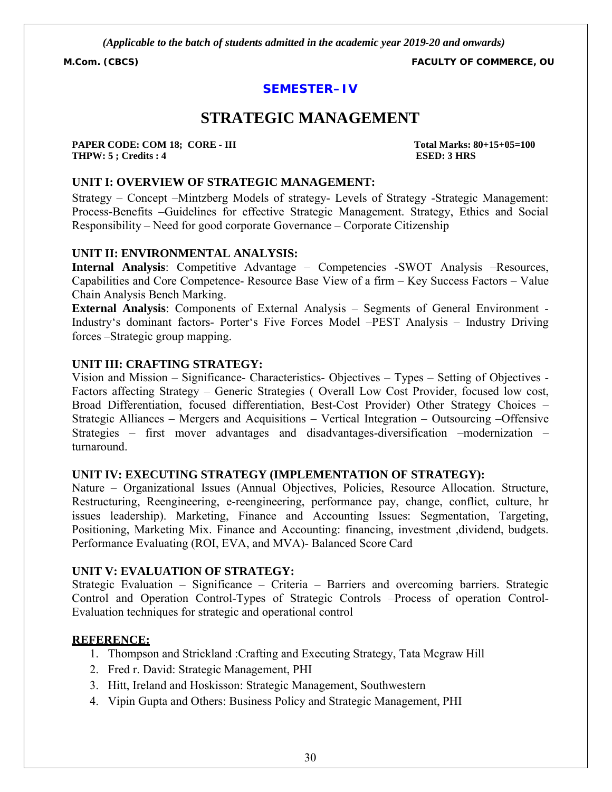**M.Com. (CBCS) FACULTY OF COMMERCE, OU**

# **SEMESTER–IV**

# **STRATEGIC MANAGEMENT**

**PAPER CODE: COM 18; CORE - III Total Marks: 80+15+05=100 THPW: 5 ; Credits : 4 ESED: 3 HRS**

#### **UNIT I: OVERVIEW OF STRATEGIC MANAGEMENT:**

Strategy – Concept –Mintzberg Models of strategy- Levels of Strategy -Strategic Management: Process-Benefits –Guidelines for effective Strategic Management. Strategy, Ethics and Social Responsibility – Need for good corporate Governance – Corporate Citizenship

#### **UNIT II: ENVIRONMENTAL ANALYSIS:**

**Internal Analysis**: Competitive Advantage – Competencies -SWOT Analysis –Resources, Capabilities and Core Competence- Resource Base View of a firm – Key Success Factors – Value Chain Analysis Bench Marking.

**External Analysis**: Components of External Analysis – Segments of General Environment - Industry's dominant factors- Porter's Five Forces Model –PEST Analysis – Industry Driving forces –Strategic group mapping.

#### **UNIT III: CRAFTING STRATEGY:**

Vision and Mission – Significance- Characteristics- Objectives – Types – Setting of Objectives - Factors affecting Strategy – Generic Strategies ( Overall Low Cost Provider, focused low cost, Broad Differentiation, focused differentiation, Best-Cost Provider) Other Strategy Choices – Strategic Alliances – Mergers and Acquisitions – Vertical Integration – Outsourcing –Offensive Strategies – first mover advantages and disadvantages-diversification –modernization – turnaround.

#### **UNIT IV: EXECUTING STRATEGY (IMPLEMENTATION OF STRATEGY):**

Nature – Organizational Issues (Annual Objectives, Policies, Resource Allocation. Structure, Restructuring, Reengineering, e-reengineering, performance pay, change, conflict, culture, hr issues leadership). Marketing, Finance and Accounting Issues: Segmentation, Targeting, Positioning, Marketing Mix. Finance and Accounting: financing, investment ,dividend, budgets. Performance Evaluating (ROI, EVA, and MVA)- Balanced Score Card

#### **UNIT V: EVALUATION OF STRATEGY:**

Strategic Evaluation – Significance – Criteria – Barriers and overcoming barriers. Strategic Control and Operation Control-Types of Strategic Controls –Process of operation Control-Evaluation techniques for strategic and operational control

#### **REFERENCE:**

- 1. Thompson and Strickland :Crafting and Executing Strategy, Tata Mcgraw Hill
- 2. Fred r. David: Strategic Management, PHI
- 3. Hitt, Ireland and Hoskisson: Strategic Management, Southwestern
- 4. Vipin Gupta and Others: Business Policy and Strategic Management, PHI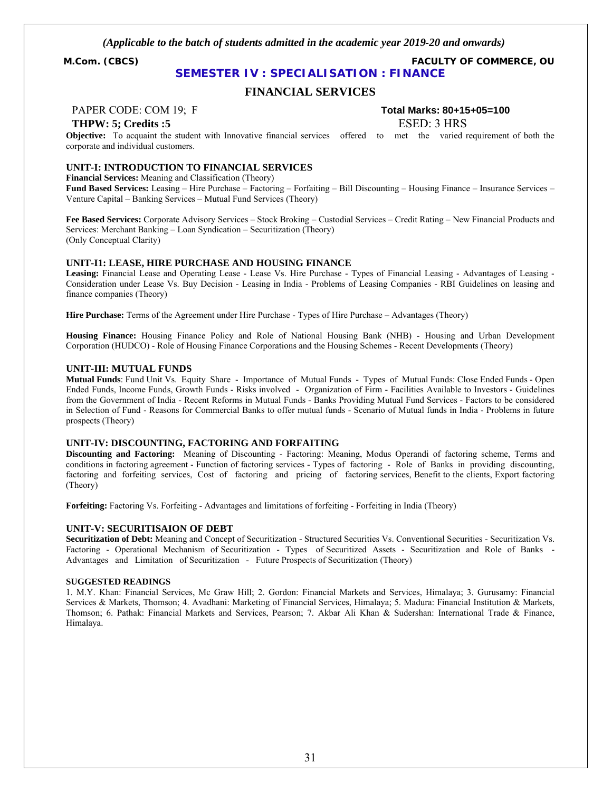**M.Com. (CBCS) FACULTY OF COMMERCE, OU**

### **SEMESTER IV : SPECIALISATION : FINANCE**

#### **FINANCIAL SERVICES**

#### **THPW: 5: Credits :5** ESED: 3 HRS

PAPER CODE: COM 19; F **Total Marks: 80+15+05=100**

**Objective:** To acquaint the student with Innovative financial services offered to met the varied requirement of both the corporate and individual customers.

#### **UNIT-I: INTRODUCTION TO FINANCIAL SERVICES**

**Financial Services:** Meaning and Classification (Theory) **Fund Based Services:** Leasing – Hire Purchase – Factoring – Forfaiting – Bill Discounting – Housing Finance – Insurance Services – Venture Capital – Banking Services – Mutual Fund Services (Theory)

**Fee Based Services:** Corporate Advisory Services – Stock Broking – Custodial Services – Credit Rating – New Financial Products and Services: Merchant Banking – Loan Syndication – Securitization (Theory) (Only Conceptual Clarity)

#### **UNIT-I1: LEASE, HIRE PURCHASE AND HOUSING FINANCE**

**Leasing:** Financial Lease and Operating Lease - Lease Vs. Hire Purchase - Types of Financial Leasing - Advantages of Leasing - Consideration under Lease Vs. Buy Decision - Leasing in India - Problems of Leasing Companies - RBI Guidelines on leasing and finance companies (Theory)

**Hire Purchase:** Terms of the Agreement under Hire Purchase - Types of Hire Purchase – Advantages (Theory)

**Housing Finance:** Housing Finance Policy and Role of National Housing Bank (NHB) - Housing and Urban Development Corporation (HUDCO) - Role of Housing Finance Corporations and the Housing Schemes - Recent Developments (Theory)

#### **UNIT-III: MUTUAL FUNDS**

**Mutual Funds**: Fund Unit Vs. Equity Share - Importance of Mutual Funds - Types of Mutual Funds: Close Ended Funds - Open Ended Funds, Income Funds, Growth Funds - Risks involved - Organization of Firm - Facilities Available to Investors - Guidelines from the Government of India - Recent Reforms in Mutual Funds - Banks Providing Mutual Fund Services - Factors to be considered in Selection of Fund - Reasons for Commercial Banks to offer mutual funds - Scenario of Mutual funds in India - Problems in future prospects (Theory)

#### **UNIT-IV: DISCOUNTING, FACTORING AND FORFAITING**

**Discounting and Factoring:** Meaning of Discounting - Factoring: Meaning, Modus Operandi of factoring scheme, Terms and conditions in factoring agreement - Function of factoring services - Types of factoring - Role of Banks in providing discounting, factoring and forfeiting services, Cost of factoring and pricing of factoring services, Benefit to the clients, Export factoring (Theory)

**Forfeiting:** Factoring Vs. Forfeiting - Advantages and limitations of forfeiting - Forfeiting in India (Theory)

#### **UNIT-V: SECURITISAION OF DEBT**

**Securitization of Debt:** Meaning and Concept of Securitization - Structured Securities Vs. Conventional Securities - Securitization Vs. Factoring - Operational Mechanism of Securitization - Types of Securitized Assets - Securitization and Role of Banks - Advantages and Limitation of Securitization - Future Prospects of Securitization (Theory)

#### **SUGGESTED READINGS**

1. M.Y. Khan: Financial Services, Mc Graw Hill; 2. Gordon: Financial Markets and Services, Himalaya; 3. Gurusamy: Financial Services & Markets, Thomson; 4. Avadhani: Marketing of Financial Services, Himalaya; 5. Madura: Financial Institution & Markets, Thomson; 6. Pathak: Financial Markets and Services, Pearson; 7. Akbar Ali Khan & Sudershan: International Trade & Finance, Himalaya.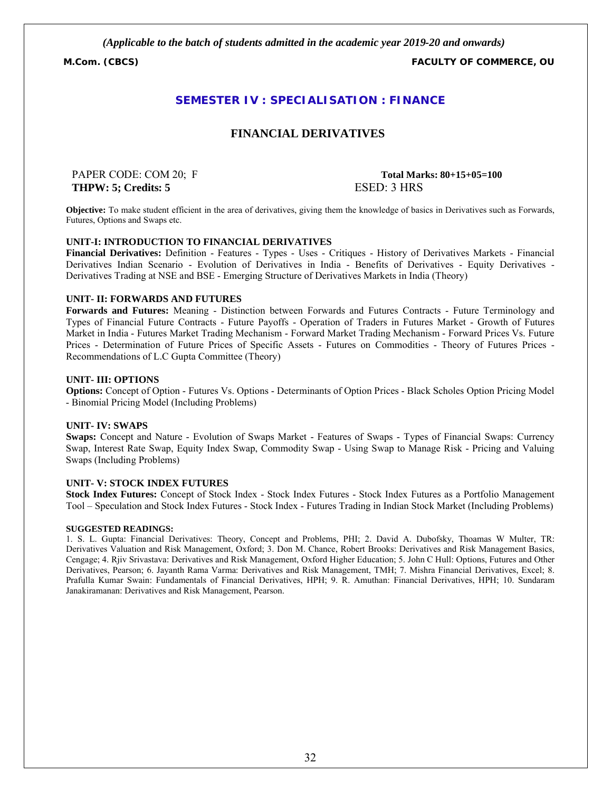**M.Com. (CBCS) FACULTY OF COMMERCE, OU**

### **SEMESTER IV : SPECIALISATION : FINANCE**

#### **FINANCIAL DERIVATIVES**

**THPW: 5; Credits: 5 ESED: 3 HRS** 

PAPER CODE: COM 20; F **Total Marks: 80+15+05=100**

**Objective:** To make student efficient in the area of derivatives, giving them the knowledge of basics in Derivatives such as Forwards, Futures, Options and Swaps etc.

#### **UNIT-I: INTRODUCTION TO FINANCIAL DERIVATIVES**

**Financial Derivatives:** Definition - Features - Types - Uses - Critiques - History of Derivatives Markets - Financial Derivatives Indian Scenario - Evolution of Derivatives in India - Benefits of Derivatives - Equity Derivatives - Derivatives Trading at NSE and BSE - Emerging Structure of Derivatives Markets in India (Theory)

#### **UNIT- II: FORWARDS AND FUTURES**

**Forwards and Futures:** Meaning - Distinction between Forwards and Futures Contracts - Future Terminology and Types of Financial Future Contracts - Future Payoffs - Operation of Traders in Futures Market - Growth of Futures Market in India - Futures Market Trading Mechanism - Forward Market Trading Mechanism - Forward Prices Vs. Future Prices - Determination of Future Prices of Specific Assets - Futures on Commodities - Theory of Futures Prices - Recommendations of L.C Gupta Committee (Theory)

#### **UNIT- III: OPTIONS**

**Options:** Concept of Option - Futures Vs. Options - Determinants of Option Prices - Black Scholes Option Pricing Model - Binomial Pricing Model (Including Problems)

#### **UNIT- IV: SWAPS**

**Swaps:** Concept and Nature - Evolution of Swaps Market - Features of Swaps - Types of Financial Swaps: Currency Swap, Interest Rate Swap, Equity Index Swap, Commodity Swap - Using Swap to Manage Risk - Pricing and Valuing Swaps (Including Problems)

#### **UNIT- V: STOCK INDEX FUTURES**

**Stock Index Futures:** Concept of Stock Index - Stock Index Futures - Stock Index Futures as a Portfolio Management Tool – Speculation and Stock Index Futures - Stock Index - Futures Trading in Indian Stock Market (Including Problems)

#### **SUGGESTED READINGS:**

1. S. L. Gupta: Financial Derivatives: Theory, Concept and Problems, PHI; 2. David A. Dubofsky, Thoamas W Multer, TR: Derivatives Valuation and Risk Management, Oxford; 3. Don M. Chance, Robert Brooks: Derivatives and Risk Management Basics, Cengage; 4. Rjiv Srivastava: Derivatives and Risk Management, Oxford Higher Education; 5. John C Hull: Options, Futures and Other Derivatives, Pearson; 6. Jayanth Rama Varma: Derivatives and Risk Management, TMH; 7. Mishra Financial Derivatives, Excel; 8. Prafulla Kumar Swain: Fundamentals of Financial Derivatives, HPH; 9. R. Amuthan: Financial Derivatives, HPH; 10. Sundaram Janakiramanan: Derivatives and Risk Management, Pearson.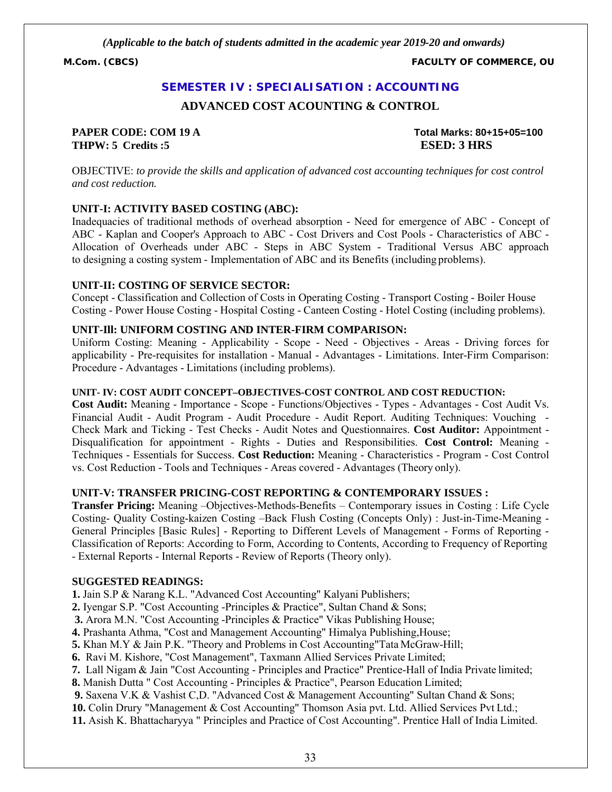**M.Com. (CBCS) FACULTY OF COMMERCE, OU**

#### **SEMESTER IV : SPECIALISATION : ACCOUNTING**

#### **ADVANCED COST ACOUNTING & CONTROL**

#### **PAPER CODE: COM 19 A Total Marks: 80+15+05=100 THPW: 5 Credits :5 ESED: 3 HRS**

OBJECTIVE: *to provide the skills and application of advanced cost accounting techniques for cost control and cost reduction.*

#### **UNIT-I: ACTIVITY BASED COSTING (ABC):**

Inadequacies of traditional methods of overhead absorption - Need for emergence of ABC - Concept of ABC - Kaplan and Cooper's Approach to ABC - Cost Drivers and Cost Pools - Characteristics of ABC - Allocation of Overheads under ABC - Steps in ABC System - Traditional Versus ABC approach to designing a costing system - Implementation of ABC and its Benefits (including problems).

#### **UNIT-II: COSTING OF SERVICE SECTOR:**

Concept - Classification and Collection of Costs in Operating Costing - Transport Costing - Boiler House Costing - Power House Costing - Hospital Costing - Canteen Costing - Hotel Costing (including problems).

#### **UNIT-Ill: UNIFORM COSTING AND INTER-FIRM COMPARISON:**

Uniform Costing: Meaning - Applicability - Scope - Need - Objectives - Areas - Driving forces for applicability - Pre-requisites for installation - Manual - Advantages - Limitations. Inter-Firm Comparison: Procedure - Advantages - Limitations (including problems).

#### **UNIT- IV: COST AUDIT CONCEPT–OBJECTIVES-COST CONTROL AND COST REDUCTION:**

**Cost Audit:** Meaning - Importance - Scope - Functions/Objectives - Types - Advantages - Cost Audit Vs. Financial Audit - Audit Program - Audit Procedure - Audit Report. Auditing Techniques: Vouching - Check Mark and Ticking - Test Checks - Audit Notes and Questionnaires. **Cost Auditor:** Appointment - Disqualification for appointment - Rights - Duties and Responsibilities. **Cost Control:** Meaning - Techniques - Essentials for Success. **Cost Reduction:** Meaning - Characteristics - Program - Cost Control vs. Cost Reduction - Tools and Techniques - Areas covered - Advantages (Theory only).

#### **UNIT-V: TRANSFER PRICING-COST REPORTING & CONTEMPORARY ISSUES :**

**Transfer Pricing:** Meaning –Objectives-Methods-Benefits – Contemporary issues in Costing : Life Cycle Costing- Quality Costing-kaizen Costing –Back Flush Costing (Concepts Only) : Just-in-Time-Meaning - General Principles [Basic Rules] - Reporting to Different Levels of Management - Forms of Reporting - Classification of Reports: According to Form, According to Contents, According to Frequency of Reporting - External Reports - Internal Reports - Review of Reports (Theory only).

#### **SUGGESTED READINGS:**

**1.** Jain S.P & Narang K.L. "Advanced Cost Accounting" Kalyani Publishers;

**2.** Iyengar S.P. "Cost Accounting -Principles & Practice", Sultan Chand & Sons;

**3.** Arora M.N. "Cost Accounting -Principles & Practice" Vikas Publishing House;

**4.** Prashanta Athma, "Cost and Management Accounting" Himalya Publishing,House;

**5.** Khan M.Y & Jain P.K. "Theory and Problems in Cost Accounting"Tata McGraw-Hill;

**6.** Ravi M. Kishore, "Cost Management", Taxmann Allied Services Private Limited;

**7.** Lall Nigam & Jain "Cost Accounting - Principles and Practice" Prentice-Hall of India Private limited;

**8.** Manish Dutta " Cost Accounting - Principles & Practice", Pearson Education Limited;

**9.** Saxena V.K & Vashist C,D. "Advanced Cost & Management Accounting" Sultan Chand & Sons;

**10.** Colin Drury "Management & Cost Accounting" Thomson Asia pvt. Ltd. Allied Services Pvt Ltd.;

**11.** Asish K. Bhattacharyya " Principles and Practice of Cost Accounting". Prentice Hall of India Limited.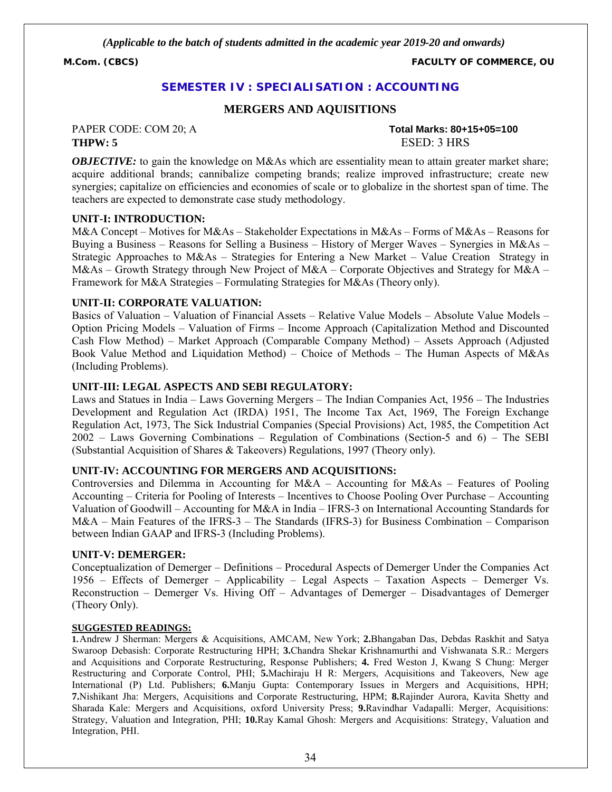**M.Com. (CBCS) FACULTY OF COMMERCE, OU**

#### **SEMESTER IV : SPECIALISATION : ACCOUNTING**

#### **MERGERS AND AQUISITIONS**

#### PAPER CODE: COM 20; A **Total Marks: 80+15+05=100 THPW: 5** ESED: 3 HRS

*OBJECTIVE:* to gain the knowledge on M&As which are essentiality mean to attain greater market share; acquire additional brands; cannibalize competing brands; realize improved infrastructure; create new synergies; capitalize on efficiencies and economies of scale or to globalize in the shortest span of time. The teachers are expected to demonstrate case study methodology.

#### **UNIT-I: INTRODUCTION:**

M&A Concept – Motives for M&As – Stakeholder Expectations in M&As – Forms of M&As – Reasons for Buying a Business – Reasons for Selling a Business – History of Merger Waves – Synergies in M&As – Strategic Approaches to M&As – Strategies for Entering a New Market – Value Creation Strategy in M&As – Growth Strategy through New Project of M&A – Corporate Objectives and Strategy for M&A – Framework for M&A Strategies – Formulating Strategies for M&As (Theory only).

#### **UNIT-II: CORPORATE VALUATION:**

Basics of Valuation – Valuation of Financial Assets – Relative Value Models – Absolute Value Models – Option Pricing Models – Valuation of Firms – Income Approach (Capitalization Method and Discounted Cash Flow Method) – Market Approach (Comparable Company Method) – Assets Approach (Adjusted Book Value Method and Liquidation Method) – Choice of Methods – The Human Aspects of M&As (Including Problems).

#### **UNIT-III: LEGAL ASPECTS AND SEBI REGULATORY:**

Laws and Statues in India – Laws Governing Mergers – The Indian Companies Act, 1956 – The Industries Development and Regulation Act (IRDA) 1951, The Income Tax Act, 1969, The Foreign Exchange Regulation Act, 1973, The Sick Industrial Companies (Special Provisions) Act, 1985, the Competition Act 2002 – Laws Governing Combinations – Regulation of Combinations (Section-5 and 6) – The SEBI (Substantial Acquisition of Shares & Takeovers) Regulations, 1997 (Theory only).

#### **UNIT-IV: ACCOUNTING FOR MERGERS AND ACQUISITIONS:**

Controversies and Dilemma in Accounting for M&A – Accounting for M&As – Features of Pooling Accounting – Criteria for Pooling of Interests – Incentives to Choose Pooling Over Purchase – Accounting Valuation of Goodwill – Accounting for M&A in India – IFRS-3 on International Accounting Standards for M&A – Main Features of the IFRS-3 – The Standards (IFRS-3) for Business Combination – Comparison between Indian GAAP and IFRS-3 (Including Problems).

#### **UNIT-V: DEMERGER:**

Conceptualization of Demerger – Definitions – Procedural Aspects of Demerger Under the Companies Act 1956 – Effects of Demerger – Applicability – Legal Aspects – Taxation Aspects – Demerger Vs. Reconstruction – Demerger Vs. Hiving Off – Advantages of Demerger – Disadvantages of Demerger (Theory Only).

#### **SUGGESTED READINGS:**

**1.**Andrew J Sherman: Mergers & Acquisitions, AMCAM, New York; **2.**Bhangaban Das, Debdas Raskhit and Satya Swaroop Debasish: Corporate Restructuring HPH; **3.**Chandra Shekar Krishnamurthi and Vishwanata S.R.: Mergers and Acquisitions and Corporate Restructuring, Response Publishers; **4.** Fred Weston J, Kwang S Chung: Merger Restructuring and Corporate Control, PHI; **5.**Machiraju H R: Mergers, Acquisitions and Takeovers, New age International (P) Ltd. Publishers; **6.**Manju Gupta: Contemporary Issues in Mergers and Acquisitions, HPH; **7.**Nishikant Jha: Mergers, Acquisitions and Corporate Restructuring, HPM; **8.**Rajinder Aurora, Kavita Shetty and Sharada Kale: Mergers and Acquisitions, oxford University Press; **9.**Ravindhar Vadapalli: Merger, Acquisitions: Strategy, Valuation and Integration, PHI; **10.**Ray Kamal Ghosh: Mergers and Acquisitions: Strategy, Valuation and Integration, PHI.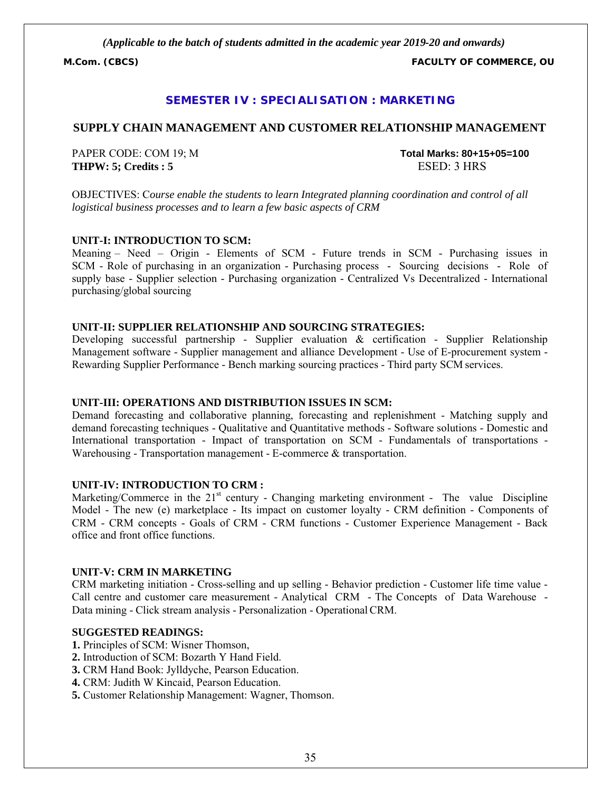**M.Com. (CBCS) FACULTY OF COMMERCE, OU**

#### **SEMESTER IV : SPECIALISATION : MARKETING**

#### **SUPPLY CHAIN MANAGEMENT AND CUSTOMER RELATIONSHIP MANAGEMENT**

PAPER CODE: COM 19; M **Total Marks: 80+15+05=100 THPW: 5; Credits : 5** ESED: 3 HRS

OBJECTIVES: C*ourse enable the students to learn Integrated planning coordination and control of all logistical business processes and to learn a few basic aspects of CRM*

#### **UNIT-I: INTRODUCTION TO SCM:**

Meaning – Need – Origin - Elements of SCM - Future trends in SCM - Purchasing issues in SCM - Role of purchasing in an organization - Purchasing process - Sourcing decisions - Role of supply base - Supplier selection - Purchasing organization - Centralized Vs Decentralized - International purchasing/global sourcing

#### **UNIT-II: SUPPLIER RELATIONSHIP AND SOURCING STRATEGIES:**

Developing successful partnership - Supplier evaluation & certification - Supplier Relationship Management software - Supplier management and alliance Development - Use of E-procurement system - Rewarding Supplier Performance - Bench marking sourcing practices - Third party SCM services.

#### **UNIT-III: OPERATIONS AND DISTRIBUTION ISSUES IN SCM:**

Demand forecasting and collaborative planning, forecasting and replenishment - Matching supply and demand forecasting techniques - Qualitative and Quantitative methods - Software solutions - Domestic and International transportation - Impact of transportation on SCM - Fundamentals of transportations - Warehousing - Transportation management - E-commerce & transportation.

#### **UNIT-IV: INTRODUCTION TO CRM :**

Marketing/Commerce in the  $21<sup>st</sup>$  century - Changing marketing environment - The value Discipline Model - The new (e) marketplace - Its impact on customer loyalty - CRM definition - Components of CRM - CRM concepts - Goals of CRM - CRM functions - Customer Experience Management - Back office and front office functions.

#### **UNIT-V: CRM IN MARKETING**

CRM marketing initiation - Cross-selling and up selling - Behavior prediction - Customer life time value - Call centre and customer care measurement - Analytical CRM - The Concepts of Data Warehouse - Data mining - Click stream analysis - Personalization - Operational CRM.

- **1.** Principles of SCM: Wisner Thomson,
- **2.** Introduction of SCM: Bozarth Y Hand Field.
- **3.** CRM Hand Book: Jylldyche, Pearson Education.
- **4.** CRM: Judith W Kincaid, Pearson Education.
- **5.** Customer Relationship Management: Wagner, Thomson.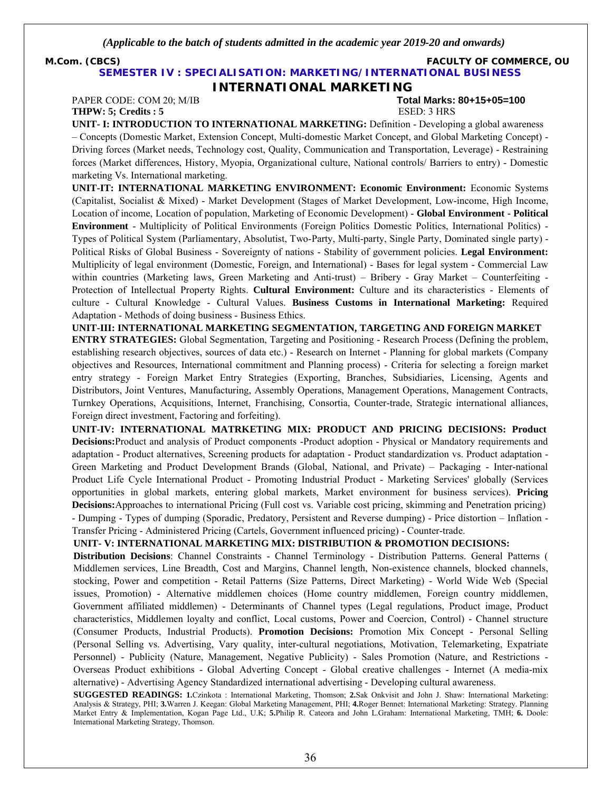**M.Com. (CBCS) FACULTY OF COMMERCE, OU**

#### **SEMESTER IV : SPECIALISATION: MARKETING/INTERNATIONAL BUSINESS**

**INTERNATIONAL MARKETING**

**THPW: 5; Credits : 5** ESED: 3 HRS

# PAPER CODE: COM 20; M/IB **Total Marks: 80+15+05=100**

**UNIT- I: INTRODUCTION TO INTERNATIONAL MARKETING:** Definition - Developing a global awareness – Concepts (Domestic Market, Extension Concept, Multi-domestic Market Concept, and Global Marketing Concept) - Driving forces (Market needs, Technology cost, Quality, Communication and Transportation, Leverage) - Restraining forces (Market differences, History, Myopia, Organizational culture, National controls/ Barriers to entry) - Domestic marketing Vs. International marketing.

**UNIT-IT: INTERNATIONAL MARKETING ENVIRONMENT: Economic Environment:** Economic Systems (Capitalist, Socialist & Mixed) - Market Development (Stages of Market Development, Low-income, High Income, Location of income, Location of population, Marketing of Economic Development) - **Global Environment - Political Environment** - Multiplicity of Political Environments (Foreign Politics Domestic Politics, International Politics) - Types of Political System (Parliamentary, Absolutist, Two-Party, Multi-party, Single Party, Dominated single party) - Political Risks of Global Business - Sovereignty of nations - Stability of government policies. **Legal Environment:**  Multiplicity of legal environment (Domestic, Foreign, and International) - Bases for legal system - Commercial Law within countries (Marketing laws, Green Marketing and Anti-trust) – Bribery - Gray Market – Counterfeiting - Protection of Intellectual Property Rights. **Cultural Environment:** Culture and its characteristics - Elements of culture - Cultural Knowledge - Cultural Values. **Business Customs in International Marketing:** Required Adaptation - Methods of doing business - Business Ethics.

**UNIT-III: INTERNATIONAL MARKETING SEGMENTATION, TARGETING AND FOREIGN MARKET ENTRY STRATEGIES:** Global Segmentation, Targeting and Positioning - Research Process (Defining the problem, establishing research objectives, sources of data etc.) - Research on Internet - Planning for global markets (Company objectives and Resources, International commitment and Planning process) - Criteria for selecting a foreign market entry strategy - Foreign Market Entry Strategies (Exporting, Branches, Subsidiaries, Licensing, Agents and Distributors, Joint Ventures, Manufacturing, Assembly Operations, Management Operations, Management Contracts, Turnkey Operations, Acquisitions, Internet, Franchising, Consortia, Counter-trade, Strategic international alliances, Foreign direct investment, Factoring and forfeiting).

**UNIT-IV: INTERNATIONAL MATRKETING MIX: PRODUCT AND PRICING DECISIONS: Product Decisions:**Product and analysis of Product components -Product adoption - Physical or Mandatory requirements and adaptation - Product alternatives, Screening products for adaptation - Product standardization vs. Product adaptation - Green Marketing and Product Development Brands (Global, National, and Private) – Packaging - Inter-national Product Life Cycle International Product - Promoting Industrial Product - Marketing Services' globally (Services opportunities in global markets, entering global markets, Market environment for business services). **Pricing Decisions:**Approaches to international Pricing (Full cost vs. Variable cost pricing, skimming and Penetration pricing) - Dumping - Types of dumping (Sporadic, Predatory, Persistent and Reverse dumping) - Price distortion – Inflation - Transfer Pricing - Administered Pricing (Cartels, Government influenced pricing) - Counter-trade.

**UNIT- V: INTERNATIONAL MARKETING MIX: DISTRIBUTION & PROMOTION DECISIONS:**

**Distribution Decisions**: Channel Constraints - Channel Terminology - Distribution Patterns. General Patterns ( Middlemen services, Line Breadth, Cost and Margins, Channel length, Non-existence channels, blocked channels, stocking, Power and competition - Retail Patterns (Size Patterns, Direct Marketing) - World Wide Web (Special issues, Promotion) - Alternative middlemen choices (Home country middlemen, Foreign country middlemen, Government affiliated middlemen) - Determinants of Channel types (Legal regulations, Product image, Product characteristics, Middlemen loyalty and conflict, Local customs, Power and Coercion, Control) - Channel structure (Consumer Products, Industrial Products). **Promotion Decisions:** Promotion Mix Concept - Personal Selling (Personal Selling vs. Advertising, Vary quality, inter-cultural negotiations, Motivation, Telemarketing, Expatriate Personnel) - Publicity (Nature, Management, Negative Publicity) - Sales Promotion (Nature, and Restrictions - Overseas Product exhibitions - Global Adverting Concept - Global creative challenges - Internet (A media-mix alternative) - Advertising Agency Standardized international advertising - Developing cultural awareness.

**SUGGESTED READINGS: 1.**Czinkota : International Marketing, Thomson; **2.**Sak Onkvisit and John J. Shaw: International Marketing: Analysis & Strategy, PHI; **3.**Warren J. Keegan: Global Marketing Management, PHI; **4.**Roger Bennet: International Marketing: Strategy. Planning Market Entry & Implementation, Kogan Page Ltd., U.K; **5.**Philip R. Cateora and John L.Graham: International Marketing, TMH; **6.** Doole: International Marketing Strategy, Thomson.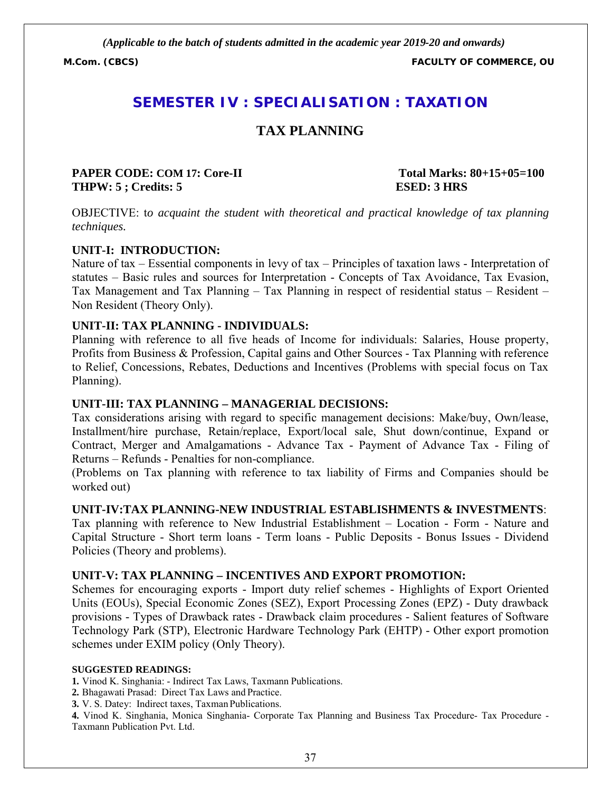**M.Com. (CBCS) FACULTY OF COMMERCE, OU**

# **SEMESTER IV : SPECIALISATION : TAXATION**

# **TAX PLANNING**

#### **PAPER CODE: COM 17: Core-II Total Marks: 80+15+05=100 THPW: 5 ; Credits: 5 ESED: 3 HRS**

OBJECTIVE: t*o acquaint the student with theoretical and practical knowledge of tax planning techniques.*

#### **UNIT-I: INTRODUCTION:**

Nature of tax – Essential components in levy of tax – Principles of taxation laws - Interpretation of statutes – Basic rules and sources for Interpretation - Concepts of Tax Avoidance, Tax Evasion, Tax Management and Tax Planning – Tax Planning in respect of residential status – Resident – Non Resident (Theory Only).

#### **UNIT-II: TAX PLANNING - INDIVIDUALS:**

Planning with reference to all five heads of Income for individuals: Salaries, House property, Profits from Business & Profession, Capital gains and Other Sources - Tax Planning with reference to Relief, Concessions, Rebates, Deductions and Incentives (Problems with special focus on Tax Planning).

#### **UNIT-III: TAX PLANNING – MANAGERIAL DECISIONS:**

Tax considerations arising with regard to specific management decisions: Make/buy, Own/lease, Installment/hire purchase, Retain/replace, Export/local sale, Shut down/continue, Expand or Contract, Merger and Amalgamations - Advance Tax - Payment of Advance Tax - Filing of Returns – Refunds - Penalties for non-compliance.

(Problems on Tax planning with reference to tax liability of Firms and Companies should be worked out)

#### **UNIT-IV:TAX PLANNING-NEW INDUSTRIAL ESTABLISHMENTS & INVESTMENTS**:

Tax planning with reference to New Industrial Establishment – Location - Form - Nature and Capital Structure - Short term loans - Term loans - Public Deposits - Bonus Issues - Dividend Policies (Theory and problems).

#### **UNIT-V: TAX PLANNING – INCENTIVES AND EXPORT PROMOTION:**

Schemes for encouraging exports - Import duty relief schemes - Highlights of Export Oriented Units (EOUs), Special Economic Zones (SEZ), Export Processing Zones (EPZ) - Duty drawback provisions - Types of Drawback rates - Drawback claim procedures - Salient features of Software Technology Park (STP), Electronic Hardware Technology Park (EHTP) - Other export promotion schemes under EXIM policy (Only Theory).

#### **SUGGESTED READINGS:**

**1.** Vinod K. Singhania: - Indirect Tax Laws, Taxmann Publications.

**2.** Bhagawati Prasad: Direct Tax Laws and Practice.

**3.** V. S. Datey: Indirect taxes, Taxman Publications.

**4.** Vinod K. Singhania, Monica Singhania- Corporate Tax Planning and Business Tax Procedure- Tax Procedure - Taxmann Publication Pvt. Ltd.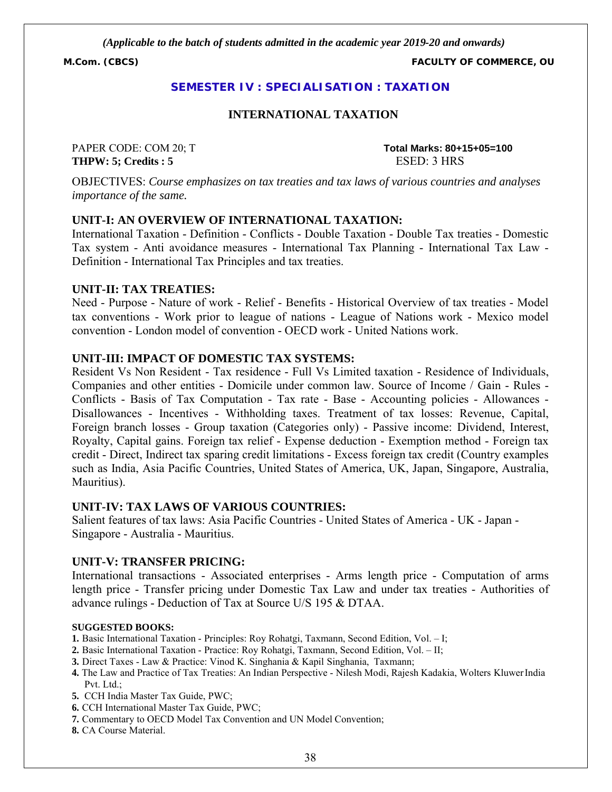**M.Com. (CBCS) FACULTY OF COMMERCE, OU**

### **SEMESTER IV : SPECIALISATION : TAXATION**

#### **INTERNATIONAL TAXATION**

**THPW: 5; Credits : 5** ESED: 3 HRS

PAPER CODE: COM 20; T **Total Marks: 80+15+05=100**

OBJECTIVES: *Course emphasizes on tax treaties and tax laws of various countries and analyses importance of the same.*

#### **UNIT-I: AN OVERVIEW OF INTERNATIONAL TAXATION:**

International Taxation - Definition - Conflicts - Double Taxation - Double Tax treaties - Domestic Tax system - Anti avoidance measures - International Tax Planning - International Tax Law - Definition - International Tax Principles and tax treaties.

#### **UNIT-II: TAX TREATIES:**

Need - Purpose - Nature of work - Relief - Benefits - Historical Overview of tax treaties - Model tax conventions - Work prior to league of nations - League of Nations work - Mexico model convention - London model of convention - OECD work - United Nations work.

### **UNIT-III: IMPACT OF DOMESTIC TAX SYSTEMS:**

Resident Vs Non Resident - Tax residence - Full Vs Limited taxation - Residence of Individuals, Companies and other entities - Domicile under common law. Source of Income / Gain - Rules - Conflicts - Basis of Tax Computation - Tax rate - Base - Accounting policies - Allowances - Disallowances - Incentives - Withholding taxes. Treatment of tax losses: Revenue, Capital, Foreign branch losses - Group taxation (Categories only) - Passive income: Dividend, Interest, Royalty, Capital gains. Foreign tax relief - Expense deduction - Exemption method - Foreign tax credit - Direct, Indirect tax sparing credit limitations - Excess foreign tax credit (Country examples such as India, Asia Pacific Countries, United States of America, UK, Japan, Singapore, Australia, Mauritius).

#### **UNIT-IV: TAX LAWS OF VARIOUS COUNTRIES:**

Salient features of tax laws: Asia Pacific Countries - United States of America - UK - Japan - Singapore - Australia - Mauritius.

#### **UNIT-V: TRANSFER PRICING:**

International transactions - Associated enterprises - Arms length price - Computation of arms length price - Transfer pricing under Domestic Tax Law and under tax treaties - Authorities of advance rulings - Deduction of Tax at Source U/S 195 & DTAA.

#### **SUGGESTED BOOKS:**

- **1.** Basic International Taxation Principles: Roy Rohatgi, Taxmann, Second Edition, Vol. I;
- **2.** Basic International Taxation Practice: Roy Rohatgi, Taxmann, Second Edition, Vol. II;
- **3.** Direct Taxes Law & Practice: Vinod K. Singhania & Kapil Singhania, Taxmann;
- **4.** The Law and Practice of Tax Treaties: An Indian Perspective Nilesh Modi, Rajesh Kadakia, Wolters KluwerIndia Pvt. Ltd.;
- **5.** CCH India Master Tax Guide, PWC;
- **6.** CCH International Master Tax Guide, PWC;
- **7.** Commentary to OECD Model Tax Convention and UN Model Convention;
- **8.** CA Course Material.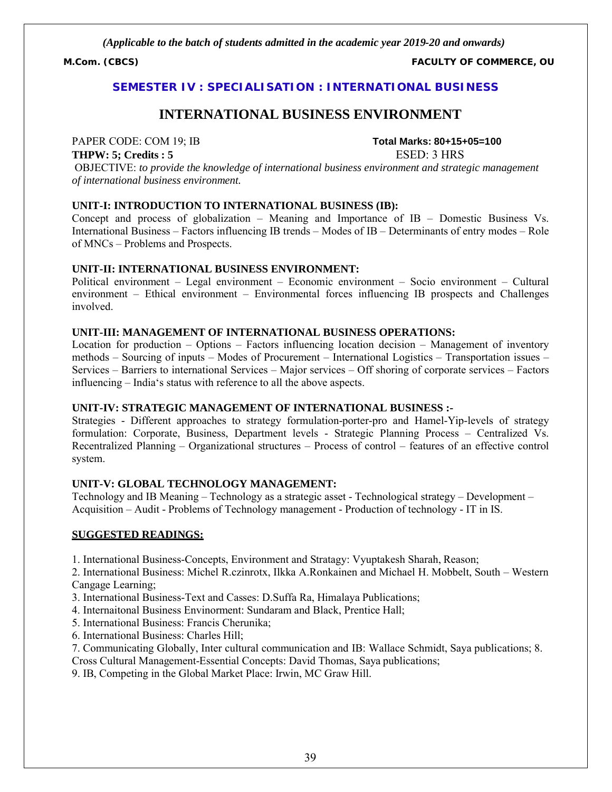**M.Com. (CBCS) FACULTY OF COMMERCE, OU**

#### **SEMESTER IV : SPECIALISATION : INTERNATIONAL BUSINESS**

# **INTERNATIONAL BUSINESS ENVIRONMENT**

#### **THPW: 5; Credits : 5** ESED: 3 HRS

PAPER CODE: COM 19; IB **Total Marks: 80+15+05=100**

OBJECTIVE: *to provide the knowledge of international business environment and strategic management of international business environment.*

#### **UNIT-I: INTRODUCTION TO INTERNATIONAL BUSINESS (IB):**

Concept and process of globalization – Meaning and Importance of IB – Domestic Business Vs. International Business – Factors influencing IB trends – Modes of IB – Determinants of entry modes – Role of MNCs – Problems and Prospects.

#### **UNIT-II: INTERNATIONAL BUSINESS ENVIRONMENT:**

Political environment – Legal environment – Economic environment – Socio environment – Cultural environment – Ethical environment – Environmental forces influencing IB prospects and Challenges involved.

#### **UNIT-III: MANAGEMENT OF INTERNATIONAL BUSINESS OPERATIONS:**

Location for production – Options – Factors influencing location decision – Management of inventory methods – Sourcing of inputs – Modes of Procurement – International Logistics – Transportation issues – Services – Barriers to international Services – Major services – Off shoring of corporate services – Factors influencing – India's status with reference to all the above aspects.

#### **UNIT-IV: STRATEGIC MANAGEMENT OF INTERNATIONAL BUSINESS :-**

Strategies - Different approaches to strategy formulation-porter-pro and Hamel-Yip-levels of strategy formulation: Corporate, Business, Department levels - Strategic Planning Process – Centralized Vs. Recentralized Planning – Organizational structures – Process of control – features of an effective control system.

#### **UNIT-V: GLOBAL TECHNOLOGY MANAGEMENT:**

Technology and IB Meaning – Technology as a strategic asset - Technological strategy – Development – Acquisition – Audit - Problems of Technology management - Production of technology - IT in IS.

#### **SUGGESTED READINGS:**

1. International Business-Concepts, Environment and Stratagy: Vyuptakesh Sharah, Reason;

2. International Business: Michel R.czinrotx, Ilkka A.Ronkainen and Michael H. Mobbelt, South – Western Cangage Learning;

3. International Business-Text and Casses: D.Suffa Ra, Himalaya Publications;

4. Internaitonal Business Envinorment: Sundaram and Black, Prentice Hall;

5. International Business: Francis Cherunika;

6. International Business: Charles Hill;

7. Communicating Globally, Inter cultural communication and IB: Wallace Schmidt, Saya publications; 8.

Cross Cultural Management-Essential Concepts: David Thomas, Saya publications;

9. IB, Competing in the Global Market Place: Irwin, MC Graw Hill.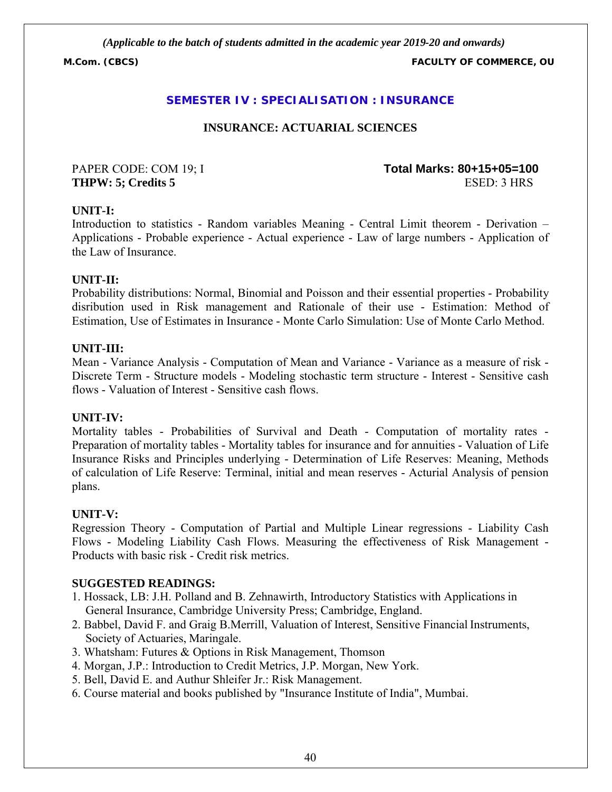**M.Com. (CBCS) FACULTY OF COMMERCE, OU**

# **SEMESTER IV : SPECIALISATION : INSURANCE**

# **INSURANCE: ACTUARIAL SCIENCES**

PAPER CODE: COM 19; I **Total Marks: 80+15+05=100 THPW: 5; Credits 5** ESED: 3 HRS

#### **UNIT-I:**

Introduction to statistics - Random variables Meaning - Central Limit theorem - Derivation – Applications - Probable experience - Actual experience - Law of large numbers - Application of the Law of Insurance.

#### **UNIT-II:**

Probability distributions: Normal, Binomial and Poisson and their essential properties - Probability disribution used in Risk management and Rationale of their use - Estimation: Method of Estimation, Use of Estimates in Insurance - Monte Carlo Simulation: Use of Monte Carlo Method.

#### **UNIT-III:**

Mean - Variance Analysis - Computation of Mean and Variance - Variance as a measure of risk - Discrete Term - Structure models - Modeling stochastic term structure - Interest - Sensitive cash flows - Valuation of Interest - Sensitive cash flows.

#### **UNIT-IV:**

Mortality tables - Probabilities of Survival and Death - Computation of mortality rates - Preparation of mortality tables - Mortality tables for insurance and for annuities - Valuation of Life Insurance Risks and Principles underlying - Determination of Life Reserves: Meaning, Methods of calculation of Life Reserve: Terminal, initial and mean reserves - Acturial Analysis of pension plans.

#### **UNIT-V:**

Regression Theory - Computation of Partial and Multiple Linear regressions - Liability Cash Flows - Modeling Liability Cash Flows. Measuring the effectiveness of Risk Management - Products with basic risk - Credit risk metrics.

- 1. Hossack, LB: J.H. Polland and B. Zehnawirth, Introductory Statistics with Applications in General Insurance, Cambridge University Press; Cambridge, England.
- 2. Babbel, David F. and Graig B.Merrill, Valuation of Interest, Sensitive Financial Instruments, Society of Actuaries, Maringale.
- 3. Whatsham: Futures & Options in Risk Management, Thomson
- 4. Morgan, J.P.: Introduction to Credit Metrics, J.P. Morgan, New York.
- 5. Bell, David E. and Authur Shleifer Jr.: Risk Management.
- 6. Course material and books published by "Insurance Institute of India", Mumbai.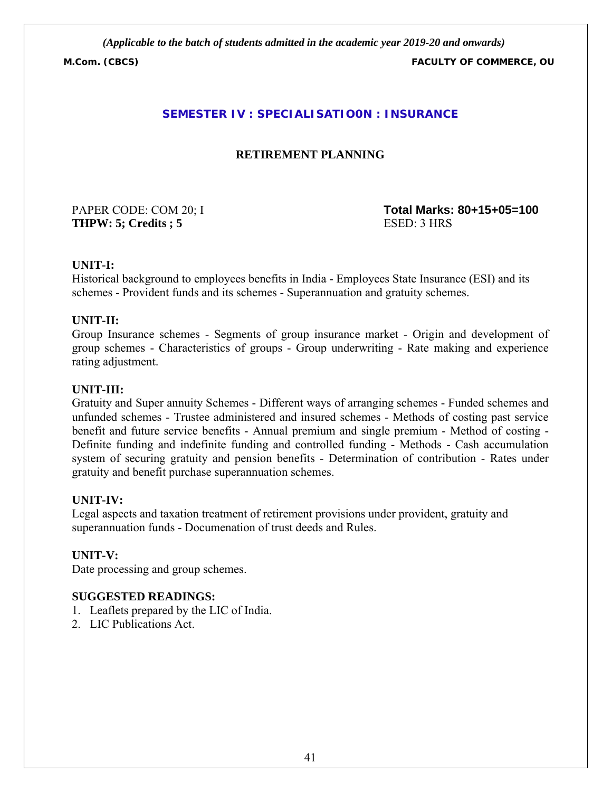**M.Com. (CBCS) FACULTY OF COMMERCE, OU**

# **SEMESTER IV : SPECIALISATIO0N : INSURANCE**

# **RETIREMENT PLANNING**

**THPW: 5; Credits ; 5** ESED: 3 HRS

PAPER CODE: COM 20; I **Total Marks: 80+15+05=100**

### **UNIT-I:**

Historical background to employees benefits in India - Employees State Insurance (ESI) and its schemes - Provident funds and its schemes - Superannuation and gratuity schemes.

#### **UNIT-II:**

Group Insurance schemes - Segments of group insurance market - Origin and development of group schemes - Characteristics of groups - Group underwriting - Rate making and experience rating adjustment.

#### **UNIT-III:**

Gratuity and Super annuity Schemes - Different ways of arranging schemes - Funded schemes and unfunded schemes - Trustee administered and insured schemes - Methods of costing past service benefit and future service benefits - Annual premium and single premium - Method of costing - Definite funding and indefinite funding and controlled funding - Methods - Cash accumulation system of securing gratuity and pension benefits - Determination of contribution - Rates under gratuity and benefit purchase superannuation schemes.

#### **UNIT-IV:**

Legal aspects and taxation treatment of retirement provisions under provident, gratuity and superannuation funds - Documenation of trust deeds and Rules.

#### **UNIT-V:**

Date processing and group schemes.

- 1. Leaflets prepared by the LIC of India.
- 2. LIC Publications Act.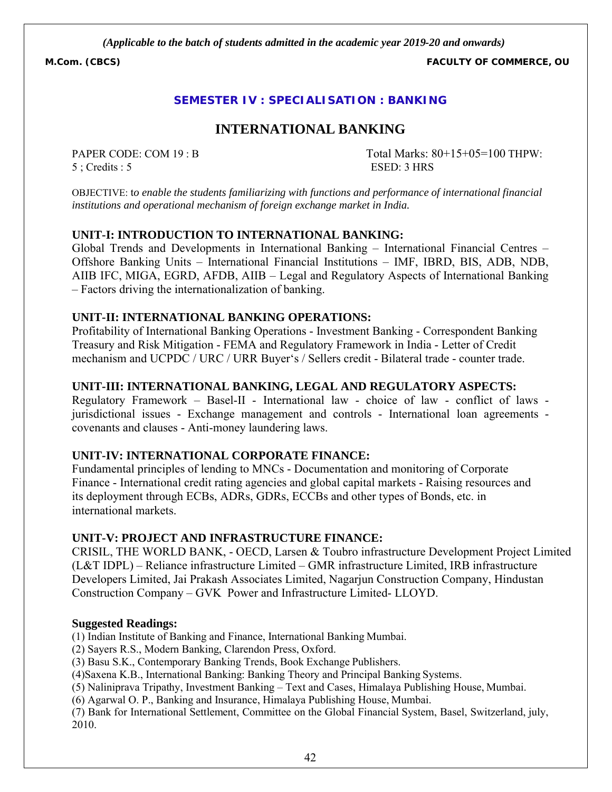**M.Com. (CBCS) FACULTY OF COMMERCE, OU**

# **SEMESTER IV : SPECIALISATION : BANKING**

# **INTERNATIONAL BANKING**

5 ; Credits : 5 ESED: 3 HRS

PAPER CODE: COM 19 : B Total Marks: 80+15+05=100 THPW:

OBJECTIVE: t*o enable the students familiarizing with functions and performance of international financial institutions and operational mechanism of foreign exchange market in India.*

#### **UNIT-I: INTRODUCTION TO INTERNATIONAL BANKING:**

Global Trends and Developments in International Banking – International Financial Centres – Offshore Banking Units – International Financial Institutions – IMF, IBRD, BIS, ADB, NDB, AIIB IFC, MIGA, EGRD, AFDB, AIIB – Legal and Regulatory Aspects of International Banking – Factors driving the internationalization of banking.

#### **UNIT-II: INTERNATIONAL BANKING OPERATIONS:**

Profitability of International Banking Operations - Investment Banking - Correspondent Banking Treasury and Risk Mitigation - FEMA and Regulatory Framework in India - Letter of Credit mechanism and UCPDC / URC / URR Buyer's / Sellers credit - Bilateral trade - counter trade.

#### **UNIT-III: INTERNATIONAL BANKING, LEGAL AND REGULATORY ASPECTS:**

Regulatory Framework – Basel-II - International law - choice of law - conflict of laws jurisdictional issues - Exchange management and controls - International loan agreements covenants and clauses - Anti-money laundering laws.

#### **UNIT-IV: INTERNATIONAL CORPORATE FINANCE:**

Fundamental principles of lending to MNCs - Documentation and monitoring of Corporate Finance - International credit rating agencies and global capital markets - Raising resources and its deployment through ECBs, ADRs, GDRs, ECCBs and other types of Bonds, etc. in international markets.

#### **UNIT-V: PROJECT AND INFRASTRUCTURE FINANCE:**

CRISIL, THE WORLD BANK, - OECD, Larsen & Toubro infrastructure Development Project Limited (L&T IDPL) – Reliance infrastructure Limited – GMR infrastructure Limited, IRB infrastructure Developers Limited, Jai Prakash Associates Limited, Nagarjun Construction Company, Hindustan Construction Company – GVK Power and Infrastructure Limited- LLOYD.

#### **Suggested Readings:**

(1) Indian Institute of Banking and Finance, International Banking Mumbai.

(2) Sayers R.S., Modern Banking, Clarendon Press, Oxford.

(3) Basu S.K., Contemporary Banking Trends, Book Exchange Publishers.

(4)Saxena K.B., International Banking: Banking Theory and Principal Banking Systems.

(5) Naliniprava Tripathy, Investment Banking – Text and Cases, Himalaya Publishing House, Mumbai.

(6) Agarwal O. P., Banking and Insurance, Himalaya Publishing House, Mumbai.

(7) Bank for International Settlement, Committee on the Global Financial System, Basel, Switzerland, july, 2010.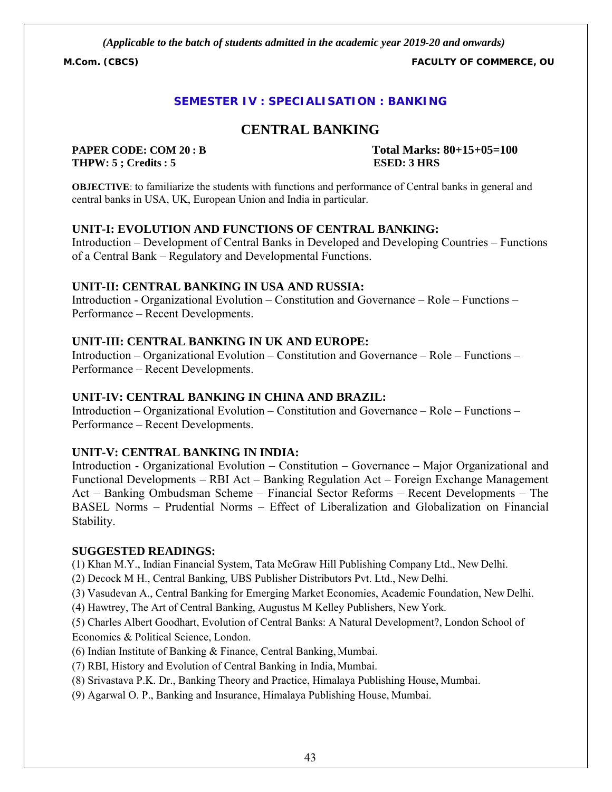**M.Com. (CBCS) FACULTY OF COMMERCE, OU**

# **SEMESTER IV : SPECIALISATION : BANKING**

# **CENTRAL BANKING**

**THPW: 5 ; Credits : 5 ESED: 3 HRS**

**PAPER CODE: COM 20 : B Total Marks: 80+15+05=100**

**OBJECTIVE**: to familiarize the students with functions and performance of Central banks in general and central banks in USA, UK, European Union and India in particular.

# **UNIT-I: EVOLUTION AND FUNCTIONS OF CENTRAL BANKING:**

Introduction – Development of Central Banks in Developed and Developing Countries – Functions of a Central Bank – Regulatory and Developmental Functions.

### **UNIT-II: CENTRAL BANKING IN USA AND RUSSIA:**

Introduction - Organizational Evolution – Constitution and Governance – Role – Functions – Performance – Recent Developments.

# **UNIT-III: CENTRAL BANKING IN UK AND EUROPE:**

Introduction – Organizational Evolution – Constitution and Governance – Role – Functions – Performance – Recent Developments.

#### **UNIT-IV: CENTRAL BANKING IN CHINA AND BRAZIL:**

Introduction – Organizational Evolution – Constitution and Governance – Role – Functions – Performance – Recent Developments.

#### **UNIT-V: CENTRAL BANKING IN INDIA:**

Introduction - Organizational Evolution – Constitution – Governance – Major Organizational and Functional Developments – RBI Act – Banking Regulation Act – Foreign Exchange Management Act – Banking Ombudsman Scheme – Financial Sector Reforms – Recent Developments – The BASEL Norms – Prudential Norms – Effect of Liberalization and Globalization on Financial Stability.

#### **SUGGESTED READINGS:**

(1) Khan M.Y., Indian Financial System, Tata McGraw Hill Publishing Company Ltd., New Delhi.

(2) Decock M H., Central Banking, UBS Publisher Distributors Pvt. Ltd., New Delhi.

(3) Vasudevan A., Central Banking for Emerging Market Economies, Academic Foundation, New Delhi.

(4) Hawtrey, The Art of Central Banking, Augustus M Kelley Publishers, New York.

(5) Charles Albert Goodhart, Evolution of Central Banks: A Natural Development?, London School of Economics & Political Science, London.

- (6) Indian Institute of Banking & Finance, Central Banking, Mumbai.
- (7) RBI, History and Evolution of Central Banking in India, Mumbai.
- (8) Srivastava P.K. Dr., Banking Theory and Practice, Himalaya Publishing House, Mumbai.
- (9) Agarwal O. P., Banking and Insurance, Himalaya Publishing House, Mumbai.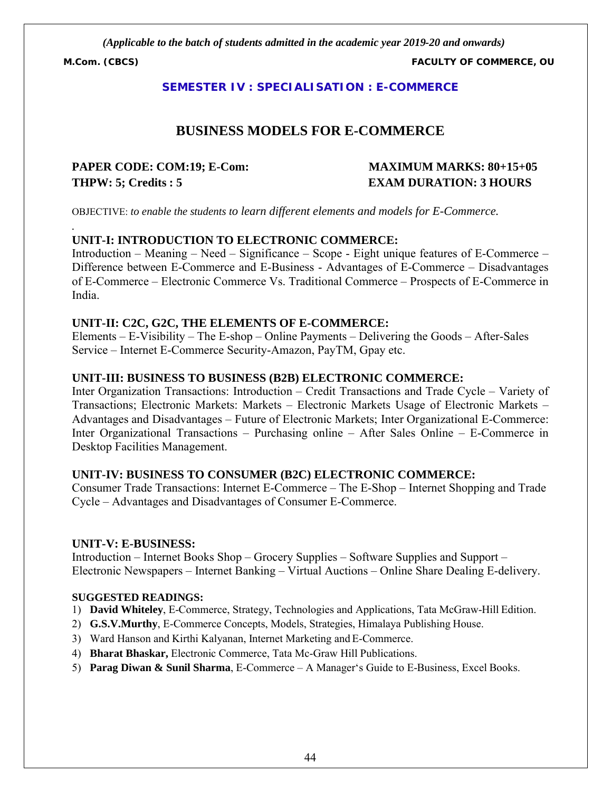*.*

**M.Com. (CBCS) FACULTY OF COMMERCE, OU**

### **SEMESTER IV : SPECIALISATION : E-COMMERCE**

# **BUSINESS MODELS FOR E-COMMERCE**

# **PAPER CODE: COM:19; E-Com: MAXIMUM MARKS: 80+15+05 THPW: 5; Credits : 5 EXAM DURATION: 3 HOURS**

OBJECTIVE: *to enable the students to learn different elements and models for E-Commerce.*

### **UNIT-I: INTRODUCTION TO ELECTRONIC COMMERCE:**

Introduction – Meaning – Need – Significance – Scope - Eight unique features of E-Commerce – Difference between E-Commerce and E-Business - Advantages of E-Commerce – Disadvantages of E-Commerce – Electronic Commerce Vs. Traditional Commerce – Prospects of E-Commerce in India.

#### **UNIT-II: C2C, G2C, THE ELEMENTS OF E-COMMERCE:**

Elements – E-Visibility – The E-shop – Online Payments – Delivering the Goods – After-Sales Service – Internet E-Commerce Security-Amazon, PayTM, Gpay etc.

#### **UNIT-III: BUSINESS TO BUSINESS (B2B) ELECTRONIC COMMERCE:**

Inter Organization Transactions: Introduction – Credit Transactions and Trade Cycle – Variety of Transactions; Electronic Markets: Markets – Electronic Markets Usage of Electronic Markets – Advantages and Disadvantages – Future of Electronic Markets; Inter Organizational E-Commerce: Inter Organizational Transactions – Purchasing online – After Sales Online – E-Commerce in Desktop Facilities Management.

#### **UNIT-IV: BUSINESS TO CONSUMER (B2C) ELECTRONIC COMMERCE:**

Consumer Trade Transactions: Internet E-Commerce – The E-Shop – Internet Shopping and Trade Cycle – Advantages and Disadvantages of Consumer E-Commerce.

#### **UNIT-V: E-BUSINESS:**

Introduction – Internet Books Shop – Grocery Supplies – Software Supplies and Support – Electronic Newspapers – Internet Banking – Virtual Auctions – Online Share Dealing E-delivery.

- 1) **David Whiteley**, E-Commerce, Strategy, Technologies and Applications, Tata McGraw-Hill Edition.
- 2) **G.S.V.Murthy**, E-Commerce Concepts, Models, Strategies, Himalaya Publishing House.
- 3) Ward Hanson and Kirthi Kalyanan, Internet Marketing and E-Commerce.
- 4) **Bharat Bhaskar,** Electronic Commerce, Tata Mc-Graw Hill Publications.
- 5) **Parag Diwan & Sunil Sharma**, E-Commerce A Manager's Guide to E-Business, Excel Books.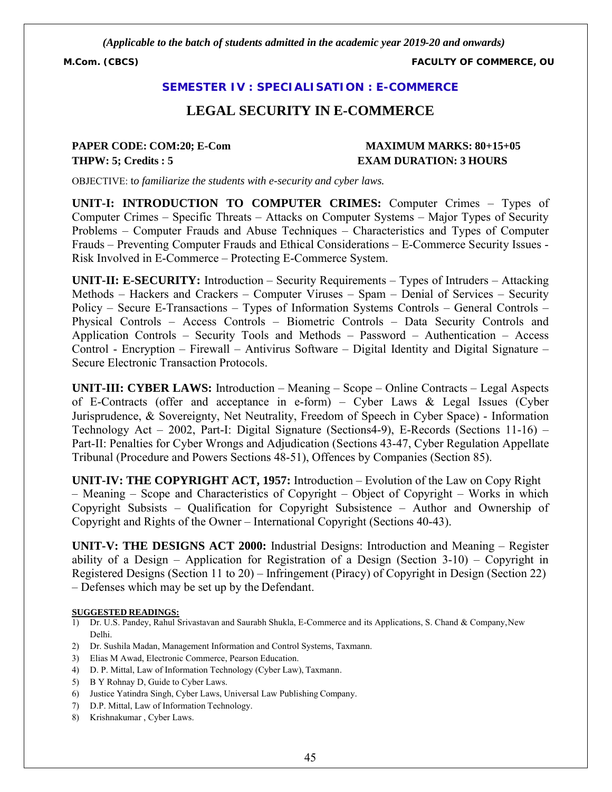**M.Com. (CBCS) FACULTY OF COMMERCE, OU**

#### **SEMESTER IV : SPECIALISATION : E-COMMERCE**

# **LEGAL SECURITY IN E-COMMERCE**

# **THPW: 5; Credits : 5 EXAM DURATION: 3 HOURS**

# **PAPER CODE: COM:20; E-Com MAXIMUM MARKS: 80+15+05**

OBJECTIVE: t*o familiarize the students with e-security and cyber laws.*

**UNIT-I: INTRODUCTION TO COMPUTER CRIMES:** Computer Crimes – Types of Computer Crimes – Specific Threats – Attacks on Computer Systems – Major Types of Security Problems – Computer Frauds and Abuse Techniques – Characteristics and Types of Computer Frauds – Preventing Computer Frauds and Ethical Considerations – E-Commerce Security Issues - Risk Involved in E-Commerce – Protecting E-Commerce System.

**UNIT-II: E-SECURITY:** Introduction – Security Requirements – Types of Intruders – Attacking Methods – Hackers and Crackers – Computer Viruses – Spam – Denial of Services – Security Policy – Secure E-Transactions – Types of Information Systems Controls – General Controls – Physical Controls – Access Controls – Biometric Controls – Data Security Controls and Application Controls – Security Tools and Methods – Password – Authentication – Access Control - Encryption – Firewall – Antivirus Software – Digital Identity and Digital Signature – Secure Electronic Transaction Protocols.

**UNIT-III: CYBER LAWS:** Introduction – Meaning – Scope – Online Contracts – Legal Aspects of E-Contracts (offer and acceptance in e-form) – Cyber Laws & Legal Issues (Cyber Jurisprudence, & Sovereignty, Net Neutrality, Freedom of Speech in Cyber Space) - Information Technology Act – 2002, Part-I: Digital Signature (Sections4-9), E-Records (Sections 11-16) – Part-II: Penalties for Cyber Wrongs and Adjudication (Sections 43-47, Cyber Regulation Appellate Tribunal (Procedure and Powers Sections 48-51), Offences by Companies (Section 85).

**UNIT-IV: THE COPYRIGHT ACT, 1957:** Introduction – Evolution of the Law on Copy Right – Meaning – Scope and Characteristics of Copyright – Object of Copyright – Works in which Copyright Subsists – Qualification for Copyright Subsistence – Author and Ownership of Copyright and Rights of the Owner – International Copyright (Sections 40-43).

**UNIT-V: THE DESIGNS ACT 2000:** Industrial Designs: Introduction and Meaning – Register ability of a Design – Application for Registration of a Design (Section 3-10) – Copyright in Registered Designs (Section 11 to 20) – Infringement (Piracy) of Copyright in Design (Section 22) – Defenses which may be set up by the Defendant.

- 1) Dr. U.S. Pandey, Rahul Srivastavan and Saurabh Shukla, E-Commerce and its Applications, S. Chand & Company, New Delhi.
- 2) Dr. Sushila Madan, Management Information and Control Systems, Taxmann.
- 3) Elias M Awad, Electronic Commerce, Pearson Education.
- 4) D. P. Mittal, Law of Information Technology (Cyber Law), Taxmann.
- 5) B Y Rohnay D, Guide to Cyber Laws.
- 6) Justice Yatindra Singh, Cyber Laws, Universal Law Publishing Company.
- 7) D.P. Mittal, Law of Information Technology.
- 8) Krishnakumar , Cyber Laws.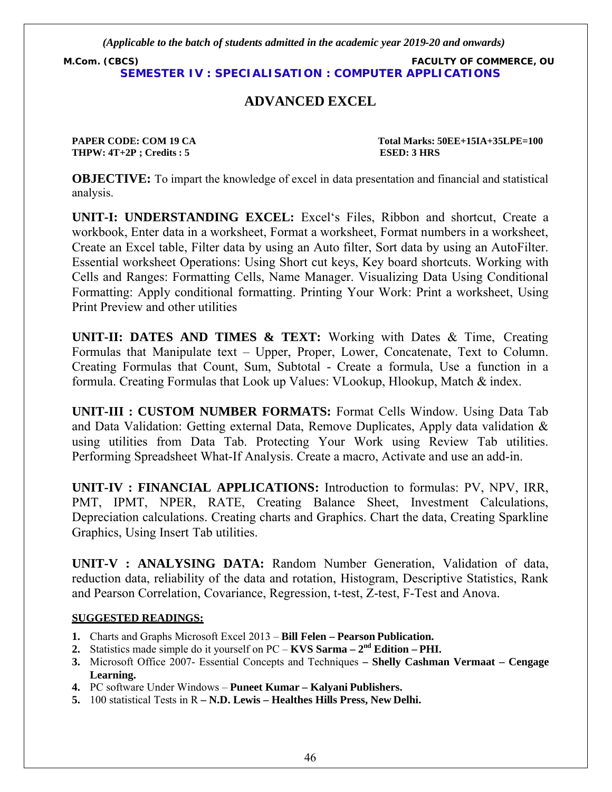**M.Com. (CBCS) FACULTY OF COMMERCE, OU SEMESTER IV : SPECIALISATION : COMPUTER APPLICATIONS**

# **ADVANCED EXCEL**

**THPW: 4T+2P ; Credits : 5 ESED: 3 HRS**

**PAPER CODE: COM 19 CA Total Marks: 50EE+15IA+35LPE=100** 

**OBJECTIVE:** To impart the knowledge of excel in data presentation and financial and statistical analysis.

**UNIT-I: UNDERSTANDING EXCEL:** Excel's Files, Ribbon and shortcut, Create a workbook, Enter data in a worksheet, Format a worksheet, Format numbers in a worksheet, Create an Excel table, Filter data by using an Auto filter, Sort data by using an AutoFilter. Essential worksheet Operations: Using Short cut keys, Key board shortcuts. Working with Cells and Ranges: Formatting Cells, Name Manager. Visualizing Data Using Conditional Formatting: Apply conditional formatting. Printing Your Work: Print a worksheet, Using Print Preview and other utilities

**UNIT-II: DATES AND TIMES & TEXT:** Working with Dates & Time, Creating Formulas that Manipulate text – Upper, Proper, Lower, Concatenate, Text to Column. Creating Formulas that Count, Sum, Subtotal - Create a formula, Use a function in a formula. Creating Formulas that Look up Values: VLookup, Hlookup, Match & index.

**UNIT-III : CUSTOM NUMBER FORMATS:** Format Cells Window. Using Data Tab and Data Validation: Getting external Data, Remove Duplicates, Apply data validation & using utilities from Data Tab. Protecting Your Work using Review Tab utilities. Performing Spreadsheet What-If Analysis. Create a macro, Activate and use an add-in.

**UNIT-IV : FINANCIAL APPLICATIONS:** Introduction to formulas: PV, NPV, IRR, PMT, IPMT, NPER, RATE, Creating Balance Sheet, Investment Calculations, Depreciation calculations. Creating charts and Graphics. Chart the data, Creating Sparkline Graphics, Using Insert Tab utilities.

**UNIT-V : ANALYSING DATA:** Random Number Generation, Validation of data, reduction data, reliability of the data and rotation, Histogram, Descriptive Statistics, Rank and Pearson Correlation, Covariance, Regression, t-test, Z-test, F-Test and Anova.

- **1.** Charts and Graphs Microsoft Excel 2013 **Bill Felen Pearson Publication.**
- **2.** Statistics made simple do it yourself on PC **KVS Sarma 2nd Edition PHI.**
- **3.** Microsoft Office 2007- Essential Concepts and Techniques  **Shelly Cashman Vermaat Cengage Learning.**
- **4.** PC software Under Windows **Puneet Kumar Kalyani Publishers.**
- **5.** 100 statistical Tests in R  **N.D. Lewis Healthes Hills Press, New Delhi.**